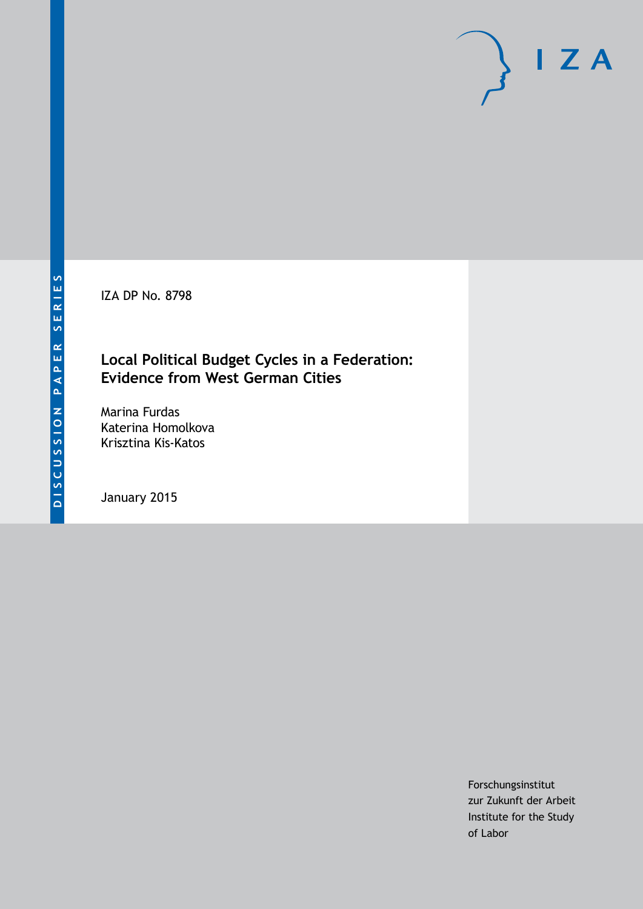IZA DP No. 8798

### **Local Political Budget Cycles in a Federation: Evidence from West German Cities**

Marina Furdas Katerina Homolkova Krisztina Kis-Katos

January 2015

Forschungsinstitut zur Zukunft der Arbeit Institute for the Study of Labor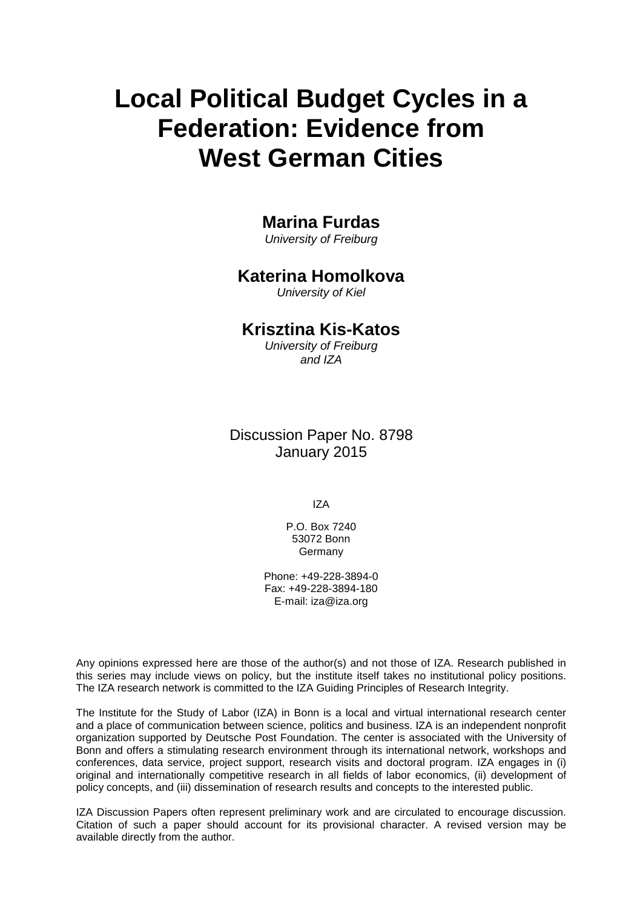# **Local Political Budget Cycles in a Federation: Evidence from West German Cities**

## **Marina Furdas**

*University of Freiburg*

### **Katerina Homolkova**

*University of Kiel*

### **Krisztina Kis-Katos**

*University of Freiburg and IZA*

Discussion Paper No. 8798 January 2015

IZA

P.O. Box 7240 53072 Bonn Germany

Phone: +49-228-3894-0 Fax: +49-228-3894-180 E-mail: [iza@iza.org](mailto:iza@iza.org)

Any opinions expressed here are those of the author(s) and not those of IZA. Research published in this series may include views on policy, but the institute itself takes no institutional policy positions. The IZA research network is committed to the IZA Guiding Principles of Research Integrity.

The Institute for the Study of Labor (IZA) in Bonn is a local and virtual international research center and a place of communication between science, politics and business. IZA is an independent nonprofit organization supported by Deutsche Post Foundation. The center is associated with the University of Bonn and offers a stimulating research environment through its international network, workshops and conferences, data service, project support, research visits and doctoral program. IZA engages in (i) original and internationally competitive research in all fields of labor economics, (ii) development of policy concepts, and (iii) dissemination of research results and concepts to the interested public.

<span id="page-1-0"></span>IZA Discussion Papers often represent preliminary work and are circulated to encourage discussion. Citation of such a paper should account for its provisional character. A revised version may be available directly from the author.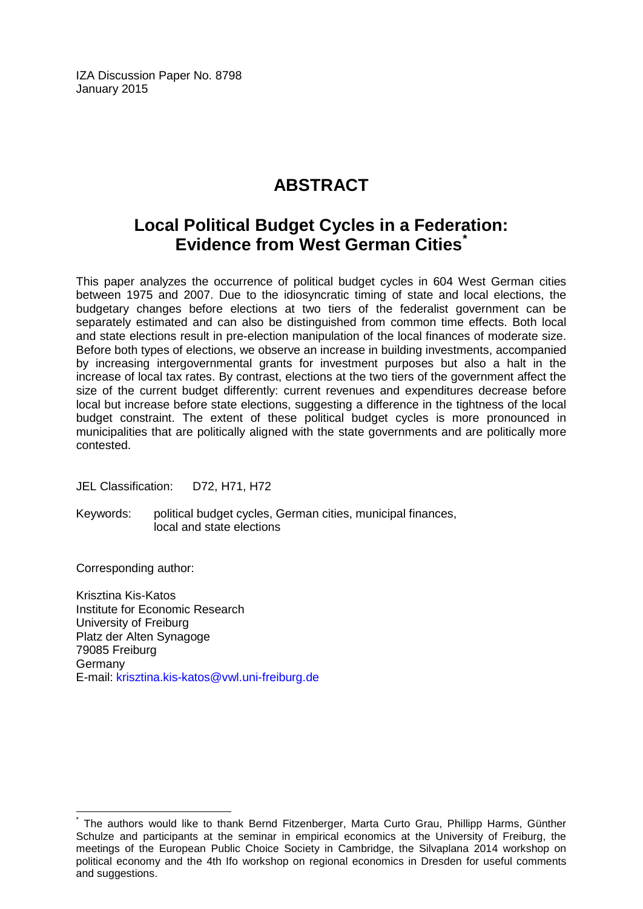IZA Discussion Paper No. 8798 January 2015

## **ABSTRACT**

## **Local Political Budget Cycles in a Federation: Evidence from West German Cities[\\*](#page-1-0)**

This paper analyzes the occurrence of political budget cycles in 604 West German cities between 1975 and 2007. Due to the idiosyncratic timing of state and local elections, the budgetary changes before elections at two tiers of the federalist government can be separately estimated and can also be distinguished from common time effects. Both local and state elections result in pre-election manipulation of the local finances of moderate size. Before both types of elections, we observe an increase in building investments, accompanied by increasing intergovernmental grants for investment purposes but also a halt in the increase of local tax rates. By contrast, elections at the two tiers of the government affect the size of the current budget differently: current revenues and expenditures decrease before local but increase before state elections, suggesting a difference in the tightness of the local budget constraint. The extent of these political budget cycles is more pronounced in municipalities that are politically aligned with the state governments and are politically more contested.

JEL Classification: D72, H71, H72

Keywords: political budget cycles, German cities, municipal finances, local and state elections

Corresponding author:

Krisztina Kis-Katos Institute for Economic Research University of Freiburg Platz der Alten Synagoge 79085 Freiburg Germany E-mail: [krisztina.kis-katos@vwl.uni-freiburg.de](mailto:krisztina.kis-katos@vwl.uni-freiburg.de)

The authors would like to thank Bernd Fitzenberger, Marta Curto Grau, Phillipp Harms, Günther Schulze and participants at the seminar in empirical economics at the University of Freiburg, the meetings of the European Public Choice Society in Cambridge, the Silvaplana 2014 workshop on political economy and the 4th Ifo workshop on regional economics in Dresden for useful comments and suggestions.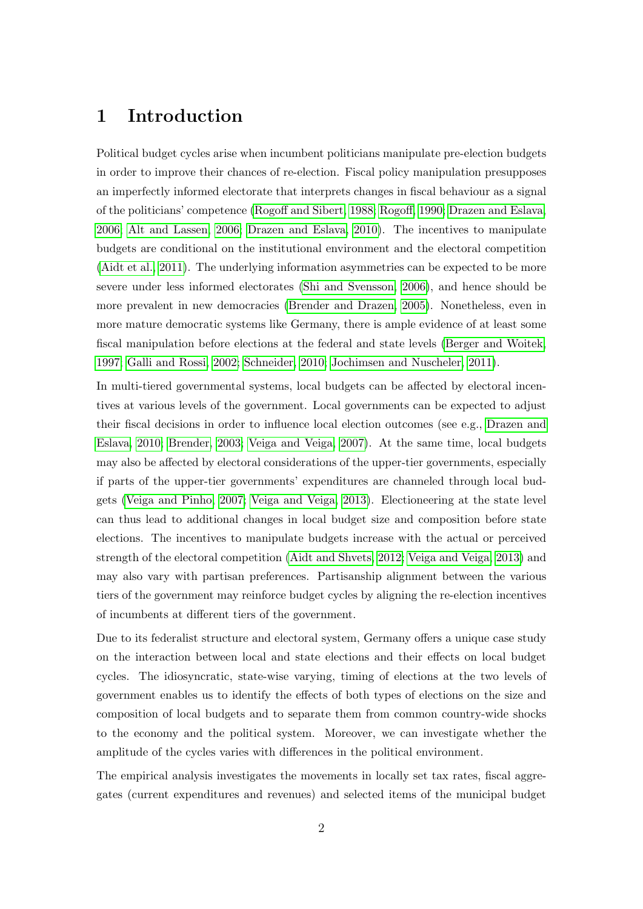## 1 Introduction

Political budget cycles arise when incumbent politicians manipulate pre-election budgets in order to improve their chances of re-election. Fiscal policy manipulation presupposes an imperfectly informed electorate that interprets changes in fiscal behaviour as a signal of the politicians' competence [\(Rogoff and Sibert, 1988;](#page-31-0) [Rogoff, 1990;](#page-31-1) [Drazen and Eslava,](#page-30-0) [2006;](#page-30-0) [Alt and Lassen, 2006;](#page-29-0) [Drazen and Eslava, 2010\)](#page-30-1). The incentives to manipulate budgets are conditional on the institutional environment and the electoral competition [\(Aidt et al., 2011\)](#page-29-1). The underlying information asymmetries can be expected to be more severe under less informed electorates [\(Shi and Svensson, 2006\)](#page-31-2), and hence should be more prevalent in new democracies [\(Brender and Drazen, 2005\)](#page-29-2). Nonetheless, even in more mature democratic systems like Germany, there is ample evidence of at least some fiscal manipulation before elections at the federal and state levels [\(Berger and Woitek,](#page-29-3) [1997;](#page-29-3) [Galli and Rossi, 2002;](#page-30-2) [Schneider, 2010;](#page-31-3) [Jochimsen and Nuscheler, 2011\)](#page-30-3).

In multi-tiered governmental systems, local budgets can be affected by electoral incentives at various levels of the government. Local governments can be expected to adjust their fiscal decisions in order to influence local election outcomes (see e.g., [Drazen and](#page-30-1) [Eslava, 2010;](#page-30-1) [Brender, 2003;](#page-29-4) [Veiga and Veiga, 2007\)](#page-31-4). At the same time, local budgets may also be affected by electoral considerations of the upper-tier governments, especially if parts of the upper-tier governments' expenditures are channeled through local budgets [\(Veiga and Pinho, 2007;](#page-31-5) [Veiga and Veiga, 2013\)](#page-31-6). Electioneering at the state level can thus lead to additional changes in local budget size and composition before state elections. The incentives to manipulate budgets increase with the actual or perceived strength of the electoral competition [\(Aidt and Shvets, 2012;](#page-29-5) [Veiga and Veiga, 2013\)](#page-31-6) and may also vary with partisan preferences. Partisanship alignment between the various tiers of the government may reinforce budget cycles by aligning the re-election incentives of incumbents at different tiers of the government.

Due to its federalist structure and electoral system, Germany offers a unique case study on the interaction between local and state elections and their effects on local budget cycles. The idiosyncratic, state-wise varying, timing of elections at the two levels of government enables us to identify the effects of both types of elections on the size and composition of local budgets and to separate them from common country-wide shocks to the economy and the political system. Moreover, we can investigate whether the amplitude of the cycles varies with differences in the political environment.

The empirical analysis investigates the movements in locally set tax rates, fiscal aggregates (current expenditures and revenues) and selected items of the municipal budget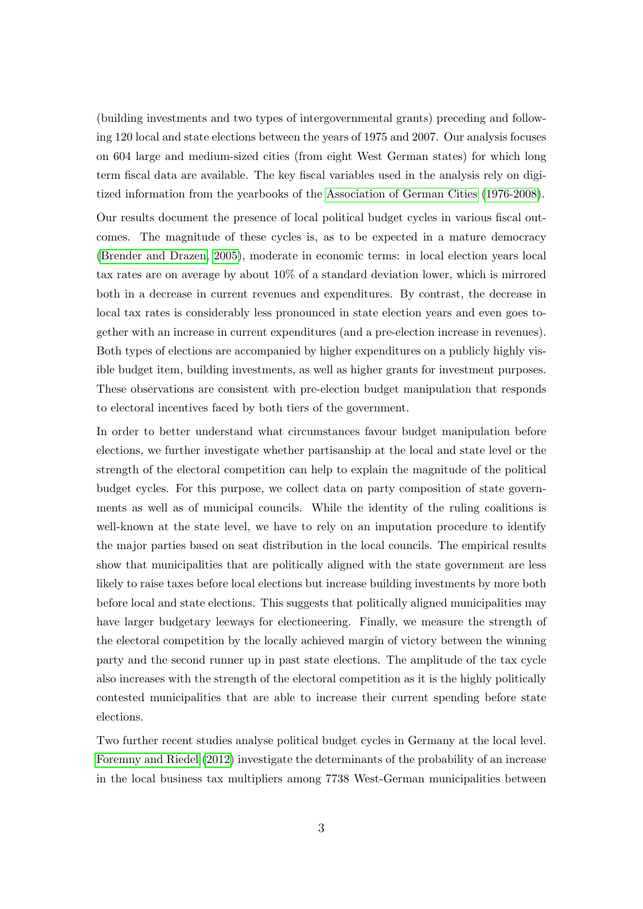(building investments and two types of intergovernmental grants) preceding and following 120 local and state elections between the years of 1975 and 2007. Our analysis focuses on 604 large and medium-sized cities (from eight West German states) for which long term fiscal data are available. The key fiscal variables used in the analysis rely on digitized information from the yearbooks of the [Association of German Cities](#page-29-6) [\(1976-2008\)](#page-29-6).

Our results document the presence of local political budget cycles in various fiscal outcomes. The magnitude of these cycles is, as to be expected in a mature democracy [\(Brender and Drazen, 2005\)](#page-29-2), moderate in economic terms: in local election years local tax rates are on average by about 10% of a standard deviation lower, which is mirrored both in a decrease in current revenues and expenditures. By contrast, the decrease in local tax rates is considerably less pronounced in state election years and even goes together with an increase in current expenditures (and a pre-election increase in revenues). Both types of elections are accompanied by higher expenditures on a publicly highly visible budget item, building investments, as well as higher grants for investment purposes. These observations are consistent with pre-election budget manipulation that responds to electoral incentives faced by both tiers of the government.

In order to better understand what circumstances favour budget manipulation before elections, we further investigate whether partisanship at the local and state level or the strength of the electoral competition can help to explain the magnitude of the political budget cycles. For this purpose, we collect data on party composition of state governments as well as of municipal councils. While the identity of the ruling coalitions is well-known at the state level, we have to rely on an imputation procedure to identify the major parties based on seat distribution in the local councils. The empirical results show that municipalities that are politically aligned with the state government are less likely to raise taxes before local elections but increase building investments by more both before local and state elections. This suggests that politically aligned municipalities may have larger budgetary leeways for electioneering. Finally, we measure the strength of the electoral competition by the locally achieved margin of victory between the winning party and the second runner up in past state elections. The amplitude of the tax cycle also increases with the strength of the electoral competition as it is the highly politically contested municipalities that are able to increase their current spending before state elections.

Two further recent studies analyse political budget cycles in Germany at the local level. [Foremny and Riedel](#page-30-4) [\(2012\)](#page-30-4) investigate the determinants of the probability of an increase in the local business tax multipliers among 7738 West-German municipalities between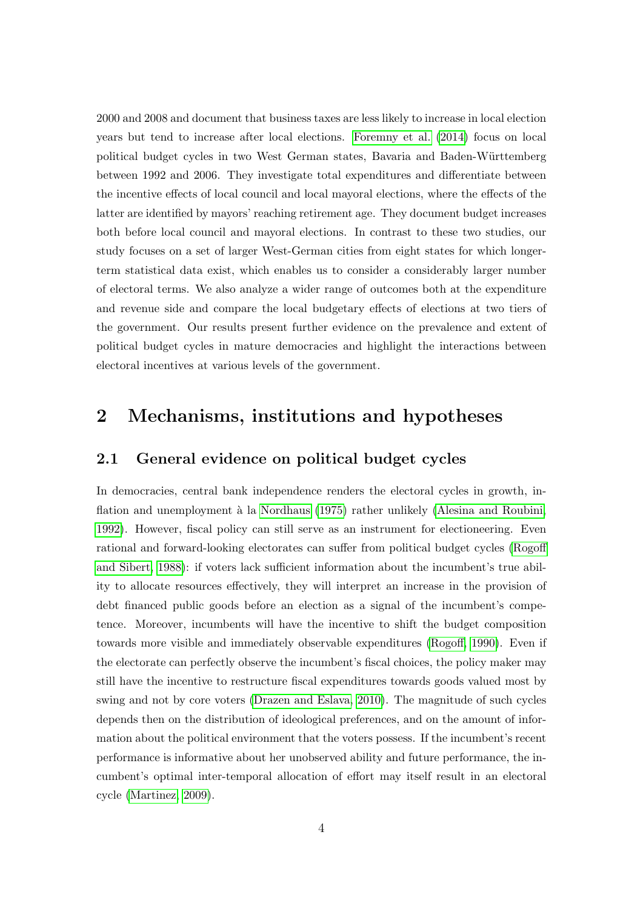2000 and 2008 and document that business taxes are less likely to increase in local election years but tend to increase after local elections. [Foremny et al.](#page-30-5) [\(2014\)](#page-30-5) focus on local political budget cycles in two West German states, Bavaria and Baden-W¨urttemberg between 1992 and 2006. They investigate total expenditures and differentiate between the incentive effects of local council and local mayoral elections, where the effects of the latter are identified by mayors' reaching retirement age. They document budget increases both before local council and mayoral elections. In contrast to these two studies, our study focuses on a set of larger West-German cities from eight states for which longerterm statistical data exist, which enables us to consider a considerably larger number of electoral terms. We also analyze a wider range of outcomes both at the expenditure and revenue side and compare the local budgetary effects of elections at two tiers of the government. Our results present further evidence on the prevalence and extent of political budget cycles in mature democracies and highlight the interactions between electoral incentives at various levels of the government.

## 2 Mechanisms, institutions and hypotheses

### 2.1 General evidence on political budget cycles

In democracies, central bank independence renders the electoral cycles in growth, in-flation and unemployment à la [Nordhaus](#page-31-7) [\(1975\)](#page-31-7) rather unlikely [\(Alesina and Roubini,](#page-29-7) [1992\)](#page-29-7). However, fiscal policy can still serve as an instrument for electioneering. Even rational and forward-looking electorates can suffer from political budget cycles [\(Rogoff](#page-31-0) [and Sibert, 1988\)](#page-31-0): if voters lack sufficient information about the incumbent's true ability to allocate resources effectively, they will interpret an increase in the provision of debt financed public goods before an election as a signal of the incumbent's competence. Moreover, incumbents will have the incentive to shift the budget composition towards more visible and immediately observable expenditures [\(Rogoff, 1990\)](#page-31-1). Even if the electorate can perfectly observe the incumbent's fiscal choices, the policy maker may still have the incentive to restructure fiscal expenditures towards goods valued most by swing and not by core voters [\(Drazen and Eslava, 2010\)](#page-30-1). The magnitude of such cycles depends then on the distribution of ideological preferences, and on the amount of information about the political environment that the voters possess. If the incumbent's recent performance is informative about her unobserved ability and future performance, the incumbent's optimal inter-temporal allocation of effort may itself result in an electoral cycle [\(Martinez, 2009\)](#page-31-8).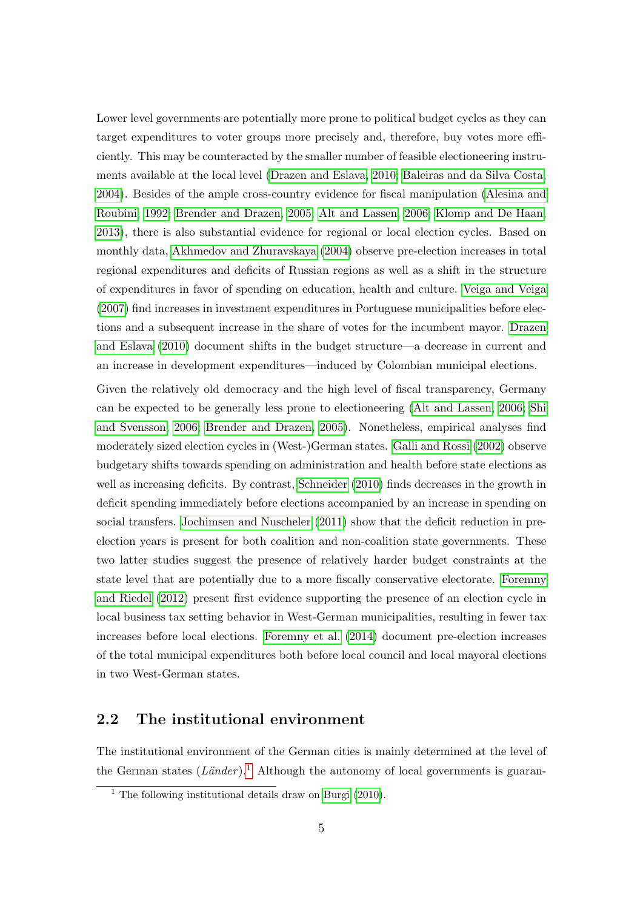Lower level governments are potentially more prone to political budget cycles as they can target expenditures to voter groups more precisely and, therefore, buy votes more efficiently. This may be counteracted by the smaller number of feasible electioneering instruments available at the local level [\(Drazen and Eslava, 2010;](#page-30-1) [Baleiras and da Silva Costa,](#page-29-8) [2004\)](#page-29-8). Besides of the ample cross-country evidence for fiscal manipulation [\(Alesina and](#page-29-7) [Roubini, 1992;](#page-29-7) [Brender and Drazen, 2005;](#page-29-2) [Alt and Lassen, 2006;](#page-29-0) [Klomp and De Haan,](#page-30-6) [2013\)](#page-30-6), there is also substantial evidence for regional or local election cycles. Based on monthly data, [Akhmedov and Zhuravskaya](#page-29-9) [\(2004\)](#page-29-9) observe pre-election increases in total regional expenditures and deficits of Russian regions as well as a shift in the structure of expenditures in favor of spending on education, health and culture. [Veiga and Veiga](#page-31-4) [\(2007\)](#page-31-4) find increases in investment expenditures in Portuguese municipalities before elections and a subsequent increase in the share of votes for the incumbent mayor. [Drazen](#page-30-1) [and Eslava](#page-30-1) [\(2010\)](#page-30-1) document shifts in the budget structure—a decrease in current and an increase in development expenditures—induced by Colombian municipal elections.

Given the relatively old democracy and the high level of fiscal transparency, Germany can be expected to be generally less prone to electioneering [\(Alt and Lassen, 2006;](#page-29-0) [Shi](#page-31-2) [and Svensson, 2006;](#page-31-2) [Brender and Drazen, 2005\)](#page-29-2). Nonetheless, empirical analyses find moderately sized election cycles in (West-)German states. [Galli and Rossi](#page-30-2) [\(2002\)](#page-30-2) observe budgetary shifts towards spending on administration and health before state elections as well as increasing deficits. By contrast, [Schneider](#page-31-3) [\(2010\)](#page-31-3) finds decreases in the growth in deficit spending immediately before elections accompanied by an increase in spending on social transfers. [Jochimsen and Nuscheler](#page-30-3) [\(2011\)](#page-30-3) show that the deficit reduction in preelection years is present for both coalition and non-coalition state governments. These two latter studies suggest the presence of relatively harder budget constraints at the state level that are potentially due to a more fiscally conservative electorate. [Foremny](#page-30-4) [and Riedel](#page-30-4) [\(2012\)](#page-30-4) present first evidence supporting the presence of an election cycle in local business tax setting behavior in West-German municipalities, resulting in fewer tax increases before local elections. [Foremny et al.](#page-30-5) [\(2014\)](#page-30-5) document pre-election increases of the total municipal expenditures both before local council and local mayoral elections in two West-German states.

### <span id="page-6-1"></span>2.2 The institutional environment

The institutional environment of the German cities is mainly determined at the level of the German states  $(Länder)^{1}$  $(Länder)^{1}$  $(Länder)^{1}$ . Although the autonomy of local governments is guaran-

<span id="page-6-0"></span><sup>&</sup>lt;sup>1</sup> The following institutional details draw on [Burgi](#page-29-10)  $(2010)$ .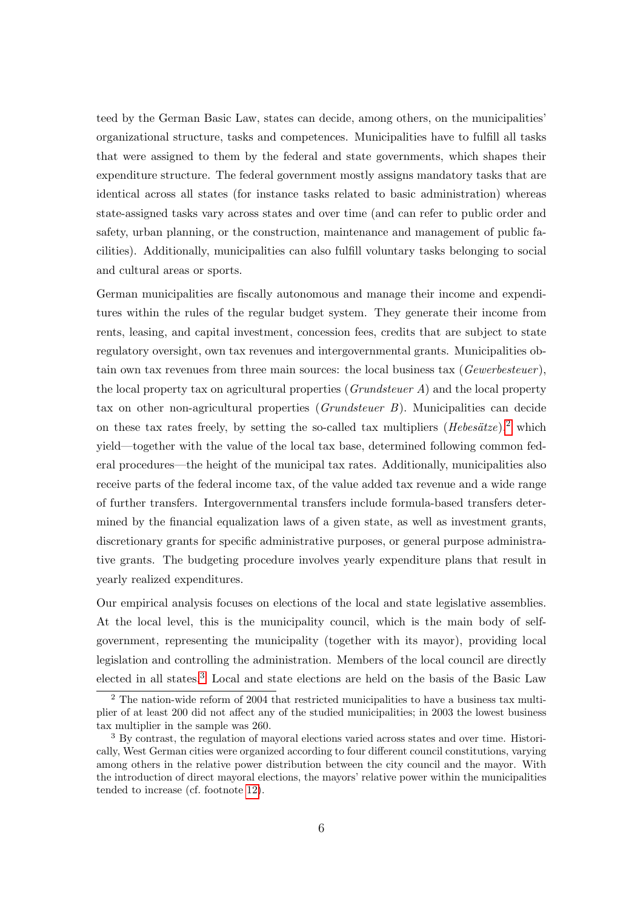teed by the German Basic Law, states can decide, among others, on the municipalities' organizational structure, tasks and competences. Municipalities have to fulfill all tasks that were assigned to them by the federal and state governments, which shapes their expenditure structure. The federal government mostly assigns mandatory tasks that are identical across all states (for instance tasks related to basic administration) whereas state-assigned tasks vary across states and over time (and can refer to public order and safety, urban planning, or the construction, maintenance and management of public facilities). Additionally, municipalities can also fulfill voluntary tasks belonging to social and cultural areas or sports.

German municipalities are fiscally autonomous and manage their income and expenditures within the rules of the regular budget system. They generate their income from rents, leasing, and capital investment, concession fees, credits that are subject to state regulatory oversight, own tax revenues and intergovernmental grants. Municipalities obtain own tax revenues from three main sources: the local business tax ( $Gewer besteur$ ), the local property tax on agricultural properties ( $Grundsteuer A$ ) and the local property tax on other non-agricultural properties (Grundsteuer B). Municipalities can decide on these tax rates freely, by setting the so-called tax multipliers  $(Hebesätze)$ <sup>[2](#page-7-0)</sup> which yield—together with the value of the local tax base, determined following common federal procedures—the height of the municipal tax rates. Additionally, municipalities also receive parts of the federal income tax, of the value added tax revenue and a wide range of further transfers. Intergovernmental transfers include formula-based transfers determined by the financial equalization laws of a given state, as well as investment grants, discretionary grants for specific administrative purposes, or general purpose administrative grants. The budgeting procedure involves yearly expenditure plans that result in yearly realized expenditures.

Our empirical analysis focuses on elections of the local and state legislative assemblies. At the local level, this is the municipality council, which is the main body of selfgovernment, representing the municipality (together with its mayor), providing local legislation and controlling the administration. Members of the local council are directly elected in all states.<sup>[3](#page-7-1)</sup> Local and state elections are held on the basis of the Basic Law

<span id="page-7-0"></span><sup>&</sup>lt;sup>2</sup> The nation-wide reform of 2004 that restricted municipalities to have a business tax multiplier of at least 200 did not affect any of the studied municipalities; in 2003 the lowest business tax multiplier in the sample was 260.

<span id="page-7-1"></span><sup>&</sup>lt;sup>3</sup> By contrast, the regulation of mayoral elections varied across states and over time. Historically, West German cities were organized according to four different council constitutions, varying among others in the relative power distribution between the city council and the mayor. With the introduction of direct mayoral elections, the mayors' relative power within the municipalities tended to increase (cf. footnote [12\)](#page-16-0).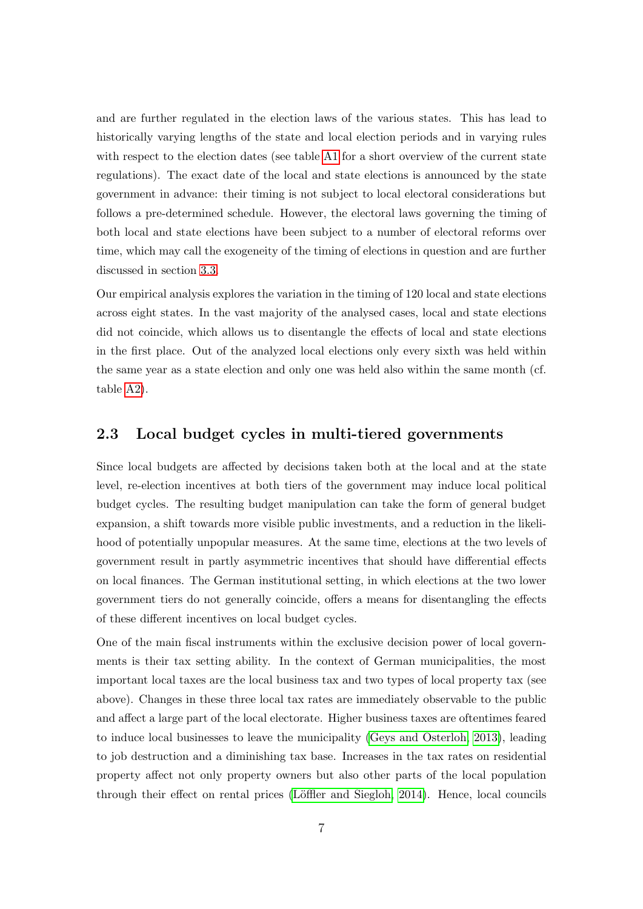and are further regulated in the election laws of the various states. This has lead to historically varying lengths of the state and local election periods and in varying rules with respect to the election dates (see table [A1](#page-33-0) for a short overview of the current state regulations). The exact date of the local and state elections is announced by the state government in advance: their timing is not subject to local electoral considerations but follows a pre-determined schedule. However, the electoral laws governing the timing of both local and state elections have been subject to a number of electoral reforms over time, which may call the exogeneity of the timing of elections in question and are further discussed in section [3.3.](#page-16-1)

Our empirical analysis explores the variation in the timing of 120 local and state elections across eight states. In the vast majority of the analysed cases, local and state elections did not coincide, which allows us to disentangle the effects of local and state elections in the first place. Out of the analyzed local elections only every sixth was held within the same year as a state election and only one was held also within the same month (cf. table [A2\)](#page-34-0).

### 2.3 Local budget cycles in multi-tiered governments

Since local budgets are affected by decisions taken both at the local and at the state level, re-election incentives at both tiers of the government may induce local political budget cycles. The resulting budget manipulation can take the form of general budget expansion, a shift towards more visible public investments, and a reduction in the likelihood of potentially unpopular measures. At the same time, elections at the two levels of government result in partly asymmetric incentives that should have differential effects on local finances. The German institutional setting, in which elections at the two lower government tiers do not generally coincide, offers a means for disentangling the effects of these different incentives on local budget cycles.

One of the main fiscal instruments within the exclusive decision power of local governments is their tax setting ability. In the context of German municipalities, the most important local taxes are the local business tax and two types of local property tax (see above). Changes in these three local tax rates are immediately observable to the public and affect a large part of the local electorate. Higher business taxes are oftentimes feared to induce local businesses to leave the municipality [\(Geys and Osterloh, 2013\)](#page-30-7), leading to job destruction and a diminishing tax base. Increases in the tax rates on residential property affect not only property owners but also other parts of the local population through their effect on rental prices (Löffler and Siegloh, 2014). Hence, local councils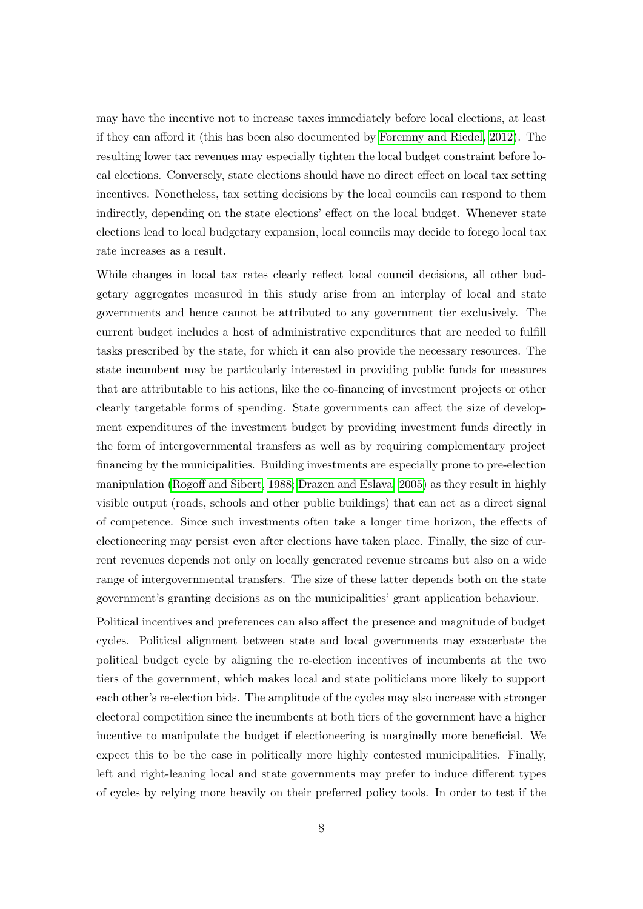may have the incentive not to increase taxes immediately before local elections, at least if they can afford it (this has been also documented by [Foremny and Riedel, 2012\)](#page-30-4). The resulting lower tax revenues may especially tighten the local budget constraint before local elections. Conversely, state elections should have no direct effect on local tax setting incentives. Nonetheless, tax setting decisions by the local councils can respond to them indirectly, depending on the state elections' effect on the local budget. Whenever state elections lead to local budgetary expansion, local councils may decide to forego local tax rate increases as a result.

While changes in local tax rates clearly reflect local council decisions, all other budgetary aggregates measured in this study arise from an interplay of local and state governments and hence cannot be attributed to any government tier exclusively. The current budget includes a host of administrative expenditures that are needed to fulfill tasks prescribed by the state, for which it can also provide the necessary resources. The state incumbent may be particularly interested in providing public funds for measures that are attributable to his actions, like the co-financing of investment projects or other clearly targetable forms of spending. State governments can affect the size of development expenditures of the investment budget by providing investment funds directly in the form of intergovernmental transfers as well as by requiring complementary project financing by the municipalities. Building investments are especially prone to pre-election manipulation [\(Rogoff and Sibert, 1988;](#page-31-0) [Drazen and Eslava, 2005\)](#page-30-9) as they result in highly visible output (roads, schools and other public buildings) that can act as a direct signal of competence. Since such investments often take a longer time horizon, the effects of electioneering may persist even after elections have taken place. Finally, the size of current revenues depends not only on locally generated revenue streams but also on a wide range of intergovernmental transfers. The size of these latter depends both on the state government's granting decisions as on the municipalities' grant application behaviour.

Political incentives and preferences can also affect the presence and magnitude of budget cycles. Political alignment between state and local governments may exacerbate the political budget cycle by aligning the re-election incentives of incumbents at the two tiers of the government, which makes local and state politicians more likely to support each other's re-election bids. The amplitude of the cycles may also increase with stronger electoral competition since the incumbents at both tiers of the government have a higher incentive to manipulate the budget if electioneering is marginally more beneficial. We expect this to be the case in politically more highly contested municipalities. Finally, left and right-leaning local and state governments may prefer to induce different types of cycles by relying more heavily on their preferred policy tools. In order to test if the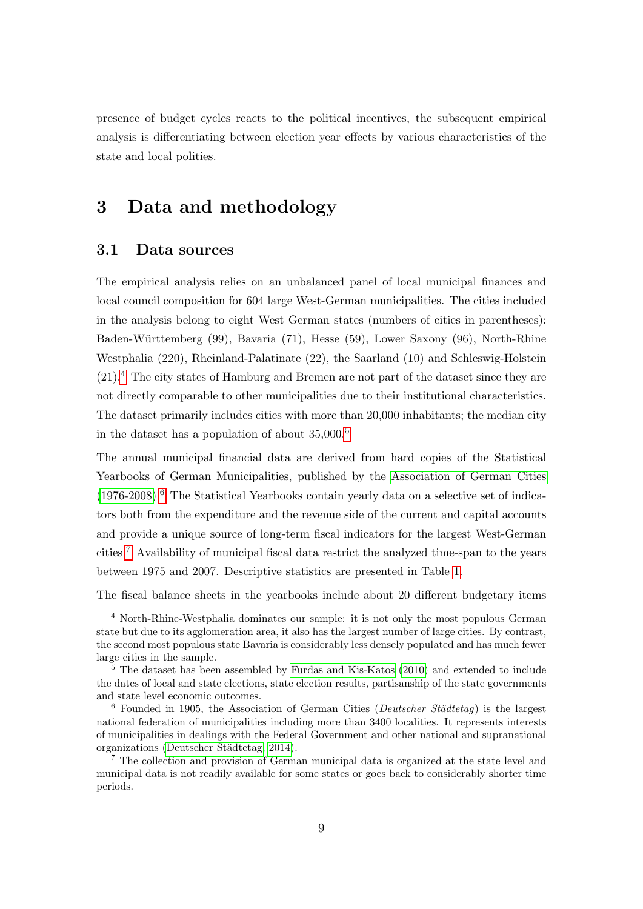presence of budget cycles reacts to the political incentives, the subsequent empirical analysis is differentiating between election year effects by various characteristics of the state and local polities.

## 3 Data and methodology

### 3.1 Data sources

The empirical analysis relies on an unbalanced panel of local municipal finances and local council composition for 604 large West-German municipalities. The cities included in the analysis belong to eight West German states (numbers of cities in parentheses): Baden-W¨urttemberg (99), Bavaria (71), Hesse (59), Lower Saxony (96), North-Rhine Westphalia (220), Rheinland-Palatinate (22), the Saarland (10) and Schleswig-Holstein  $(21).<sup>4</sup>$  $(21).<sup>4</sup>$  $(21).<sup>4</sup>$  The city states of Hamburg and Bremen are not part of the dataset since they are not directly comparable to other municipalities due to their institutional characteristics. The dataset primarily includes cities with more than 20,000 inhabitants; the median city in the dataset has a population of about  $35,000^{5}$  $35,000^{5}$  $35,000^{5}$ 

The annual municipal financial data are derived from hard copies of the Statistical Yearbooks of German Municipalities, published by the [Association of German Cities](#page-29-6)  $(1976-2008).<sup>6</sup>$  $(1976-2008).<sup>6</sup>$  $(1976-2008).<sup>6</sup>$  $(1976-2008).<sup>6</sup>$  The Statistical Yearbooks contain yearly data on a selective set of indicators both from the expenditure and the revenue side of the current and capital accounts and provide a unique source of long-term fiscal indicators for the largest West-German cities.[7](#page-10-3) Availability of municipal fiscal data restrict the analyzed time-span to the years between 1975 and 2007. Descriptive statistics are presented in Table [1.](#page-33-0)

The fiscal balance sheets in the yearbooks include about 20 different budgetary items

<span id="page-10-0"></span><sup>4</sup> North-Rhine-Westphalia dominates our sample: it is not only the most populous German state but due to its agglomeration area, it also has the largest number of large cities. By contrast, the second most populous state Bavaria is considerably less densely populated and has much fewer large cities in the sample.

<span id="page-10-1"></span><sup>5</sup> The dataset has been assembled by [Furdas and Kis-Katos](#page-30-10) [\(2010\)](#page-30-10) and extended to include the dates of local and state elections, state election results, partisanship of the state governments and state level economic outcomes.

<span id="page-10-2"></span> $6$  Founded in 1905, the Association of German Cities (*Deutscher Städtetag*) is the largest national federation of municipalities including more than 3400 localities. It represents interests of municipalities in dealings with the Federal Government and other national and supranational organizations (Deutscher Städtetag, 2014).

<span id="page-10-3"></span><sup>7</sup> The collection and provision of German municipal data is organized at the state level and municipal data is not readily available for some states or goes back to considerably shorter time periods.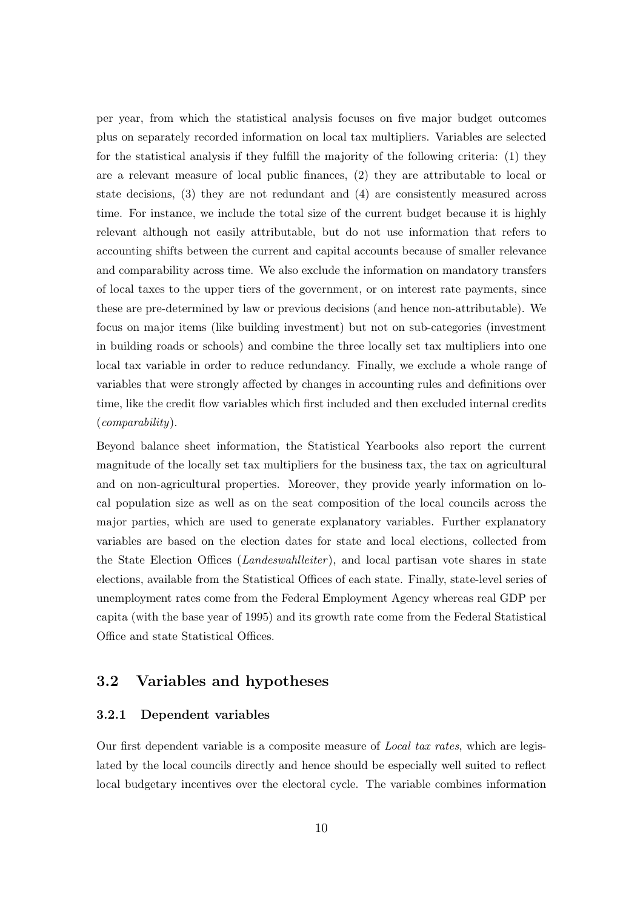per year, from which the statistical analysis focuses on five major budget outcomes plus on separately recorded information on local tax multipliers. Variables are selected for the statistical analysis if they fulfill the majority of the following criteria: (1) they are a relevant measure of local public finances, (2) they are attributable to local or state decisions, (3) they are not redundant and (4) are consistently measured across time. For instance, we include the total size of the current budget because it is highly relevant although not easily attributable, but do not use information that refers to accounting shifts between the current and capital accounts because of smaller relevance and comparability across time. We also exclude the information on mandatory transfers of local taxes to the upper tiers of the government, or on interest rate payments, since these are pre-determined by law or previous decisions (and hence non-attributable). We focus on major items (like building investment) but not on sub-categories (investment in building roads or schools) and combine the three locally set tax multipliers into one local tax variable in order to reduce redundancy. Finally, we exclude a whole range of variables that were strongly affected by changes in accounting rules and definitions over time, like the credit flow variables which first included and then excluded internal credits (comparability).

Beyond balance sheet information, the Statistical Yearbooks also report the current magnitude of the locally set tax multipliers for the business tax, the tax on agricultural and on non-agricultural properties. Moreover, they provide yearly information on local population size as well as on the seat composition of the local councils across the major parties, which are used to generate explanatory variables. Further explanatory variables are based on the election dates for state and local elections, collected from the State Election Offices (Landeswahlleiter), and local partisan vote shares in state elections, available from the Statistical Offices of each state. Finally, state-level series of unemployment rates come from the Federal Employment Agency whereas real GDP per capita (with the base year of 1995) and its growth rate come from the Federal Statistical Office and state Statistical Offices.

### 3.2 Variables and hypotheses

#### 3.2.1 Dependent variables

Our first dependent variable is a composite measure of Local tax rates, which are legislated by the local councils directly and hence should be especially well suited to reflect local budgetary incentives over the electoral cycle. The variable combines information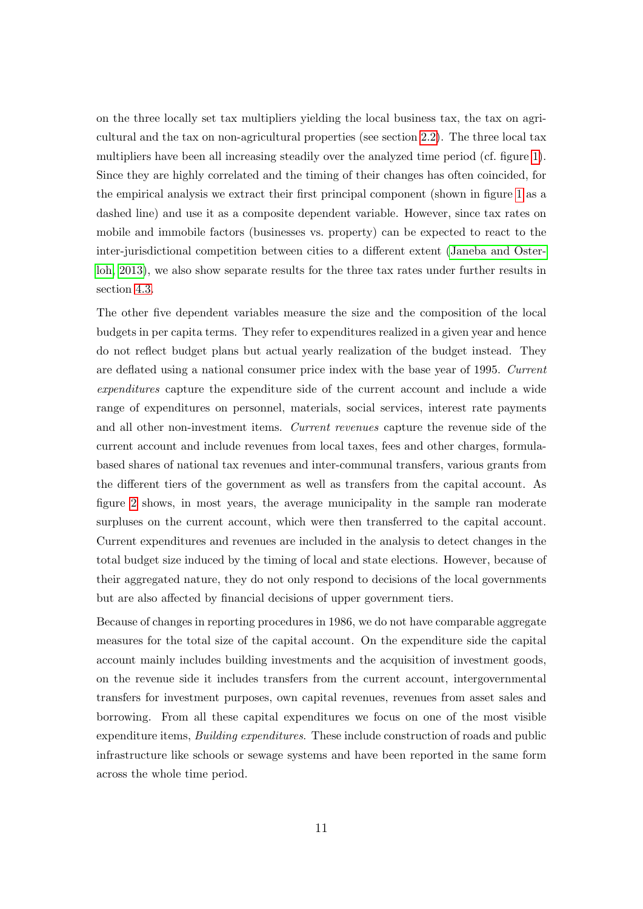on the three locally set tax multipliers yielding the local business tax, the tax on agricultural and the tax on non-agricultural properties (see section [2.2\)](#page-6-1). The three local tax multipliers have been all increasing steadily over the analyzed time period (cf. figure [1\)](#page-32-0). Since they are highly correlated and the timing of their changes has often coincided, for the empirical analysis we extract their first principal component (shown in figure [1](#page-32-0) as a dashed line) and use it as a composite dependent variable. However, since tax rates on mobile and immobile factors (businesses vs. property) can be expected to react to the inter-jurisdictional competition between cities to a different extent [\(Janeba and Oster](#page-30-11)[loh, 2013\)](#page-30-11), we also show separate results for the three tax rates under further results in section [4.3.](#page-25-0)

The other five dependent variables measure the size and the composition of the local budgets in per capita terms. They refer to expenditures realized in a given year and hence do not reflect budget plans but actual yearly realization of the budget instead. They are deflated using a national consumer price index with the base year of 1995. Current expenditures capture the expenditure side of the current account and include a wide range of expenditures on personnel, materials, social services, interest rate payments and all other non-investment items. Current revenues capture the revenue side of the current account and include revenues from local taxes, fees and other charges, formulabased shares of national tax revenues and inter-communal transfers, various grants from the different tiers of the government as well as transfers from the capital account. As figure [2](#page-32-1) shows, in most years, the average municipality in the sample ran moderate surpluses on the current account, which were then transferred to the capital account. Current expenditures and revenues are included in the analysis to detect changes in the total budget size induced by the timing of local and state elections. However, because of their aggregated nature, they do not only respond to decisions of the local governments but are also affected by financial decisions of upper government tiers.

Because of changes in reporting procedures in 1986, we do not have comparable aggregate measures for the total size of the capital account. On the expenditure side the capital account mainly includes building investments and the acquisition of investment goods, on the revenue side it includes transfers from the current account, intergovernmental transfers for investment purposes, own capital revenues, revenues from asset sales and borrowing. From all these capital expenditures we focus on one of the most visible expenditure items, Building expenditures. These include construction of roads and public infrastructure like schools or sewage systems and have been reported in the same form across the whole time period.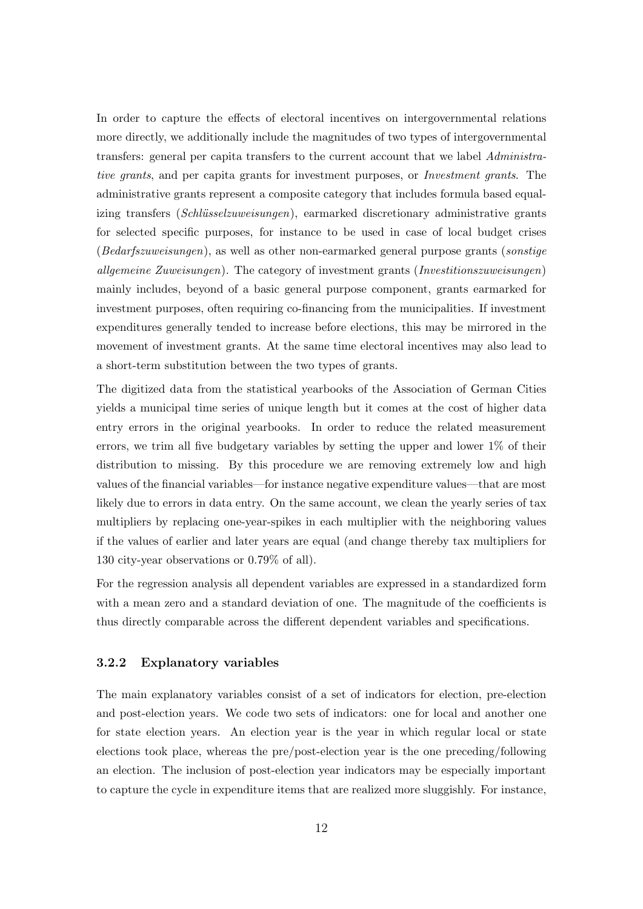In order to capture the effects of electoral incentives on intergovernmental relations more directly, we additionally include the magnitudes of two types of intergovernmental transfers: general per capita transfers to the current account that we label Administrative grants, and per capita grants for investment purposes, or Investment grants. The administrative grants represent a composite category that includes formula based equalizing transfers (Schlüsselzuweisungen), earmarked discretionary administrative grants for selected specific purposes, for instance to be used in case of local budget crises (Bedarfszuweisungen), as well as other non-earmarked general purpose grants (sonstige allgemeine Zuweisungen). The category of investment grants (Investitionszuweisungen) mainly includes, beyond of a basic general purpose component, grants earmarked for investment purposes, often requiring co-financing from the municipalities. If investment expenditures generally tended to increase before elections, this may be mirrored in the movement of investment grants. At the same time electoral incentives may also lead to a short-term substitution between the two types of grants.

The digitized data from the statistical yearbooks of the Association of German Cities yields a municipal time series of unique length but it comes at the cost of higher data entry errors in the original yearbooks. In order to reduce the related measurement errors, we trim all five budgetary variables by setting the upper and lower  $1\%$  of their distribution to missing. By this procedure we are removing extremely low and high values of the financial variables—for instance negative expenditure values—that are most likely due to errors in data entry. On the same account, we clean the yearly series of tax multipliers by replacing one-year-spikes in each multiplier with the neighboring values if the values of earlier and later years are equal (and change thereby tax multipliers for 130 city-year observations or 0.79% of all).

For the regression analysis all dependent variables are expressed in a standardized form with a mean zero and a standard deviation of one. The magnitude of the coefficients is thus directly comparable across the different dependent variables and specifications.

#### 3.2.2 Explanatory variables

The main explanatory variables consist of a set of indicators for election, pre-election and post-election years. We code two sets of indicators: one for local and another one for state election years. An election year is the year in which regular local or state elections took place, whereas the pre/post-election year is the one preceding/following an election. The inclusion of post-election year indicators may be especially important to capture the cycle in expenditure items that are realized more sluggishly. For instance,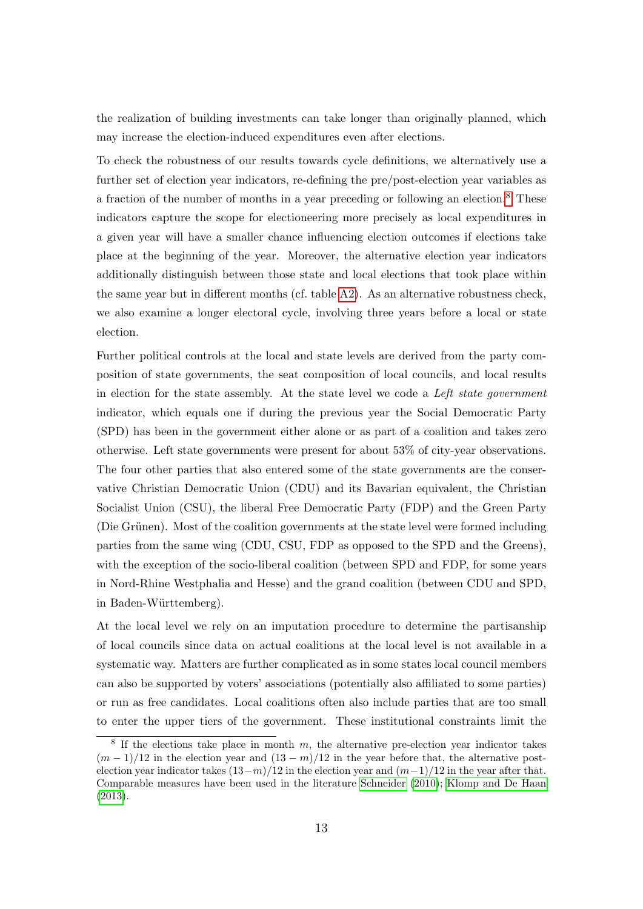the realization of building investments can take longer than originally planned, which may increase the election-induced expenditures even after elections.

To check the robustness of our results towards cycle definitions, we alternatively use a further set of election year indicators, re-defining the pre/post-election year variables as a fraction of the number of months in a year preceding or following an election.[8](#page-14-0) These indicators capture the scope for electioneering more precisely as local expenditures in a given year will have a smaller chance influencing election outcomes if elections take place at the beginning of the year. Moreover, the alternative election year indicators additionally distinguish between those state and local elections that took place within the same year but in different months (cf. table [A2\)](#page-34-0). As an alternative robustness check, we also examine a longer electoral cycle, involving three years before a local or state election.

Further political controls at the local and state levels are derived from the party composition of state governments, the seat composition of local councils, and local results in election for the state assembly. At the state level we code a Left state government indicator, which equals one if during the previous year the Social Democratic Party (SPD) has been in the government either alone or as part of a coalition and takes zero otherwise. Left state governments were present for about 53% of city-year observations. The four other parties that also entered some of the state governments are the conservative Christian Democratic Union (CDU) and its Bavarian equivalent, the Christian Socialist Union (CSU), the liberal Free Democratic Party (FDP) and the Green Party (Die Grünen). Most of the coalition governments at the state level were formed including parties from the same wing (CDU, CSU, FDP as opposed to the SPD and the Greens), with the exception of the socio-liberal coalition (between SPD and FDP, for some years in Nord-Rhine Westphalia and Hesse) and the grand coalition (between CDU and SPD, in Baden-Württemberg).

At the local level we rely on an imputation procedure to determine the partisanship of local councils since data on actual coalitions at the local level is not available in a systematic way. Matters are further complicated as in some states local council members can also be supported by voters' associations (potentially also affiliated to some parties) or run as free candidates. Local coalitions often also include parties that are too small to enter the upper tiers of the government. These institutional constraints limit the

<span id="page-14-0"></span> $8$  If the elections take place in month  $m$ , the alternative pre-election year indicator takes  $(m-1)/12$  in the election year and  $(13-m)/12$  in the year before that, the alternative postelection year indicator takes  $(13-m)/12$  in the election year and  $(m-1)/12$  in the year after that. Comparable measures have been used in the literature [Schneider](#page-31-3) [\(2010\)](#page-31-3); [Klomp and De Haan](#page-30-6) [\(2013\)](#page-30-6).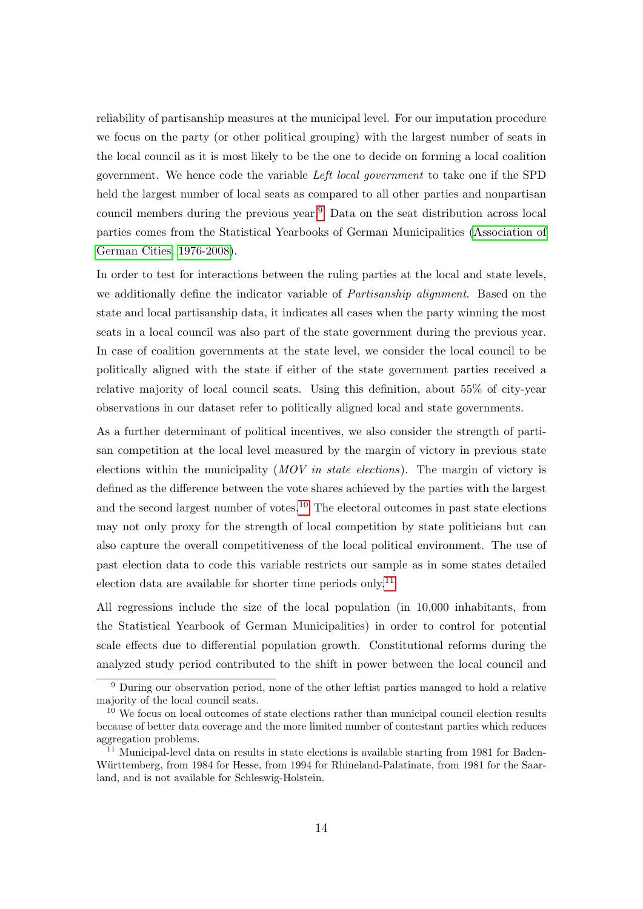reliability of partisanship measures at the municipal level. For our imputation procedure we focus on the party (or other political grouping) with the largest number of seats in the local council as it is most likely to be the one to decide on forming a local coalition government. We hence code the variable Left local government to take one if the SPD held the largest number of local seats as compared to all other parties and nonpartisan council members during the previous year.[9](#page-15-0) Data on the seat distribution across local parties comes from the Statistical Yearbooks of German Municipalities [\(Association of](#page-29-6) [German Cities, 1976-2008\)](#page-29-6).

In order to test for interactions between the ruling parties at the local and state levels, we additionally define the indicator variable of Partisanship alignment. Based on the state and local partisanship data, it indicates all cases when the party winning the most seats in a local council was also part of the state government during the previous year. In case of coalition governments at the state level, we consider the local council to be politically aligned with the state if either of the state government parties received a relative majority of local council seats. Using this definition, about 55% of city-year observations in our dataset refer to politically aligned local and state governments.

As a further determinant of political incentives, we also consider the strength of partisan competition at the local level measured by the margin of victory in previous state elections within the municipality  $(MOV\text{ in state electrons}).$  The margin of victory is defined as the difference between the vote shares achieved by the parties with the largest and the second largest number of votes.<sup>[10](#page-15-1)</sup> The electoral outcomes in past state elections may not only proxy for the strength of local competition by state politicians but can also capture the overall competitiveness of the local political environment. The use of past election data to code this variable restricts our sample as in some states detailed election data are available for shorter time periods only.<sup>[11](#page-15-2)</sup>

All regressions include the size of the local population (in 10,000 inhabitants, from the Statistical Yearbook of German Municipalities) in order to control for potential scale effects due to differential population growth. Constitutional reforms during the analyzed study period contributed to the shift in power between the local council and

<span id="page-15-0"></span><sup>9</sup> During our observation period, none of the other leftist parties managed to hold a relative majority of the local council seats.

<span id="page-15-1"></span> $10$  We focus on local outcomes of state elections rather than municipal council election results because of better data coverage and the more limited number of contestant parties which reduces aggregation problems.

<span id="page-15-2"></span><sup>&</sup>lt;sup>11</sup> Municipal-level data on results in state elections is available starting from 1981 for Baden-Württemberg, from 1984 for Hesse, from 1994 for Rhineland-Palatinate, from 1981 for the Saarland, and is not available for Schleswig-Holstein.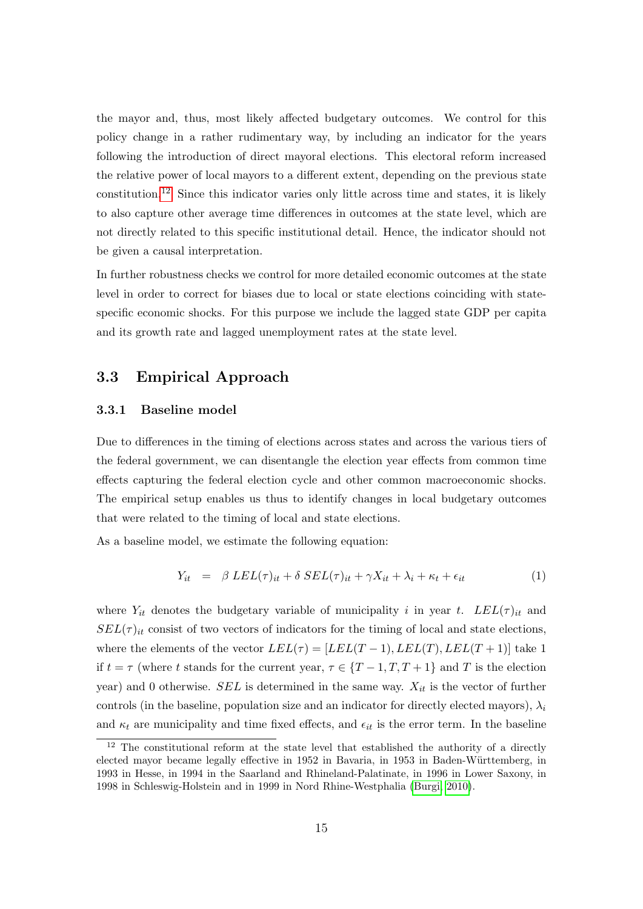the mayor and, thus, most likely affected budgetary outcomes. We control for this policy change in a rather rudimentary way, by including an indicator for the years following the introduction of direct mayoral elections. This electoral reform increased the relative power of local mayors to a different extent, depending on the previous state constitution.[12](#page-16-0) Since this indicator varies only little across time and states, it is likely to also capture other average time differences in outcomes at the state level, which are not directly related to this specific institutional detail. Hence, the indicator should not be given a causal interpretation.

In further robustness checks we control for more detailed economic outcomes at the state level in order to correct for biases due to local or state elections coinciding with statespecific economic shocks. For this purpose we include the lagged state GDP per capita and its growth rate and lagged unemployment rates at the state level.

### <span id="page-16-1"></span>3.3 Empirical Approach

#### 3.3.1 Baseline model

Due to differences in the timing of elections across states and across the various tiers of the federal government, we can disentangle the election year effects from common time effects capturing the federal election cycle and other common macroeconomic shocks. The empirical setup enables us thus to identify changes in local budgetary outcomes that were related to the timing of local and state elections.

As a baseline model, we estimate the following equation:

<span id="page-16-2"></span>
$$
Y_{it} = \beta LEL(\tau)_{it} + \delta SEL(\tau)_{it} + \gamma X_{it} + \lambda_i + \kappa_t + \epsilon_{it}
$$
\n(1)

where  $Y_{it}$  denotes the budgetary variable of municipality i in year t.  $LEL(\tau)_{it}$  and  $SEL(\tau)_{it}$  consist of two vectors of indicators for the timing of local and state elections, where the elements of the vector  $LEL(\tau) = [LEL(T-1), LEL(T), LEL(T+1)]$  take 1 if  $t = \tau$  (where t stands for the current year,  $\tau \in \{T-1, T, T+1\}$  and T is the election year) and 0 otherwise. SEL is determined in the same way.  $X_{it}$  is the vector of further controls (in the baseline, population size and an indicator for directly elected mayors),  $\lambda_i$ and  $\kappa_t$  are municipality and time fixed effects, and  $\epsilon_{it}$  is the error term. In the baseline

<span id="page-16-0"></span><sup>&</sup>lt;sup>12</sup> The constitutional reform at the state level that established the authority of a directly elected mayor became legally effective in 1952 in Bavaria, in 1953 in Baden-Württemberg, in 1993 in Hesse, in 1994 in the Saarland and Rhineland-Palatinate, in 1996 in Lower Saxony, in 1998 in Schleswig-Holstein and in 1999 in Nord Rhine-Westphalia [\(Burgi, 2010\)](#page-29-10).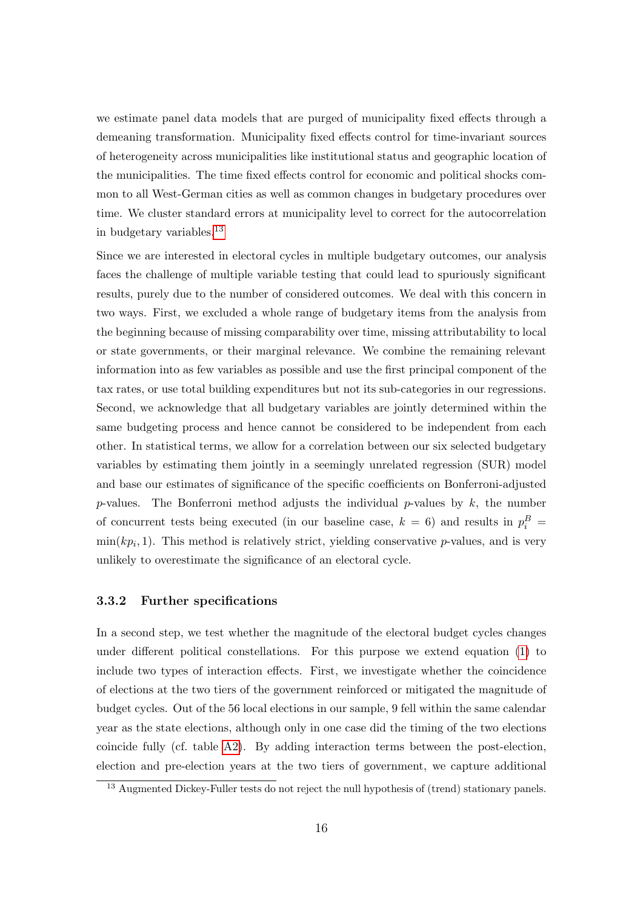we estimate panel data models that are purged of municipality fixed effects through a demeaning transformation. Municipality fixed effects control for time-invariant sources of heterogeneity across municipalities like institutional status and geographic location of the municipalities. The time fixed effects control for economic and political shocks common to all West-German cities as well as common changes in budgetary procedures over time. We cluster standard errors at municipality level to correct for the autocorrelation in budgetary variables.[13](#page-17-0)

Since we are interested in electoral cycles in multiple budgetary outcomes, our analysis faces the challenge of multiple variable testing that could lead to spuriously significant results, purely due to the number of considered outcomes. We deal with this concern in two ways. First, we excluded a whole range of budgetary items from the analysis from the beginning because of missing comparability over time, missing attributability to local or state governments, or their marginal relevance. We combine the remaining relevant information into as few variables as possible and use the first principal component of the tax rates, or use total building expenditures but not its sub-categories in our regressions. Second, we acknowledge that all budgetary variables are jointly determined within the same budgeting process and hence cannot be considered to be independent from each other. In statistical terms, we allow for a correlation between our six selected budgetary variables by estimating them jointly in a seemingly unrelated regression (SUR) model and base our estimates of significance of the specific coefficients on Bonferroni-adjusted p-values. The Bonferroni method adjusts the individual p-values by  $k$ , the number of concurrent tests being executed (in our baseline case,  $k = 6$ ) and results in  $p_i^B =$  $\min(kp_i, 1)$ . This method is relatively strict, yielding conservative p-values, and is very unlikely to overestimate the significance of an electoral cycle.

#### 3.3.2 Further specifications

In a second step, we test whether the magnitude of the electoral budget cycles changes under different political constellations. For this purpose we extend equation [\(1\)](#page-16-2) to include two types of interaction effects. First, we investigate whether the coincidence of elections at the two tiers of the government reinforced or mitigated the magnitude of budget cycles. Out of the 56 local elections in our sample, 9 fell within the same calendar year as the state elections, although only in one case did the timing of the two elections coincide fully (cf. table [A2\)](#page-34-0). By adding interaction terms between the post-election, election and pre-election years at the two tiers of government, we capture additional

<span id="page-17-0"></span><sup>&</sup>lt;sup>13</sup> Augmented Dickey-Fuller tests do not reject the null hypothesis of (trend) stationary panels.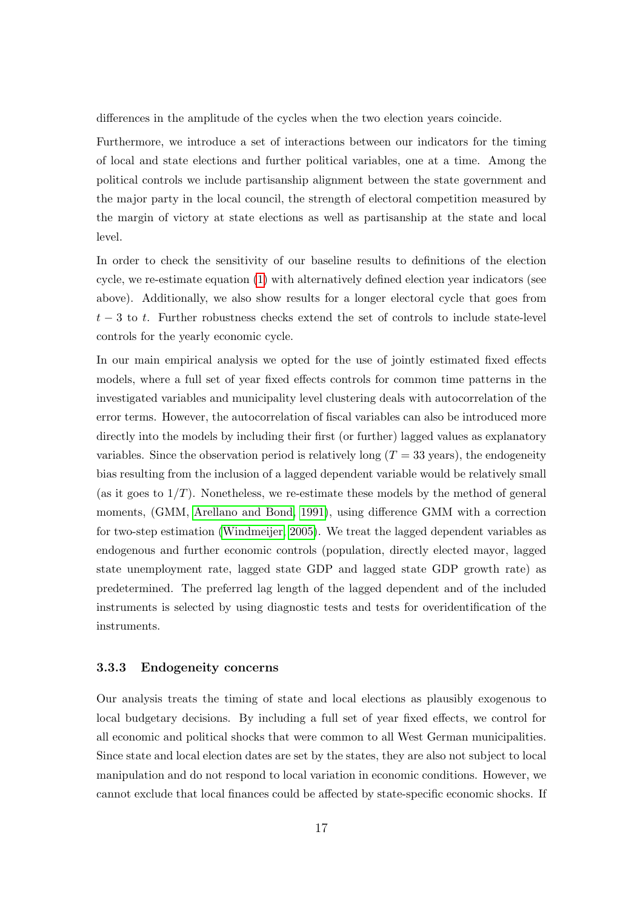differences in the amplitude of the cycles when the two election years coincide.

Furthermore, we introduce a set of interactions between our indicators for the timing of local and state elections and further political variables, one at a time. Among the political controls we include partisanship alignment between the state government and the major party in the local council, the strength of electoral competition measured by the margin of victory at state elections as well as partisanship at the state and local level.

In order to check the sensitivity of our baseline results to definitions of the election cycle, we re-estimate equation [\(1\)](#page-16-2) with alternatively defined election year indicators (see above). Additionally, we also show results for a longer electoral cycle that goes from  $t-3$  to t. Further robustness checks extend the set of controls to include state-level controls for the yearly economic cycle.

In our main empirical analysis we opted for the use of jointly estimated fixed effects models, where a full set of year fixed effects controls for common time patterns in the investigated variables and municipality level clustering deals with autocorrelation of the error terms. However, the autocorrelation of fiscal variables can also be introduced more directly into the models by including their first (or further) lagged values as explanatory variables. Since the observation period is relatively long  $(T = 33 \text{ years})$ , the endogeneity bias resulting from the inclusion of a lagged dependent variable would be relatively small (as it goes to  $1/T$ ). Nonetheless, we re-estimate these models by the method of general moments, (GMM, [Arellano and Bond, 1991\)](#page-29-12), using difference GMM with a correction for two-step estimation [\(Windmeijer, 2005\)](#page-31-9). We treat the lagged dependent variables as endogenous and further economic controls (population, directly elected mayor, lagged state unemployment rate, lagged state GDP and lagged state GDP growth rate) as predetermined. The preferred lag length of the lagged dependent and of the included instruments is selected by using diagnostic tests and tests for overidentification of the instruments.

#### 3.3.3 Endogeneity concerns

Our analysis treats the timing of state and local elections as plausibly exogenous to local budgetary decisions. By including a full set of year fixed effects, we control for all economic and political shocks that were common to all West German municipalities. Since state and local election dates are set by the states, they are also not subject to local manipulation and do not respond to local variation in economic conditions. However, we cannot exclude that local finances could be affected by state-specific economic shocks. If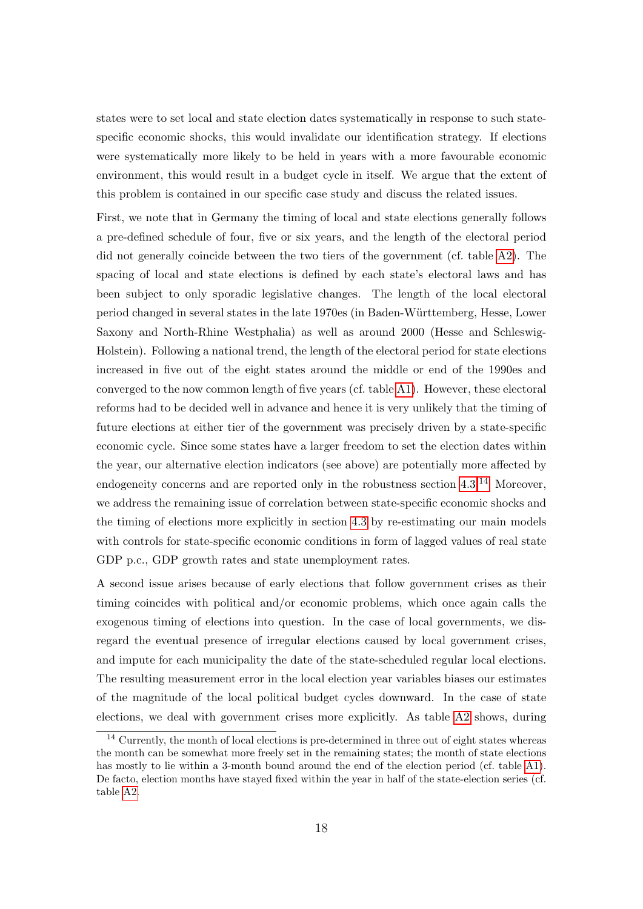states were to set local and state election dates systematically in response to such statespecific economic shocks, this would invalidate our identification strategy. If elections were systematically more likely to be held in years with a more favourable economic environment, this would result in a budget cycle in itself. We argue that the extent of this problem is contained in our specific case study and discuss the related issues.

First, we note that in Germany the timing of local and state elections generally follows a pre-defined schedule of four, five or six years, and the length of the electoral period did not generally coincide between the two tiers of the government (cf. table [A2\)](#page-34-0). The spacing of local and state elections is defined by each state's electoral laws and has been subject to only sporadic legislative changes. The length of the local electoral period changed in several states in the late 1970es (in Baden-W¨urttemberg, Hesse, Lower Saxony and North-Rhine Westphalia) as well as around 2000 (Hesse and Schleswig-Holstein). Following a national trend, the length of the electoral period for state elections increased in five out of the eight states around the middle or end of the 1990es and converged to the now common length of five years (cf. table [A1\)](#page-33-0). However, these electoral reforms had to be decided well in advance and hence it is very unlikely that the timing of future elections at either tier of the government was precisely driven by a state-specific economic cycle. Since some states have a larger freedom to set the election dates within the year, our alternative election indicators (see above) are potentially more affected by endogeneity concerns and are reported only in the robustness section  $4.3^{14}$  $4.3^{14}$  $4.3^{14}$  Moreover, we address the remaining issue of correlation between state-specific economic shocks and the timing of elections more explicitly in section [4.3](#page-25-0) by re-estimating our main models with controls for state-specific economic conditions in form of lagged values of real state GDP p.c., GDP growth rates and state unemployment rates.

A second issue arises because of early elections that follow government crises as their timing coincides with political and/or economic problems, which once again calls the exogenous timing of elections into question. In the case of local governments, we disregard the eventual presence of irregular elections caused by local government crises, and impute for each municipality the date of the state-scheduled regular local elections. The resulting measurement error in the local election year variables biases our estimates of the magnitude of the local political budget cycles downward. In the case of state elections, we deal with government crises more explicitly. As table [A2](#page-34-0) shows, during

<span id="page-19-0"></span><sup>&</sup>lt;sup>14</sup> Currently, the month of local elections is pre-determined in three out of eight states whereas the month can be somewhat more freely set in the remaining states; the month of state elections has mostly to lie within a 3-month bound around the end of the election period (cf. table [A1\)](#page-33-0). De facto, election months have stayed fixed within the year in half of the state-election series (cf. table [A2.](#page-34-0)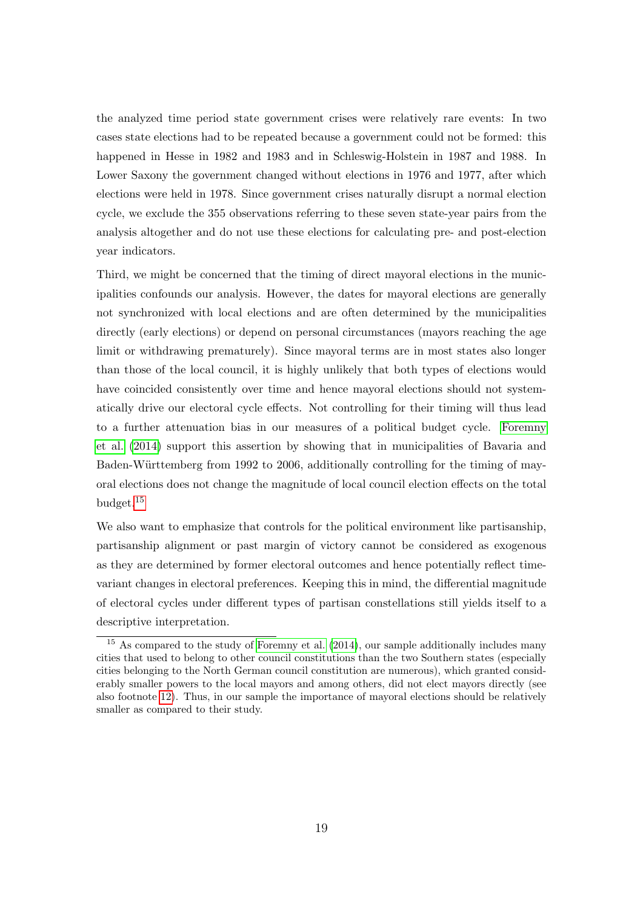the analyzed time period state government crises were relatively rare events: In two cases state elections had to be repeated because a government could not be formed: this happened in Hesse in 1982 and 1983 and in Schleswig-Holstein in 1987 and 1988. In Lower Saxony the government changed without elections in 1976 and 1977, after which elections were held in 1978. Since government crises naturally disrupt a normal election cycle, we exclude the 355 observations referring to these seven state-year pairs from the analysis altogether and do not use these elections for calculating pre- and post-election year indicators.

Third, we might be concerned that the timing of direct mayoral elections in the municipalities confounds our analysis. However, the dates for mayoral elections are generally not synchronized with local elections and are often determined by the municipalities directly (early elections) or depend on personal circumstances (mayors reaching the age limit or withdrawing prematurely). Since mayoral terms are in most states also longer than those of the local council, it is highly unlikely that both types of elections would have coincided consistently over time and hence mayoral elections should not systematically drive our electoral cycle effects. Not controlling for their timing will thus lead to a further attenuation bias in our measures of a political budget cycle. [Foremny](#page-30-5) [et al.](#page-30-5) [\(2014\)](#page-30-5) support this assertion by showing that in municipalities of Bavaria and Baden-Württemberg from 1992 to 2006, additionally controlling for the timing of mayoral elections does not change the magnitude of local council election effects on the total budget.[15](#page-20-0)

We also want to emphasize that controls for the political environment like partisanship. partisanship alignment or past margin of victory cannot be considered as exogenous as they are determined by former electoral outcomes and hence potentially reflect timevariant changes in electoral preferences. Keeping this in mind, the differential magnitude of electoral cycles under different types of partisan constellations still yields itself to a descriptive interpretation.

<span id="page-20-0"></span><sup>&</sup>lt;sup>15</sup> As compared to the study of [Foremny et al.](#page-30-5) [\(2014\)](#page-30-5), our sample additionally includes many cities that used to belong to other council constitutions than the two Southern states (especially cities belonging to the North German council constitution are numerous), which granted considerably smaller powers to the local mayors and among others, did not elect mayors directly (see also footnote [12\)](#page-16-0). Thus, in our sample the importance of mayoral elections should be relatively smaller as compared to their study.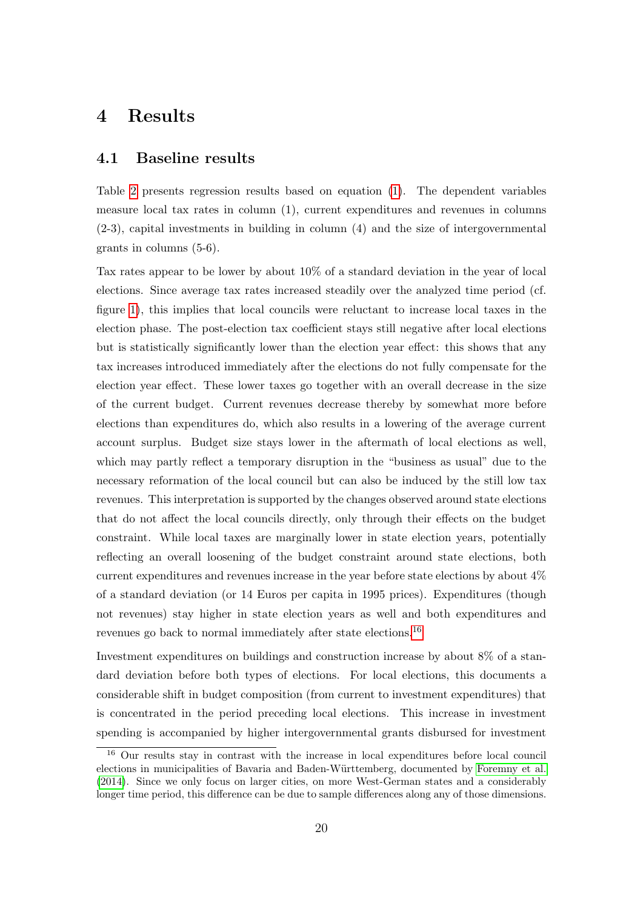## 4 Results

### 4.1 Baseline results

Table [2](#page-34-0) presents regression results based on equation [\(1\)](#page-16-2). The dependent variables measure local tax rates in column (1), current expenditures and revenues in columns (2-3), capital investments in building in column (4) and the size of intergovernmental grants in columns (5-6).

Tax rates appear to be lower by about 10% of a standard deviation in the year of local elections. Since average tax rates increased steadily over the analyzed time period (cf. figure [1\)](#page-32-0), this implies that local councils were reluctant to increase local taxes in the election phase. The post-election tax coefficient stays still negative after local elections but is statistically significantly lower than the election year effect: this shows that any tax increases introduced immediately after the elections do not fully compensate for the election year effect. These lower taxes go together with an overall decrease in the size of the current budget. Current revenues decrease thereby by somewhat more before elections than expenditures do, which also results in a lowering of the average current account surplus. Budget size stays lower in the aftermath of local elections as well, which may partly reflect a temporary disruption in the "business as usual" due to the necessary reformation of the local council but can also be induced by the still low tax revenues. This interpretation is supported by the changes observed around state elections that do not affect the local councils directly, only through their effects on the budget constraint. While local taxes are marginally lower in state election years, potentially reflecting an overall loosening of the budget constraint around state elections, both current expenditures and revenues increase in the year before state elections by about 4% of a standard deviation (or 14 Euros per capita in 1995 prices). Expenditures (though not revenues) stay higher in state election years as well and both expenditures and revenues go back to normal immediately after state elections.<sup>[16](#page-21-0)</sup>

Investment expenditures on buildings and construction increase by about 8% of a standard deviation before both types of elections. For local elections, this documents a considerable shift in budget composition (from current to investment expenditures) that is concentrated in the period preceding local elections. This increase in investment spending is accompanied by higher intergovernmental grants disbursed for investment

<span id="page-21-0"></span><sup>16</sup> Our results stay in contrast with the increase in local expenditures before local council elections in municipalities of Bavaria and Baden-W¨urttemberg, documented by [Foremny et al.](#page-30-5) [\(2014\)](#page-30-5). Since we only focus on larger cities, on more West-German states and a considerably longer time period, this difference can be due to sample differences along any of those dimensions.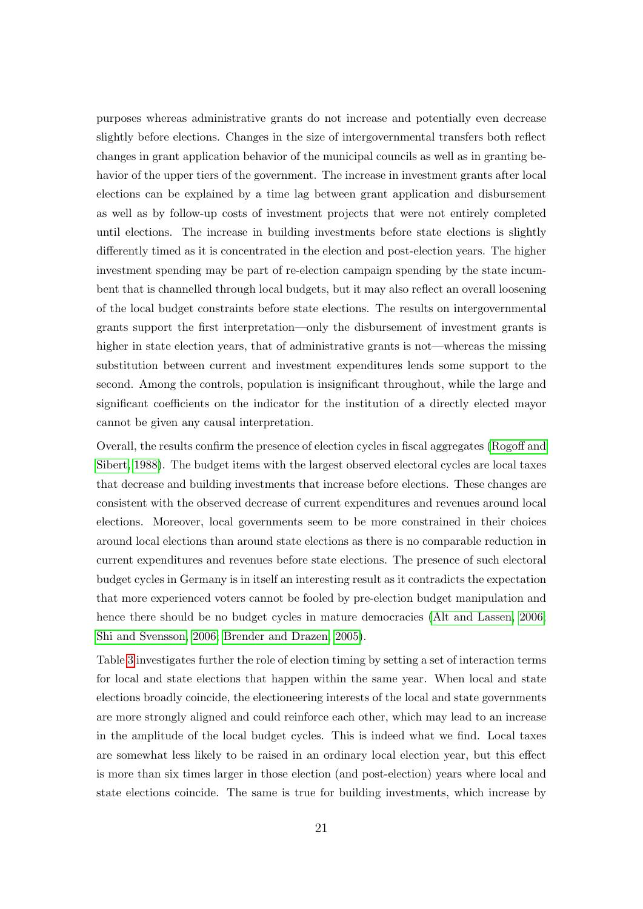purposes whereas administrative grants do not increase and potentially even decrease slightly before elections. Changes in the size of intergovernmental transfers both reflect changes in grant application behavior of the municipal councils as well as in granting behavior of the upper tiers of the government. The increase in investment grants after local elections can be explained by a time lag between grant application and disbursement as well as by follow-up costs of investment projects that were not entirely completed until elections. The increase in building investments before state elections is slightly differently timed as it is concentrated in the election and post-election years. The higher investment spending may be part of re-election campaign spending by the state incumbent that is channelled through local budgets, but it may also reflect an overall loosening of the local budget constraints before state elections. The results on intergovernmental grants support the first interpretation—only the disbursement of investment grants is higher in state election years, that of administrative grants is not—whereas the missing substitution between current and investment expenditures lends some support to the second. Among the controls, population is insignificant throughout, while the large and significant coefficients on the indicator for the institution of a directly elected mayor cannot be given any causal interpretation.

Overall, the results confirm the presence of election cycles in fiscal aggregates [\(Rogoff and](#page-31-0) [Sibert, 1988\)](#page-31-0). The budget items with the largest observed electoral cycles are local taxes that decrease and building investments that increase before elections. These changes are consistent with the observed decrease of current expenditures and revenues around local elections. Moreover, local governments seem to be more constrained in their choices around local elections than around state elections as there is no comparable reduction in current expenditures and revenues before state elections. The presence of such electoral budget cycles in Germany is in itself an interesting result as it contradicts the expectation that more experienced voters cannot be fooled by pre-election budget manipulation and hence there should be no budget cycles in mature democracies [\(Alt and Lassen, 2006;](#page-29-0) [Shi and Svensson, 2006;](#page-31-2) [Brender and Drazen, 2005\)](#page-29-2).

Table [3](#page-35-0) investigates further the role of election timing by setting a set of interaction terms for local and state elections that happen within the same year. When local and state elections broadly coincide, the electioneering interests of the local and state governments are more strongly aligned and could reinforce each other, which may lead to an increase in the amplitude of the local budget cycles. This is indeed what we find. Local taxes are somewhat less likely to be raised in an ordinary local election year, but this effect is more than six times larger in those election (and post-election) years where local and state elections coincide. The same is true for building investments, which increase by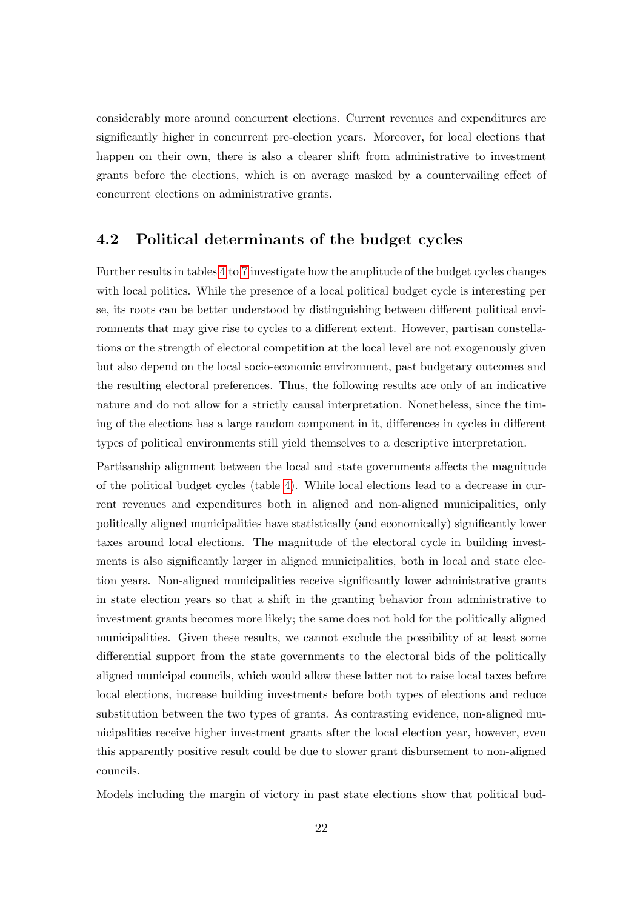considerably more around concurrent elections. Current revenues and expenditures are significantly higher in concurrent pre-election years. Moreover, for local elections that happen on their own, there is also a clearer shift from administrative to investment grants before the elections, which is on average masked by a countervailing effect of concurrent elections on administrative grants.

### 4.2 Political determinants of the budget cycles

Further results in tables [4](#page-36-0) to [7](#page-39-0) investigate how the amplitude of the budget cycles changes with local politics. While the presence of a local political budget cycle is interesting per se, its roots can be better understood by distinguishing between different political environments that may give rise to cycles to a different extent. However, partisan constellations or the strength of electoral competition at the local level are not exogenously given but also depend on the local socio-economic environment, past budgetary outcomes and the resulting electoral preferences. Thus, the following results are only of an indicative nature and do not allow for a strictly causal interpretation. Nonetheless, since the timing of the elections has a large random component in it, differences in cycles in different types of political environments still yield themselves to a descriptive interpretation.

Partisanship alignment between the local and state governments affects the magnitude of the political budget cycles (table [4\)](#page-36-0). While local elections lead to a decrease in current revenues and expenditures both in aligned and non-aligned municipalities, only politically aligned municipalities have statistically (and economically) significantly lower taxes around local elections. The magnitude of the electoral cycle in building investments is also significantly larger in aligned municipalities, both in local and state election years. Non-aligned municipalities receive significantly lower administrative grants in state election years so that a shift in the granting behavior from administrative to investment grants becomes more likely; the same does not hold for the politically aligned municipalities. Given these results, we cannot exclude the possibility of at least some differential support from the state governments to the electoral bids of the politically aligned municipal councils, which would allow these latter not to raise local taxes before local elections, increase building investments before both types of elections and reduce substitution between the two types of grants. As contrasting evidence, non-aligned municipalities receive higher investment grants after the local election year, however, even this apparently positive result could be due to slower grant disbursement to non-aligned councils.

Models including the margin of victory in past state elections show that political bud-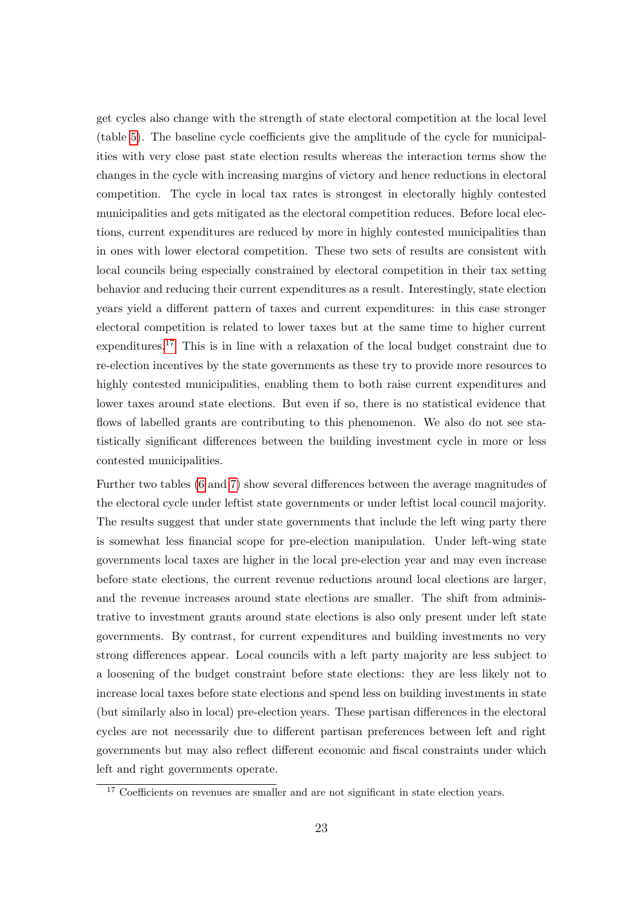get cycles also change with the strength of state electoral competition at the local level (table [5\)](#page-37-0). The baseline cycle coefficients give the amplitude of the cycle for municipalities with very close past state election results whereas the interaction terms show the changes in the cycle with increasing margins of victory and hence reductions in electoral competition. The cycle in local tax rates is strongest in electorally highly contested municipalities and gets mitigated as the electoral competition reduces. Before local elections, current expenditures are reduced by more in highly contested municipalities than in ones with lower electoral competition. These two sets of results are consistent with local councils being especially constrained by electoral competition in their tax setting behavior and reducing their current expenditures as a result. Interestingly, state election years yield a different pattern of taxes and current expenditures: in this case stronger electoral competition is related to lower taxes but at the same time to higher current expenditures.<sup>[17](#page-24-0)</sup> This is in line with a relaxation of the local budget constraint due to re-election incentives by the state governments as these try to provide more resources to highly contested municipalities, enabling them to both raise current expenditures and lower taxes around state elections. But even if so, there is no statistical evidence that flows of labelled grants are contributing to this phenomenon. We also do not see statistically significant differences between the building investment cycle in more or less contested municipalities.

Further two tables [\(6](#page-38-0) and [7\)](#page-39-0) show several differences between the average magnitudes of the electoral cycle under leftist state governments or under leftist local council majority. The results suggest that under state governments that include the left wing party there is somewhat less financial scope for pre-election manipulation. Under left-wing state governments local taxes are higher in the local pre-election year and may even increase before state elections, the current revenue reductions around local elections are larger, and the revenue increases around state elections are smaller. The shift from administrative to investment grants around state elections is also only present under left state governments. By contrast, for current expenditures and building investments no very strong differences appear. Local councils with a left party majority are less subject to a loosening of the budget constraint before state elections: they are less likely not to increase local taxes before state elections and spend less on building investments in state (but similarly also in local) pre-election years. These partisan differences in the electoral cycles are not necessarily due to different partisan preferences between left and right governments but may also reflect different economic and fiscal constraints under which left and right governments operate.

<span id="page-24-0"></span><sup>&</sup>lt;sup>17</sup> Coefficients on revenues are smaller and are not significant in state election years.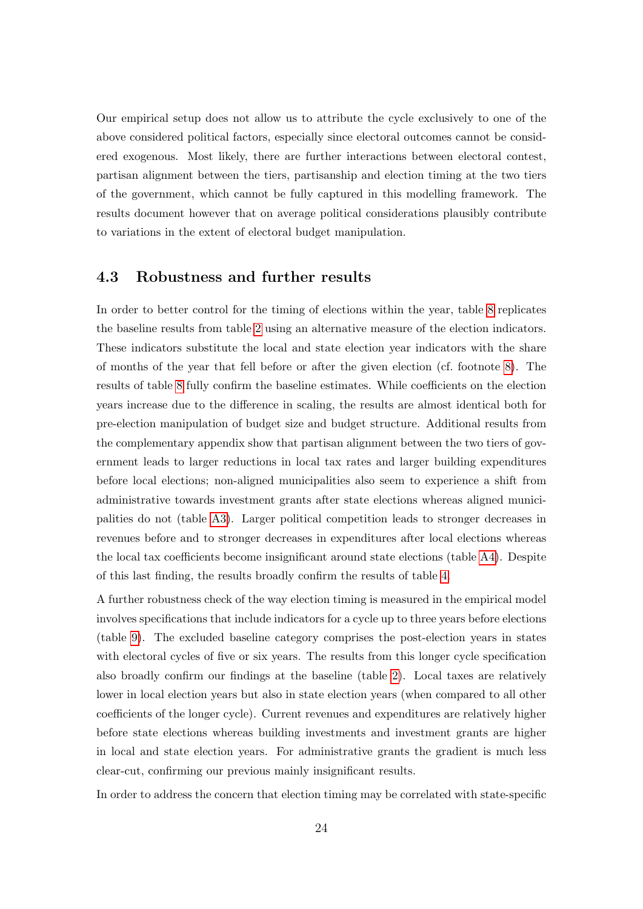Our empirical setup does not allow us to attribute the cycle exclusively to one of the above considered political factors, especially since electoral outcomes cannot be considered exogenous. Most likely, there are further interactions between electoral contest, partisan alignment between the tiers, partisanship and election timing at the two tiers of the government, which cannot be fully captured in this modelling framework. The results document however that on average political considerations plausibly contribute to variations in the extent of electoral budget manipulation.

### <span id="page-25-0"></span>4.3 Robustness and further results

In order to better control for the timing of elections within the year, table [8](#page-40-0) replicates the baseline results from table [2](#page-34-0) using an alternative measure of the election indicators. These indicators substitute the local and state election year indicators with the share of months of the year that fell before or after the given election (cf. footnote [8\)](#page-14-0). The results of table [8](#page-40-0) fully confirm the baseline estimates. While coefficients on the election years increase due to the difference in scaling, the results are almost identical both for pre-election manipulation of budget size and budget structure. Additional results from the complementary appendix show that partisan alignment between the two tiers of government leads to larger reductions in local tax rates and larger building expenditures before local elections; non-aligned municipalities also seem to experience a shift from administrative towards investment grants after state elections whereas aligned municipalities do not (table [A3\)](#page-35-0). Larger political competition leads to stronger decreases in revenues before and to stronger decreases in expenditures after local elections whereas the local tax coefficients become insignificant around state elections (table [A4\)](#page-36-0). Despite of this last finding, the results broadly confirm the results of table [4.](#page-36-0)

A further robustness check of the way election timing is measured in the empirical model involves specifications that include indicators for a cycle up to three years before elections (table [9\)](#page-41-0). The excluded baseline category comprises the post-election years in states with electoral cycles of five or six years. The results from this longer cycle specification also broadly confirm our findings at the baseline (table [2\)](#page-34-0). Local taxes are relatively lower in local election years but also in state election years (when compared to all other coefficients of the longer cycle). Current revenues and expenditures are relatively higher before state elections whereas building investments and investment grants are higher in local and state election years. For administrative grants the gradient is much less clear-cut, confirming our previous mainly insignificant results.

In order to address the concern that election timing may be correlated with state-specific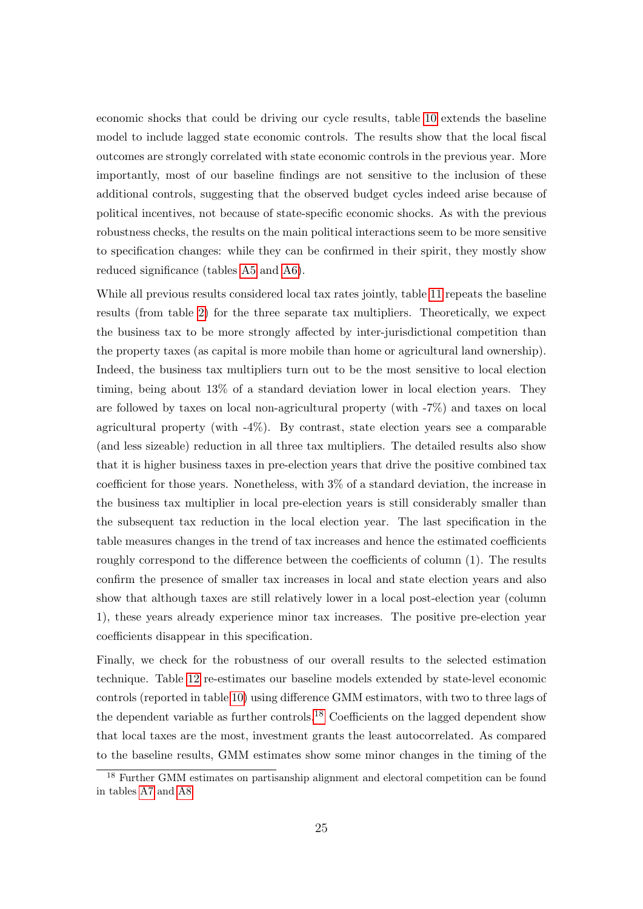economic shocks that could be driving our cycle results, table [10](#page-42-0) extends the baseline model to include lagged state economic controls. The results show that the local fiscal outcomes are strongly correlated with state economic controls in the previous year. More importantly, most of our baseline findings are not sensitive to the inclusion of these additional controls, suggesting that the observed budget cycles indeed arise because of political incentives, not because of state-specific economic shocks. As with the previous robustness checks, the results on the main political interactions seem to be more sensitive to specification changes: while they can be confirmed in their spirit, they mostly show reduced significance (tables [A5](#page-37-0) and [A6\)](#page-38-0).

While all previous results considered local tax rates jointly, table [11](#page-43-0) repeats the baseline results (from table [2\)](#page-34-0) for the three separate tax multipliers. Theoretically, we expect the business tax to be more strongly affected by inter-jurisdictional competition than the property taxes (as capital is more mobile than home or agricultural land ownership). Indeed, the business tax multipliers turn out to be the most sensitive to local election timing, being about 13% of a standard deviation lower in local election years. They are followed by taxes on local non-agricultural property (with -7%) and taxes on local agricultural property (with -4%). By contrast, state election years see a comparable (and less sizeable) reduction in all three tax multipliers. The detailed results also show that it is higher business taxes in pre-election years that drive the positive combined tax coefficient for those years. Nonetheless, with 3% of a standard deviation, the increase in the business tax multiplier in local pre-election years is still considerably smaller than the subsequent tax reduction in the local election year. The last specification in the table measures changes in the trend of tax increases and hence the estimated coefficients roughly correspond to the difference between the coefficients of column (1). The results confirm the presence of smaller tax increases in local and state election years and also show that although taxes are still relatively lower in a local post-election year (column 1), these years already experience minor tax increases. The positive pre-election year coefficients disappear in this specification.

Finally, we check for the robustness of our overall results to the selected estimation technique. Table [12](#page-44-0) re-estimates our baseline models extended by state-level economic controls (reported in table [10\)](#page-42-0) using difference GMM estimators, with two to three lags of the dependent variable as further controls.[18](#page-26-0) Coefficients on the lagged dependent show that local taxes are the most, investment grants the least autocorrelated. As compared to the baseline results, GMM estimates show some minor changes in the timing of the

<span id="page-26-0"></span><sup>18</sup> Further GMM estimates on partisanship alignment and electoral competition can be found in tables [A7](#page-39-0) and [A8.](#page-40-0)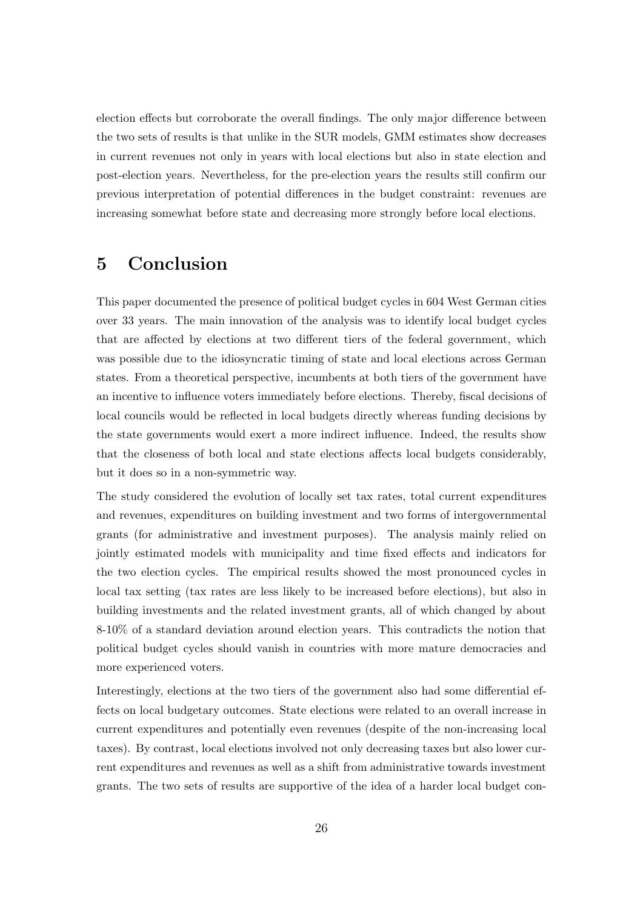election effects but corroborate the overall findings. The only major difference between the two sets of results is that unlike in the SUR models, GMM estimates show decreases in current revenues not only in years with local elections but also in state election and post-election years. Nevertheless, for the pre-election years the results still confirm our previous interpretation of potential differences in the budget constraint: revenues are increasing somewhat before state and decreasing more strongly before local elections.

## 5 Conclusion

This paper documented the presence of political budget cycles in 604 West German cities over 33 years. The main innovation of the analysis was to identify local budget cycles that are affected by elections at two different tiers of the federal government, which was possible due to the idiosyncratic timing of state and local elections across German states. From a theoretical perspective, incumbents at both tiers of the government have an incentive to influence voters immediately before elections. Thereby, fiscal decisions of local councils would be reflected in local budgets directly whereas funding decisions by the state governments would exert a more indirect influence. Indeed, the results show that the closeness of both local and state elections affects local budgets considerably, but it does so in a non-symmetric way.

The study considered the evolution of locally set tax rates, total current expenditures and revenues, expenditures on building investment and two forms of intergovernmental grants (for administrative and investment purposes). The analysis mainly relied on jointly estimated models with municipality and time fixed effects and indicators for the two election cycles. The empirical results showed the most pronounced cycles in local tax setting (tax rates are less likely to be increased before elections), but also in building investments and the related investment grants, all of which changed by about 8-10% of a standard deviation around election years. This contradicts the notion that political budget cycles should vanish in countries with more mature democracies and more experienced voters.

Interestingly, elections at the two tiers of the government also had some differential effects on local budgetary outcomes. State elections were related to an overall increase in current expenditures and potentially even revenues (despite of the non-increasing local taxes). By contrast, local elections involved not only decreasing taxes but also lower current expenditures and revenues as well as a shift from administrative towards investment grants. The two sets of results are supportive of the idea of a harder local budget con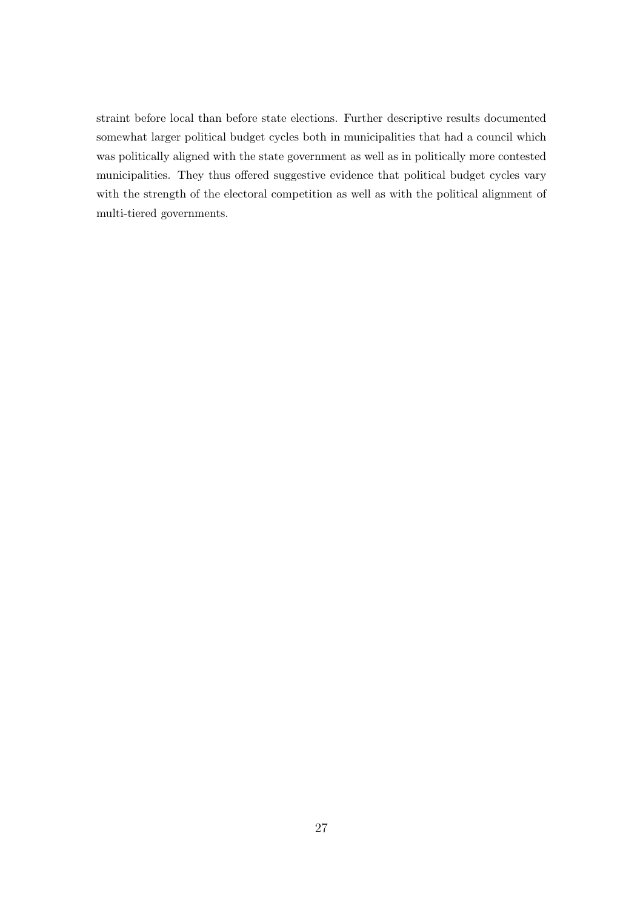straint before local than before state elections. Further descriptive results documented somewhat larger political budget cycles both in municipalities that had a council which was politically aligned with the state government as well as in politically more contested municipalities. They thus offered suggestive evidence that political budget cycles vary with the strength of the electoral competition as well as with the political alignment of multi-tiered governments.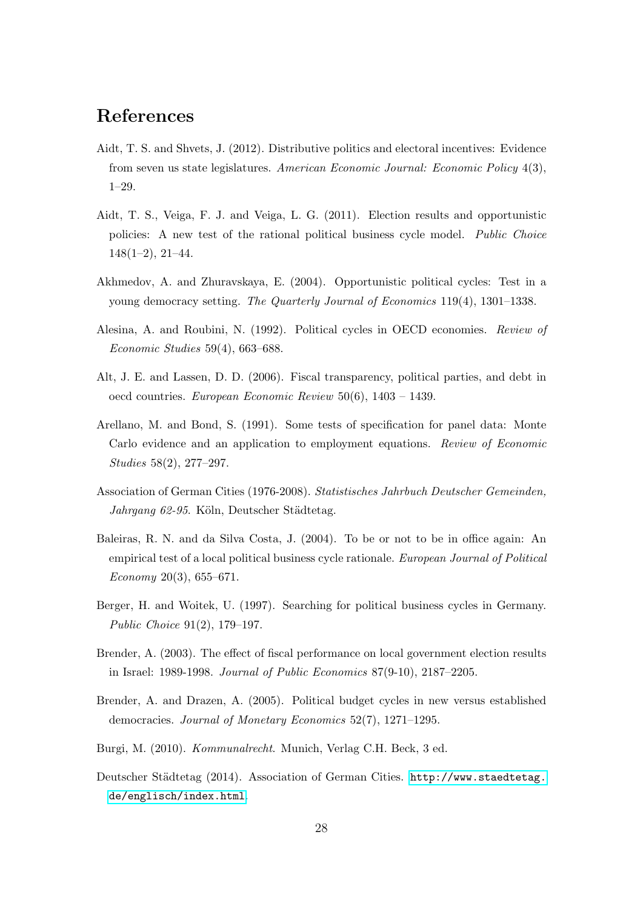## References

- <span id="page-29-5"></span>Aidt, T. S. and Shvets, J. (2012). Distributive politics and electoral incentives: Evidence from seven us state legislatures. American Economic Journal: Economic Policy 4(3), 1–29.
- <span id="page-29-1"></span>Aidt, T. S., Veiga, F. J. and Veiga, L. G. (2011). Election results and opportunistic policies: A new test of the rational political business cycle model. Public Choice 148(1–2), 21–44.
- <span id="page-29-9"></span>Akhmedov, A. and Zhuravskaya, E. (2004). Opportunistic political cycles: Test in a young democracy setting. The Quarterly Journal of Economics 119(4), 1301–1338.
- <span id="page-29-7"></span>Alesina, A. and Roubini, N. (1992). Political cycles in OECD economies. Review of Economic Studies 59(4), 663–688.
- <span id="page-29-0"></span>Alt, J. E. and Lassen, D. D. (2006). Fiscal transparency, political parties, and debt in oecd countries. European Economic Review 50(6), 1403 – 1439.
- <span id="page-29-12"></span>Arellano, M. and Bond, S. (1991). Some tests of specification for panel data: Monte Carlo evidence and an application to employment equations. Review of Economic Studies 58(2), 277–297.
- <span id="page-29-6"></span>Association of German Cities (1976-2008). Statistisches Jahrbuch Deutscher Gemeinden, Jahrgang 62-95. Köln, Deutscher Städtetag.
- <span id="page-29-8"></span>Baleiras, R. N. and da Silva Costa, J. (2004). To be or not to be in office again: An empirical test of a local political business cycle rationale. European Journal of Political Economy 20(3), 655–671.
- <span id="page-29-3"></span>Berger, H. and Woitek, U. (1997). Searching for political business cycles in Germany. Public Choice 91(2), 179–197.
- <span id="page-29-4"></span>Brender, A. (2003). The effect of fiscal performance on local government election results in Israel: 1989-1998. Journal of Public Economics 87(9-10), 2187–2205.
- <span id="page-29-2"></span>Brender, A. and Drazen, A. (2005). Political budget cycles in new versus established democracies. Journal of Monetary Economics 52(7), 1271–1295.
- <span id="page-29-10"></span>Burgi, M. (2010). Kommunalrecht. Munich, Verlag C.H. Beck, 3 ed.
- <span id="page-29-11"></span>Deutscher Städtetag (2014). Association of German Cities. [http://www.staedtetag.](http://www.staedtetag.de/englisch/index.html) [de/englisch/index.html](http://www.staedtetag.de/englisch/index.html).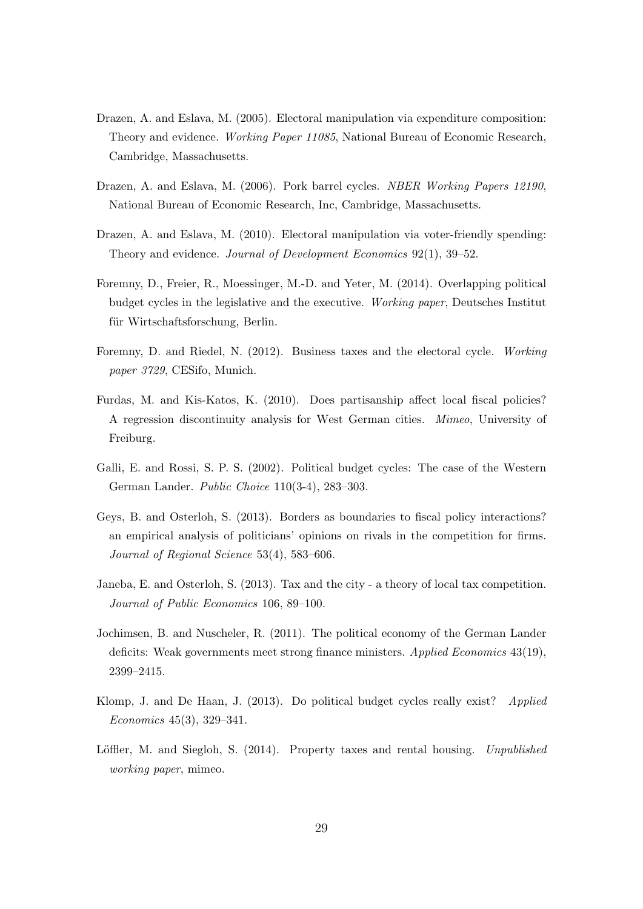- <span id="page-30-9"></span>Drazen, A. and Eslava, M. (2005). Electoral manipulation via expenditure composition: Theory and evidence. Working Paper 11085, National Bureau of Economic Research, Cambridge, Massachusetts.
- <span id="page-30-0"></span>Drazen, A. and Eslava, M. (2006). Pork barrel cycles. NBER Working Papers 12190, National Bureau of Economic Research, Inc, Cambridge, Massachusetts.
- <span id="page-30-1"></span>Drazen, A. and Eslava, M. (2010). Electoral manipulation via voter-friendly spending: Theory and evidence. Journal of Development Economics 92(1), 39–52.
- <span id="page-30-5"></span>Foremny, D., Freier, R., Moessinger, M.-D. and Yeter, M. (2014). Overlapping political budget cycles in the legislative and the executive. Working paper, Deutsches Institut für Wirtschaftsforschung, Berlin.
- <span id="page-30-4"></span>Foremny, D. and Riedel, N. (2012). Business taxes and the electoral cycle. Working paper 3729, CESifo, Munich.
- <span id="page-30-10"></span>Furdas, M. and Kis-Katos, K. (2010). Does partisanship affect local fiscal policies? A regression discontinuity analysis for West German cities. Mimeo, University of Freiburg.
- <span id="page-30-2"></span>Galli, E. and Rossi, S. P. S. (2002). Political budget cycles: The case of the Western German Lander. Public Choice 110(3-4), 283–303.
- <span id="page-30-7"></span>Geys, B. and Osterloh, S. (2013). Borders as boundaries to fiscal policy interactions? an empirical analysis of politicians' opinions on rivals in the competition for firms. Journal of Regional Science 53(4), 583–606.
- <span id="page-30-11"></span>Janeba, E. and Osterloh, S. (2013). Tax and the city - a theory of local tax competition. Journal of Public Economics 106, 89–100.
- <span id="page-30-3"></span>Jochimsen, B. and Nuscheler, R. (2011). The political economy of the German Lander deficits: Weak governments meet strong finance ministers. Applied Economics 43(19), 2399–2415.
- <span id="page-30-6"></span>Klomp, J. and De Haan, J. (2013). Do political budget cycles really exist? Applied Economics 45(3), 329–341.
- <span id="page-30-8"></span>Löffler, M. and Siegloh, S.  $(2014)$ . Property taxes and rental housing. Unpublished working paper, mimeo.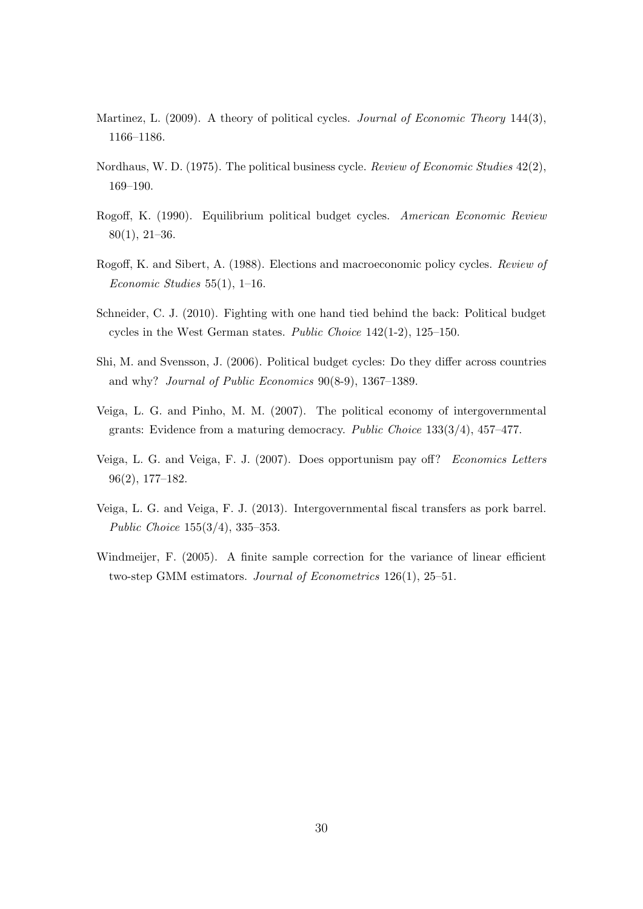- <span id="page-31-8"></span>Martinez, L. (2009). A theory of political cycles. *Journal of Economic Theory* 144(3), 1166–1186.
- <span id="page-31-7"></span>Nordhaus, W. D. (1975). The political business cycle. Review of Economic Studies 42(2), 169–190.
- <span id="page-31-1"></span>Rogoff, K. (1990). Equilibrium political budget cycles. American Economic Review 80(1), 21–36.
- <span id="page-31-0"></span>Rogoff, K. and Sibert, A. (1988). Elections and macroeconomic policy cycles. Review of Economic Studies 55(1), 1–16.
- <span id="page-31-3"></span>Schneider, C. J. (2010). Fighting with one hand tied behind the back: Political budget cycles in the West German states. Public Choice 142(1-2), 125–150.
- <span id="page-31-2"></span>Shi, M. and Svensson, J. (2006). Political budget cycles: Do they differ across countries and why? Journal of Public Economics 90(8-9), 1367–1389.
- <span id="page-31-5"></span>Veiga, L. G. and Pinho, M. M. (2007). The political economy of intergovernmental grants: Evidence from a maturing democracy. Public Choice 133(3/4), 457–477.
- <span id="page-31-4"></span>Veiga, L. G. and Veiga, F. J. (2007). Does opportunism pay off? Economics Letters 96(2), 177–182.
- <span id="page-31-6"></span>Veiga, L. G. and Veiga, F. J. (2013). Intergovernmental fiscal transfers as pork barrel. Public Choice 155(3/4), 335–353.
- <span id="page-31-9"></span>Windmeijer, F. (2005). A finite sample correction for the variance of linear efficient two-step GMM estimators. Journal of Econometrics 126(1), 25–51.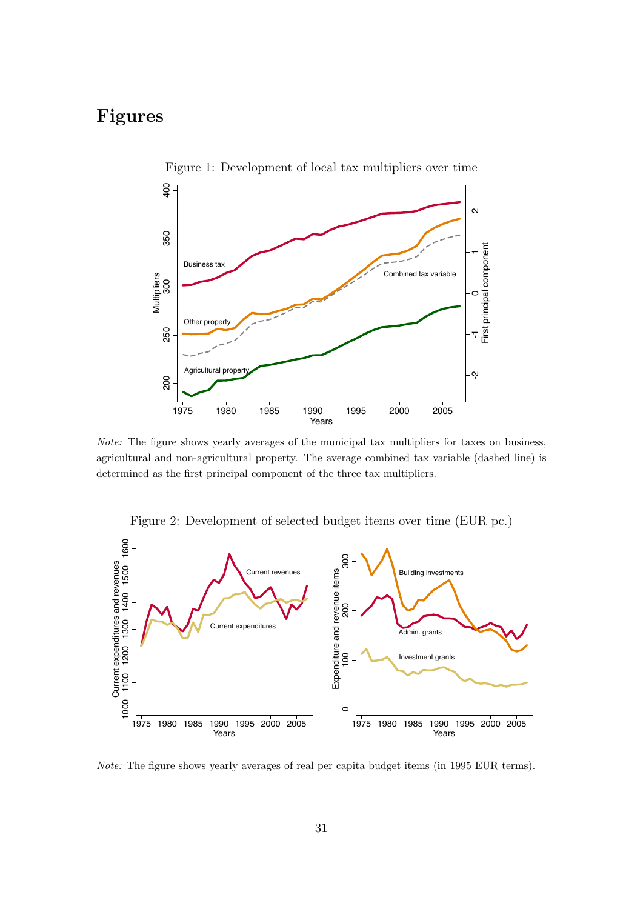## Figures

<span id="page-32-0"></span>

Note: The figure shows yearly averages of the municipal tax multipliers for taxes on business, agricultural and non-agricultural property. The average combined tax variable (dashed line) is determined as the first principal component of the three tax multipliers.

<span id="page-32-1"></span>Figure 2: Development of selected budget items over time (EUR pc.)



Note: The figure shows yearly averages of real per capita budget items (in 1995 EUR terms).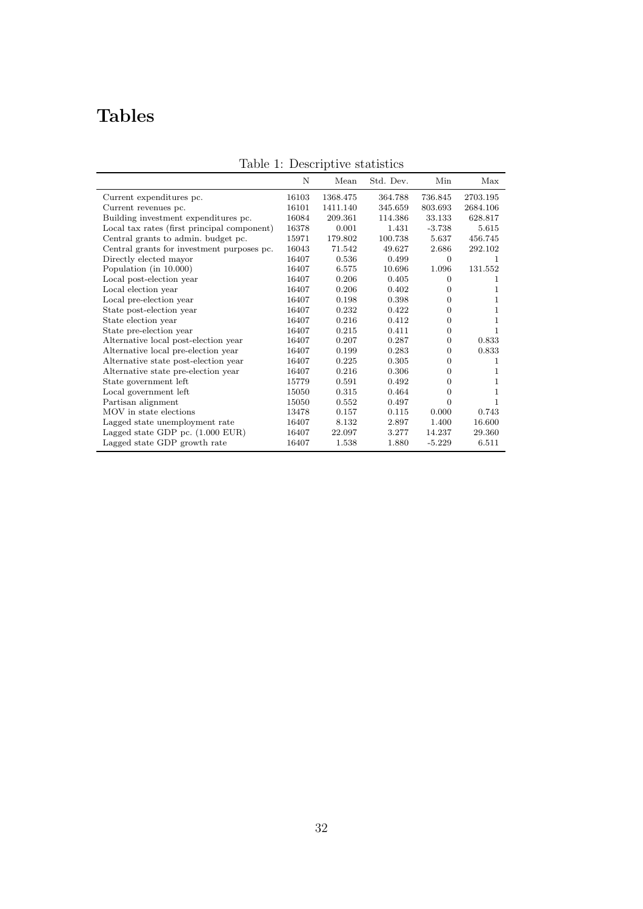# Tables

<span id="page-33-0"></span>

|--|

|                                             | N     | Mean     | Std. Dev. | Min            | Max      |
|---------------------------------------------|-------|----------|-----------|----------------|----------|
| Current expenditures pc.                    | 16103 | 1368.475 | 364.788   | 736.845        | 2703.195 |
| Current revenues pc.                        | 16101 | 1411.140 | 345.659   | 803.693        | 2684.106 |
| Building investment expenditures pc.        | 16084 | 209.361  | 114.386   | 33.133         | 628.817  |
| Local tax rates (first principal component) | 16378 | 0.001    | 1.431     | $-3.738$       | 5.615    |
| Central grants to admin. budget pc.         | 15971 | 179.802  | 100.738   | 5.637          | 456.745  |
| Central grants for investment purposes pc.  | 16043 | 71.542   | 49.627    | 2.686          | 292.102  |
| Directly elected mayor                      | 16407 | 0.536    | 0.499     | $\Omega$       | 1        |
| Population (in 10.000)                      | 16407 | 6.575    | 10.696    | 1.096          | 131.552  |
| Local post-election year                    | 16407 | 0.206    | 0.405     | $\Omega$       | 1        |
| Local election year                         | 16407 | 0.206    | 0.402     | $\Omega$       | 1.       |
| Local pre-election year                     | 16407 | 0.198    | 0.398     | $\Omega$       | 1        |
| State post-election year                    | 16407 | 0.232    | 0.422     | $\Omega$       | 1        |
| State election year                         | 16407 | 0.216    | 0.412     | $\overline{0}$ | 1        |
| State pre-election year                     | 16407 | 0.215    | 0.411     | 0              | 1        |
| Alternative local post-election year        | 16407 | 0.207    | 0.287     | $\overline{0}$ | 0.833    |
| Alternative local pre-election year         | 16407 | 0.199    | 0.283     | $\overline{0}$ | 0.833    |
| Alternative state post-election year        | 16407 | 0.225    | 0.305     | $\Omega$       | 1        |
| Alternative state pre-election year         | 16407 | 0.216    | 0.306     | 0              | 1        |
| State government left                       | 15779 | 0.591    | 0.492     | $\Omega$       | 1        |
| Local government left                       | 15050 | 0.315    | 0.464     | $\Omega$       | 1        |
| Partisan alignment                          | 15050 | 0.552    | 0.497     | $\Omega$       | 1        |
| MOV in state elections                      | 13478 | 0.157    | 0.115     | 0.000          | 0.743    |
| Lagged state unemployment rate              | 16407 | 8.132    | 2.897     | 1.400          | 16.600   |
| Lagged state GDP pc. $(1.000 \text{ EUR})$  | 16407 | 22.097   | 3.277     | 14.237         | 29.360   |
| Lagged state GDP growth rate                | 16407 | 1.538    | 1.880     | $-5.229$       | 6.511    |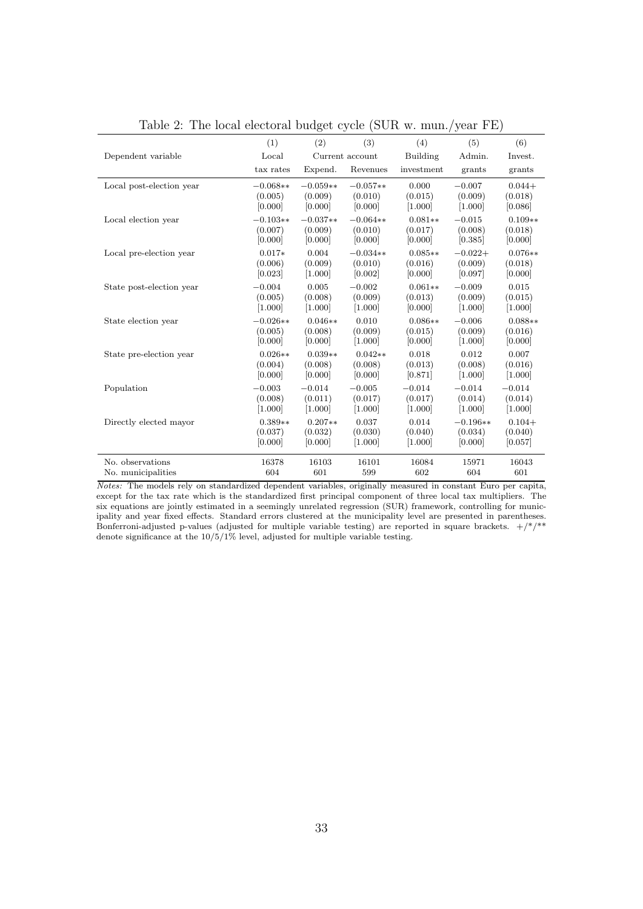|                          | (1)                 | (2)                | (3)                | (4)                  | (5)                 | (6)                |
|--------------------------|---------------------|--------------------|--------------------|----------------------|---------------------|--------------------|
| Dependent variable       | Local               |                    | Current account    | Building             | Admin.              | Invest.            |
|                          | tax rates           | Expend.            | Revenues           | investment           | grants              | grants             |
| Local post-election year | $-0.068**$          | $-0.059**$         | $-0.057**$         | 0.000                | $-0.007$            | $0.044+$           |
|                          | (0.005)             | (0.009)            | (0.010)            | (0.015)              | (0.009)             | (0.018)            |
|                          | [0.000]             | [0.000]            | [0.000]            | [1.000]              | [1.000]             | [0.086]            |
| Local election year      | $-0.103**$          | $-0.037**$         | $-0.064**$         | $0.081**$            | $-0.015$            | $0.109**$          |
|                          | (0.007)             | (0.009)            | (0.010)            | (0.017)              | (0.008)             | (0.018)            |
|                          | [0.000]             | [0.000]            | [0.000]            | [0.000]              | [0.385]             | [0.000]            |
| Local pre-election year  | $0.017*$            | 0.004              | $-0.034**$         | $0.085**$            | $-0.022+$           | $0.076**$          |
|                          | (0.006)             | (0.009)            | (0.010)<br>[0.002] | (0.016)<br>[0.000]   | (0.009)<br>[0.097]  | (0.018)<br>[0.000] |
|                          | [0.023]             | [1.000]            |                    |                      |                     |                    |
| State post-election year | $-0.004$<br>(0.005) | 0.005              | $-0.002$           | $0.061**$<br>(0.013) | $-0.009$<br>(0.009) | 0.015              |
|                          | $[1.000]$           | (0.008)<br>[1.000] | (0.009)<br>[1.000] | [0.000]              | [1.000]             | (0.015)<br>[1.000] |
| State election year      | $-0.026**$          | $0.046**$          | 0.010              | $0.086**$            | $-0.006$            | $0.088**$          |
|                          | (0.005)             | (0.008)            | (0.009)            | (0.015)              | (0.009)             | (0.016)            |
|                          | [0.000]             | [0.000]            | [1.000]            | [0.000]              | [1.000]             | [0.000]            |
| State pre-election year  | $0.026**$           | $0.039**$          | $0.042**$          | 0.018                | 0.012               | 0.007              |
|                          | (0.004)             | (0.008)            | (0.008)            | (0.013)              | (0.008)             | (0.016)            |
|                          | [0.000]             | [0.000]            | [0.000]            | [0.871]              | [1.000]             | [1.000]            |
| Population               | $-0.003$            | $-0.014$           | $-0.005$           | $-0.014$             | $-0.014$            | $-0.014$           |
|                          | (0.008)             | (0.011)            | (0.017)            | (0.017)              | (0.014)             | (0.014)            |
|                          | $[1.000]$           | [1.000]            | [1.000]            | [1.000]              | [1.000]             | [1.000]            |
| Directly elected mayor   | $0.389**$           | $0.207**$          | 0.037              | 0.014                | $-0.196**$          | $0.104+$           |
|                          | (0.037)             | (0.032)            | (0.030)            | (0.040)              | (0.034)             | (0.040)            |
|                          | [0.000]             | [0.000]            | [1.000]            | $[1.000]$            | [0.000]             | [0.057]            |
| No. observations         | 16378               | 16103              | 16101              | 16084                | 15971               | 16043              |
| No. municipalities       | 604                 | 601                | 599                | 602                  | 604                 | 601                |

<span id="page-34-0"></span>Table 2: The local electoral budget cycle (SUR w. mun./year FE)

Notes: The models rely on standardized dependent variables, originally measured in constant Euro per capita, except for the tax rate which is the standardized first principal component of three local tax multipliers. The six equations are jointly estimated in a seemingly unrelated regression (SUR) framework, controlling for municipality and year fixed effects. Standard errors clustered at the municipality level are presented in parentheses. Bonferroni-adjusted p-values (adjusted for multiple variable testing) are reported in square brackets.  $+/*$ \*\* denote significance at the  $10/5/1\%$  level, adjusted for multiple variable testing.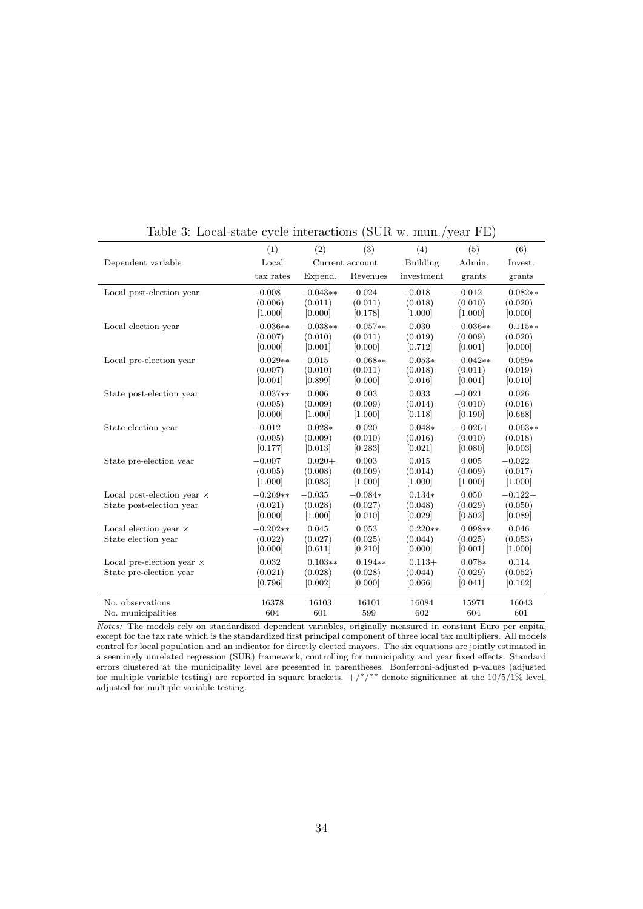|                                   | ◡                   |                       |                     |                     |                     |                      |
|-----------------------------------|---------------------|-----------------------|---------------------|---------------------|---------------------|----------------------|
|                                   | (1)                 | (2)                   | (3)                 | (4)                 | (5)                 | (6)                  |
| Dependent variable                | Local               |                       | Current account     | Building            | Admin.              | Invest.              |
|                                   | tax rates           | Expend.               | Revenues            | investment          | grants              | grants               |
| Local post-election year          | $-0.008$<br>(0.006) | $-0.043**$<br>(0.011) | $-0.024$<br>(0.011) | $-0.018$<br>(0.018) | $-0.012$<br>(0.010) | $0.082**$<br>(0.020) |
|                                   | [1.000]             | [0.000]               | [0.178]             | [1.000]             | [1.000]             | [0.000]              |
| Local election year               | $-0.036**$          | $-0.038**$            | $-0.057**$          | 0.030               | $-0.036**$          | $0.115**$            |
|                                   | (0.007)<br>[0.000]  | (0.010)<br>[0.001]    | (0.011)<br>[0.000]  | (0.019)<br>[0.712]  | (0.009)<br>[0.001]  | (0.020)<br>[0.000]   |
| Local pre-election year           | $0.029**$           | $-0.015$              | $-0.068**$          | $0.053*$            | $-0.042**$          | $0.059*$             |
|                                   | (0.007)<br>[0.001]  | (0.010)<br>[0.899]    | (0.011)<br>[0.000]  | (0.018)<br>[0.016]  | (0.011)<br>[0.001]  | (0.019)<br>[0.010]   |
| State post-election year          | $0.037**$           | 0.006                 | 0.003               | 0.033               | $-0.021$            | 0.026                |
|                                   | (0.005)<br>[0.000]  | (0.009)<br>[1.000]    | (0.009)<br>[1.000]  | (0.014)<br>[0.118]  | (0.010)<br>[0.190]  | (0.016)<br>[0.668]   |
| State election year               | $-0.012$            | $0.028*$              | $-0.020$            | $0.048*$            | $-0.026+$           | $0.063**$            |
|                                   | (0.005)<br>[0.177]  | (0.009)<br>[0.013]    | (0.010)<br>[0.283]  | (0.016)<br>[0.021]  | (0.010)<br>[0.080]  | (0.018)<br>[0.003]   |
| State pre-election year           | $-0.007$            | $0.020+$              | 0.003               | 0.015               | 0.005               | $-0.022$             |
|                                   | (0.005)<br>[1.000]  | (0.008)<br>[0.083]    | (0.009)<br>[1.000]  | (0.014)<br>[1.000]  | (0.009)<br>[1.000]  | (0.017)<br>[1.000]   |
| Local post-election year $\times$ | $-0.269**$          | $-0.035$              | $-0.084*$           | $0.134*$            | 0.050               | $-0.122+$            |
| State post-election year          | (0.021)<br>[0.000]  | (0.028)<br> 1.000     | (0.027)<br>[0.010]  | (0.048)<br>[0.029]  | (0.029)<br>[0.502]  | (0.050)<br>[0.089]   |
| Local election year $\times$      | $-0.202**$          | 0.045                 | 0.053               | $0.220**$           | $0.098**$           | 0.046                |
| State election year               | (0.022)<br>[0.000]  | (0.027)<br>[0.611]    | (0.025)<br>[0.210]  | (0.044)<br>[0.000]  | (0.025)<br>[0.001]  | (0.053)<br>[1.000]   |
| Local pre-election year $\times$  | 0.032               | $0.103**$             | $0.194**$           | $0.113+$            | $0.078*$            | 0.114                |
| State pre-election year           | (0.021)<br>[0.796]  | (0.028)<br>[0.002]    | (0.028)<br>[0.000]  | (0.044)<br>[0.066]  | (0.029)<br>[0.041]  | (0.052)<br>[0.162]   |
| No. observations                  | 16378               | 16103                 | 16101               | 16084               | 15971               | 16043                |
| No. municipalities                | 604                 | 601                   | 599                 | 602                 | 604                 | 601                  |

<span id="page-35-0"></span>Table 3: Local-state cycle interactions (SUR w. mun./year FE)

Notes: The models rely on standardized dependent variables, originally measured in constant Euro per capita, except for the tax rate which is the standardized first principal component of three local tax multipliers. All models control for local population and an indicator for directly elected mayors. The six equations are jointly estimated in a seemingly unrelated regression (SUR) framework, controlling for municipality and year fixed effects. Standard errors clustered at the municipality level are presented in parentheses. Bonferroni-adjusted p-values (adjusted for multiple variable testing) are reported in square brackets.  $+$ /\*/\*\* denote significance at the 10/5/1% level, adjusted for multiple variable testing.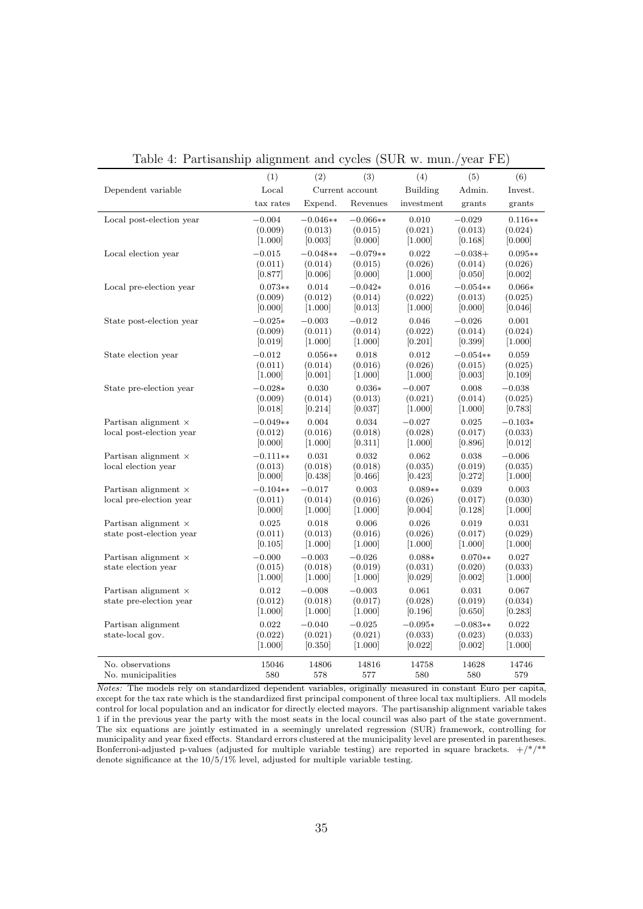| Local<br>Dependent variable<br>Current account<br>Building<br>Admin.<br>Invest.<br>tax rates<br>Expend.<br>Revenues<br>investment<br>grants<br>grants<br>Local post-election year<br>$-0.004$<br>$-0.046**$<br>$-0.066**$<br>0.010<br>$-0.029$<br>$0.116**$<br>(0.009)<br>(0.013)<br>(0.015)<br>(0.021)<br>(0.013)<br>(0.024)<br>[0.000]<br>$[1.000]$<br>[0.003]<br>$[1.000]$<br>[0.168]<br>[0.000]<br>$-0.015$<br>$-0.048**$<br>$-0.079**$<br>0.022<br>$-0.038+$<br>$0.095**$<br>Local election year<br>(0.011)<br>(0.014)<br>(0.015)<br>(0.026)<br>(0.014)<br>(0.026)<br>[0.877]<br>[0.006]<br>[0.000]<br>[1.000]<br>[0.050]<br>[0.002]<br>Local pre-election year<br>$0.073**$<br>0.014<br>$-0.042*$<br>0.016<br>$-0.054**$<br>$0.066*$<br>(0.009)<br>(0.012)<br>(0.014)<br>(0.022)<br>(0.013)<br>(0.025)<br>[0.000]<br>[0.000]<br>[1.000]<br>[0.013]<br>[1.000]<br>[0.046]<br>$-0.003$<br>$-0.012$<br>0.046<br>$-0.026$<br>0.001<br>State post-election year<br>$-0.025*$<br>(0.009)<br>(0.011)<br>(0.014)<br>(0.022)<br>(0.014)<br>(0.024)<br>[0.019]<br>[1.000]<br>[0.201]<br>[0.399]<br>[1.000]<br>[1.000]<br>State election year<br>$-0.012$<br>$0.056**$<br>0.018<br>0.012<br>$-0.054**$<br>0.059<br>(0.011)<br>(0.014)<br>(0.016)<br>(0.026)<br>(0.015)<br>(0.025)<br>[1.000]<br>[0.001]<br>[1.000]<br>[1.000]<br>[0.003]<br>[0.109]<br>$-0.007$<br>0.008<br>State pre-election year<br>$-0.028*$<br>0.030<br>$0.036*$<br>$-0.038$<br>(0.009)<br>(0.014)<br>(0.013)<br>(0.021)<br>(0.014)<br>(0.025)<br>[0.214]<br>[0.037]<br>[0.018]<br>$[1.000]$<br>[1.000]<br>[0.783]<br>0.004<br>0.034<br>$-0.027$<br>$-0.103*$<br>Partisan alignment $\times$<br>$-0.049**$<br>0.025<br>local post-election year<br>(0.012)<br>(0.016)<br>(0.018)<br>(0.028)<br>(0.033)<br>(0.017)<br>[0.000]<br>[0.012]<br> 1.000 <br> 0.311 <br> 1.000 <br> 0.896 <br>Partisan alignment ×<br>$-0.111**$<br>0.031<br>0.032<br>0.062<br>0.038<br>$-0.006$<br>local election year<br>(0.013)<br>(0.018)<br>(0.018)<br>(0.035)<br>(0.019)<br>(0.035)<br>[0.000]<br>[0.438]<br>[0.466]<br>[0.423]<br>[0.272]<br>[1.000]<br>Partisan alignment $\times$<br>$-0.104**$<br>$-0.017$<br>0.003<br>$0.089**$<br>0.039<br>0.003<br>local pre-election year<br>(0.011)<br>(0.014)<br>(0.016)<br>(0.026)<br>(0.017)<br>(0.030)<br>[0.000]<br>[0.004]<br> 1.000 <br> 1.000 <br> 0.128 <br> 1.000 <br>Partisan alignment ×<br>0.025<br>0.018<br>0.006<br>0.026<br>0.019<br>0.031<br>state post-election year<br>(0.011)<br>(0.013)<br>(0.016)<br>(0.026)<br>(0.017)<br>(0.029)<br>[0.105]<br>[1.000]<br>[1.000]<br>[1.000]<br>$[1.000]$<br>[1.000]<br>$-0.000$<br>$-0.003$<br>$-0.026$<br>$0.088*$<br>$0.070**$<br>0.027<br>Partisan alignment $\times$<br>state election year<br>(0.015)<br>(0.018)<br>(0.019)<br>(0.031)<br>(0.020)<br>(0.033)<br>[1.000]<br>[1.000]<br>[0.029]<br>[0.002]<br> 1.000 <br> 1.000 <br>Partisan alignment $\times$<br>0.012<br>$-0.008$<br>$-0.003$<br>0.061<br>0.031<br>0.067<br>state pre-election year<br>(0.012)<br>(0.018)<br>(0.017)<br>(0.028)<br>(0.019)<br>(0.034)<br>$[1.000]$<br>[1.000]<br>[1.000]<br>[0.196]<br>[0.650]<br>[0.283]<br>$-0.095*$<br>0.022<br>$-0.040$<br>$-0.025$<br>$-0.083**$<br>0.022<br>Partisan alignment<br>state-local gov.<br>(0.022)<br>(0.021)<br>(0.021)<br>(0.033)<br>(0.023)<br>(0.033)<br>[1.000]<br>[0.350]<br>[1.000]<br>[0.022]<br>[0.002]<br>[1.000]<br>No. observations<br>15046<br>14806<br>14816<br>14758<br>14746<br>14628 |                    | (1) | (2) | (3) | (4) | (5) | (6) |
|-------------------------------------------------------------------------------------------------------------------------------------------------------------------------------------------------------------------------------------------------------------------------------------------------------------------------------------------------------------------------------------------------------------------------------------------------------------------------------------------------------------------------------------------------------------------------------------------------------------------------------------------------------------------------------------------------------------------------------------------------------------------------------------------------------------------------------------------------------------------------------------------------------------------------------------------------------------------------------------------------------------------------------------------------------------------------------------------------------------------------------------------------------------------------------------------------------------------------------------------------------------------------------------------------------------------------------------------------------------------------------------------------------------------------------------------------------------------------------------------------------------------------------------------------------------------------------------------------------------------------------------------------------------------------------------------------------------------------------------------------------------------------------------------------------------------------------------------------------------------------------------------------------------------------------------------------------------------------------------------------------------------------------------------------------------------------------------------------------------------------------------------------------------------------------------------------------------------------------------------------------------------------------------------------------------------------------------------------------------------------------------------------------------------------------------------------------------------------------------------------------------------------------------------------------------------------------------------------------------------------------------------------------------------------------------------------------------------------------------------------------------------------------------------------------------------------------------------------------------------------------------------------------------------------------------------------------------------------------------------------------------------------------------------------------------------------------------------------------------------------------------------------------------------------------------------------------------------------------------------------------------------------------------------------------------------------------------------------------------------------------------------------------------------------------------------------------------------------------|--------------------|-----|-----|-----|-----|-----|-----|
|                                                                                                                                                                                                                                                                                                                                                                                                                                                                                                                                                                                                                                                                                                                                                                                                                                                                                                                                                                                                                                                                                                                                                                                                                                                                                                                                                                                                                                                                                                                                                                                                                                                                                                                                                                                                                                                                                                                                                                                                                                                                                                                                                                                                                                                                                                                                                                                                                                                                                                                                                                                                                                                                                                                                                                                                                                                                                                                                                                                                                                                                                                                                                                                                                                                                                                                                                                                                                                                                               |                    |     |     |     |     |     |     |
|                                                                                                                                                                                                                                                                                                                                                                                                                                                                                                                                                                                                                                                                                                                                                                                                                                                                                                                                                                                                                                                                                                                                                                                                                                                                                                                                                                                                                                                                                                                                                                                                                                                                                                                                                                                                                                                                                                                                                                                                                                                                                                                                                                                                                                                                                                                                                                                                                                                                                                                                                                                                                                                                                                                                                                                                                                                                                                                                                                                                                                                                                                                                                                                                                                                                                                                                                                                                                                                                               |                    |     |     |     |     |     |     |
|                                                                                                                                                                                                                                                                                                                                                                                                                                                                                                                                                                                                                                                                                                                                                                                                                                                                                                                                                                                                                                                                                                                                                                                                                                                                                                                                                                                                                                                                                                                                                                                                                                                                                                                                                                                                                                                                                                                                                                                                                                                                                                                                                                                                                                                                                                                                                                                                                                                                                                                                                                                                                                                                                                                                                                                                                                                                                                                                                                                                                                                                                                                                                                                                                                                                                                                                                                                                                                                                               |                    |     |     |     |     |     |     |
|                                                                                                                                                                                                                                                                                                                                                                                                                                                                                                                                                                                                                                                                                                                                                                                                                                                                                                                                                                                                                                                                                                                                                                                                                                                                                                                                                                                                                                                                                                                                                                                                                                                                                                                                                                                                                                                                                                                                                                                                                                                                                                                                                                                                                                                                                                                                                                                                                                                                                                                                                                                                                                                                                                                                                                                                                                                                                                                                                                                                                                                                                                                                                                                                                                                                                                                                                                                                                                                                               |                    |     |     |     |     |     |     |
|                                                                                                                                                                                                                                                                                                                                                                                                                                                                                                                                                                                                                                                                                                                                                                                                                                                                                                                                                                                                                                                                                                                                                                                                                                                                                                                                                                                                                                                                                                                                                                                                                                                                                                                                                                                                                                                                                                                                                                                                                                                                                                                                                                                                                                                                                                                                                                                                                                                                                                                                                                                                                                                                                                                                                                                                                                                                                                                                                                                                                                                                                                                                                                                                                                                                                                                                                                                                                                                                               |                    |     |     |     |     |     |     |
|                                                                                                                                                                                                                                                                                                                                                                                                                                                                                                                                                                                                                                                                                                                                                                                                                                                                                                                                                                                                                                                                                                                                                                                                                                                                                                                                                                                                                                                                                                                                                                                                                                                                                                                                                                                                                                                                                                                                                                                                                                                                                                                                                                                                                                                                                                                                                                                                                                                                                                                                                                                                                                                                                                                                                                                                                                                                                                                                                                                                                                                                                                                                                                                                                                                                                                                                                                                                                                                                               |                    |     |     |     |     |     |     |
|                                                                                                                                                                                                                                                                                                                                                                                                                                                                                                                                                                                                                                                                                                                                                                                                                                                                                                                                                                                                                                                                                                                                                                                                                                                                                                                                                                                                                                                                                                                                                                                                                                                                                                                                                                                                                                                                                                                                                                                                                                                                                                                                                                                                                                                                                                                                                                                                                                                                                                                                                                                                                                                                                                                                                                                                                                                                                                                                                                                                                                                                                                                                                                                                                                                                                                                                                                                                                                                                               |                    |     |     |     |     |     |     |
|                                                                                                                                                                                                                                                                                                                                                                                                                                                                                                                                                                                                                                                                                                                                                                                                                                                                                                                                                                                                                                                                                                                                                                                                                                                                                                                                                                                                                                                                                                                                                                                                                                                                                                                                                                                                                                                                                                                                                                                                                                                                                                                                                                                                                                                                                                                                                                                                                                                                                                                                                                                                                                                                                                                                                                                                                                                                                                                                                                                                                                                                                                                                                                                                                                                                                                                                                                                                                                                                               |                    |     |     |     |     |     |     |
|                                                                                                                                                                                                                                                                                                                                                                                                                                                                                                                                                                                                                                                                                                                                                                                                                                                                                                                                                                                                                                                                                                                                                                                                                                                                                                                                                                                                                                                                                                                                                                                                                                                                                                                                                                                                                                                                                                                                                                                                                                                                                                                                                                                                                                                                                                                                                                                                                                                                                                                                                                                                                                                                                                                                                                                                                                                                                                                                                                                                                                                                                                                                                                                                                                                                                                                                                                                                                                                                               |                    |     |     |     |     |     |     |
|                                                                                                                                                                                                                                                                                                                                                                                                                                                                                                                                                                                                                                                                                                                                                                                                                                                                                                                                                                                                                                                                                                                                                                                                                                                                                                                                                                                                                                                                                                                                                                                                                                                                                                                                                                                                                                                                                                                                                                                                                                                                                                                                                                                                                                                                                                                                                                                                                                                                                                                                                                                                                                                                                                                                                                                                                                                                                                                                                                                                                                                                                                                                                                                                                                                                                                                                                                                                                                                                               |                    |     |     |     |     |     |     |
|                                                                                                                                                                                                                                                                                                                                                                                                                                                                                                                                                                                                                                                                                                                                                                                                                                                                                                                                                                                                                                                                                                                                                                                                                                                                                                                                                                                                                                                                                                                                                                                                                                                                                                                                                                                                                                                                                                                                                                                                                                                                                                                                                                                                                                                                                                                                                                                                                                                                                                                                                                                                                                                                                                                                                                                                                                                                                                                                                                                                                                                                                                                                                                                                                                                                                                                                                                                                                                                                               |                    |     |     |     |     |     |     |
|                                                                                                                                                                                                                                                                                                                                                                                                                                                                                                                                                                                                                                                                                                                                                                                                                                                                                                                                                                                                                                                                                                                                                                                                                                                                                                                                                                                                                                                                                                                                                                                                                                                                                                                                                                                                                                                                                                                                                                                                                                                                                                                                                                                                                                                                                                                                                                                                                                                                                                                                                                                                                                                                                                                                                                                                                                                                                                                                                                                                                                                                                                                                                                                                                                                                                                                                                                                                                                                                               |                    |     |     |     |     |     |     |
|                                                                                                                                                                                                                                                                                                                                                                                                                                                                                                                                                                                                                                                                                                                                                                                                                                                                                                                                                                                                                                                                                                                                                                                                                                                                                                                                                                                                                                                                                                                                                                                                                                                                                                                                                                                                                                                                                                                                                                                                                                                                                                                                                                                                                                                                                                                                                                                                                                                                                                                                                                                                                                                                                                                                                                                                                                                                                                                                                                                                                                                                                                                                                                                                                                                                                                                                                                                                                                                                               |                    |     |     |     |     |     |     |
|                                                                                                                                                                                                                                                                                                                                                                                                                                                                                                                                                                                                                                                                                                                                                                                                                                                                                                                                                                                                                                                                                                                                                                                                                                                                                                                                                                                                                                                                                                                                                                                                                                                                                                                                                                                                                                                                                                                                                                                                                                                                                                                                                                                                                                                                                                                                                                                                                                                                                                                                                                                                                                                                                                                                                                                                                                                                                                                                                                                                                                                                                                                                                                                                                                                                                                                                                                                                                                                                               |                    |     |     |     |     |     |     |
|                                                                                                                                                                                                                                                                                                                                                                                                                                                                                                                                                                                                                                                                                                                                                                                                                                                                                                                                                                                                                                                                                                                                                                                                                                                                                                                                                                                                                                                                                                                                                                                                                                                                                                                                                                                                                                                                                                                                                                                                                                                                                                                                                                                                                                                                                                                                                                                                                                                                                                                                                                                                                                                                                                                                                                                                                                                                                                                                                                                                                                                                                                                                                                                                                                                                                                                                                                                                                                                                               |                    |     |     |     |     |     |     |
|                                                                                                                                                                                                                                                                                                                                                                                                                                                                                                                                                                                                                                                                                                                                                                                                                                                                                                                                                                                                                                                                                                                                                                                                                                                                                                                                                                                                                                                                                                                                                                                                                                                                                                                                                                                                                                                                                                                                                                                                                                                                                                                                                                                                                                                                                                                                                                                                                                                                                                                                                                                                                                                                                                                                                                                                                                                                                                                                                                                                                                                                                                                                                                                                                                                                                                                                                                                                                                                                               |                    |     |     |     |     |     |     |
|                                                                                                                                                                                                                                                                                                                                                                                                                                                                                                                                                                                                                                                                                                                                                                                                                                                                                                                                                                                                                                                                                                                                                                                                                                                                                                                                                                                                                                                                                                                                                                                                                                                                                                                                                                                                                                                                                                                                                                                                                                                                                                                                                                                                                                                                                                                                                                                                                                                                                                                                                                                                                                                                                                                                                                                                                                                                                                                                                                                                                                                                                                                                                                                                                                                                                                                                                                                                                                                                               |                    |     |     |     |     |     |     |
|                                                                                                                                                                                                                                                                                                                                                                                                                                                                                                                                                                                                                                                                                                                                                                                                                                                                                                                                                                                                                                                                                                                                                                                                                                                                                                                                                                                                                                                                                                                                                                                                                                                                                                                                                                                                                                                                                                                                                                                                                                                                                                                                                                                                                                                                                                                                                                                                                                                                                                                                                                                                                                                                                                                                                                                                                                                                                                                                                                                                                                                                                                                                                                                                                                                                                                                                                                                                                                                                               |                    |     |     |     |     |     |     |
|                                                                                                                                                                                                                                                                                                                                                                                                                                                                                                                                                                                                                                                                                                                                                                                                                                                                                                                                                                                                                                                                                                                                                                                                                                                                                                                                                                                                                                                                                                                                                                                                                                                                                                                                                                                                                                                                                                                                                                                                                                                                                                                                                                                                                                                                                                                                                                                                                                                                                                                                                                                                                                                                                                                                                                                                                                                                                                                                                                                                                                                                                                                                                                                                                                                                                                                                                                                                                                                                               |                    |     |     |     |     |     |     |
|                                                                                                                                                                                                                                                                                                                                                                                                                                                                                                                                                                                                                                                                                                                                                                                                                                                                                                                                                                                                                                                                                                                                                                                                                                                                                                                                                                                                                                                                                                                                                                                                                                                                                                                                                                                                                                                                                                                                                                                                                                                                                                                                                                                                                                                                                                                                                                                                                                                                                                                                                                                                                                                                                                                                                                                                                                                                                                                                                                                                                                                                                                                                                                                                                                                                                                                                                                                                                                                                               |                    |     |     |     |     |     |     |
|                                                                                                                                                                                                                                                                                                                                                                                                                                                                                                                                                                                                                                                                                                                                                                                                                                                                                                                                                                                                                                                                                                                                                                                                                                                                                                                                                                                                                                                                                                                                                                                                                                                                                                                                                                                                                                                                                                                                                                                                                                                                                                                                                                                                                                                                                                                                                                                                                                                                                                                                                                                                                                                                                                                                                                                                                                                                                                                                                                                                                                                                                                                                                                                                                                                                                                                                                                                                                                                                               |                    |     |     |     |     |     |     |
|                                                                                                                                                                                                                                                                                                                                                                                                                                                                                                                                                                                                                                                                                                                                                                                                                                                                                                                                                                                                                                                                                                                                                                                                                                                                                                                                                                                                                                                                                                                                                                                                                                                                                                                                                                                                                                                                                                                                                                                                                                                                                                                                                                                                                                                                                                                                                                                                                                                                                                                                                                                                                                                                                                                                                                                                                                                                                                                                                                                                                                                                                                                                                                                                                                                                                                                                                                                                                                                                               |                    |     |     |     |     |     |     |
|                                                                                                                                                                                                                                                                                                                                                                                                                                                                                                                                                                                                                                                                                                                                                                                                                                                                                                                                                                                                                                                                                                                                                                                                                                                                                                                                                                                                                                                                                                                                                                                                                                                                                                                                                                                                                                                                                                                                                                                                                                                                                                                                                                                                                                                                                                                                                                                                                                                                                                                                                                                                                                                                                                                                                                                                                                                                                                                                                                                                                                                                                                                                                                                                                                                                                                                                                                                                                                                                               |                    |     |     |     |     |     |     |
|                                                                                                                                                                                                                                                                                                                                                                                                                                                                                                                                                                                                                                                                                                                                                                                                                                                                                                                                                                                                                                                                                                                                                                                                                                                                                                                                                                                                                                                                                                                                                                                                                                                                                                                                                                                                                                                                                                                                                                                                                                                                                                                                                                                                                                                                                                                                                                                                                                                                                                                                                                                                                                                                                                                                                                                                                                                                                                                                                                                                                                                                                                                                                                                                                                                                                                                                                                                                                                                                               |                    |     |     |     |     |     |     |
|                                                                                                                                                                                                                                                                                                                                                                                                                                                                                                                                                                                                                                                                                                                                                                                                                                                                                                                                                                                                                                                                                                                                                                                                                                                                                                                                                                                                                                                                                                                                                                                                                                                                                                                                                                                                                                                                                                                                                                                                                                                                                                                                                                                                                                                                                                                                                                                                                                                                                                                                                                                                                                                                                                                                                                                                                                                                                                                                                                                                                                                                                                                                                                                                                                                                                                                                                                                                                                                                               |                    |     |     |     |     |     |     |
|                                                                                                                                                                                                                                                                                                                                                                                                                                                                                                                                                                                                                                                                                                                                                                                                                                                                                                                                                                                                                                                                                                                                                                                                                                                                                                                                                                                                                                                                                                                                                                                                                                                                                                                                                                                                                                                                                                                                                                                                                                                                                                                                                                                                                                                                                                                                                                                                                                                                                                                                                                                                                                                                                                                                                                                                                                                                                                                                                                                                                                                                                                                                                                                                                                                                                                                                                                                                                                                                               |                    |     |     |     |     |     |     |
|                                                                                                                                                                                                                                                                                                                                                                                                                                                                                                                                                                                                                                                                                                                                                                                                                                                                                                                                                                                                                                                                                                                                                                                                                                                                                                                                                                                                                                                                                                                                                                                                                                                                                                                                                                                                                                                                                                                                                                                                                                                                                                                                                                                                                                                                                                                                                                                                                                                                                                                                                                                                                                                                                                                                                                                                                                                                                                                                                                                                                                                                                                                                                                                                                                                                                                                                                                                                                                                                               |                    |     |     |     |     |     |     |
|                                                                                                                                                                                                                                                                                                                                                                                                                                                                                                                                                                                                                                                                                                                                                                                                                                                                                                                                                                                                                                                                                                                                                                                                                                                                                                                                                                                                                                                                                                                                                                                                                                                                                                                                                                                                                                                                                                                                                                                                                                                                                                                                                                                                                                                                                                                                                                                                                                                                                                                                                                                                                                                                                                                                                                                                                                                                                                                                                                                                                                                                                                                                                                                                                                                                                                                                                                                                                                                                               |                    |     |     |     |     |     |     |
|                                                                                                                                                                                                                                                                                                                                                                                                                                                                                                                                                                                                                                                                                                                                                                                                                                                                                                                                                                                                                                                                                                                                                                                                                                                                                                                                                                                                                                                                                                                                                                                                                                                                                                                                                                                                                                                                                                                                                                                                                                                                                                                                                                                                                                                                                                                                                                                                                                                                                                                                                                                                                                                                                                                                                                                                                                                                                                                                                                                                                                                                                                                                                                                                                                                                                                                                                                                                                                                                               |                    |     |     |     |     |     |     |
|                                                                                                                                                                                                                                                                                                                                                                                                                                                                                                                                                                                                                                                                                                                                                                                                                                                                                                                                                                                                                                                                                                                                                                                                                                                                                                                                                                                                                                                                                                                                                                                                                                                                                                                                                                                                                                                                                                                                                                                                                                                                                                                                                                                                                                                                                                                                                                                                                                                                                                                                                                                                                                                                                                                                                                                                                                                                                                                                                                                                                                                                                                                                                                                                                                                                                                                                                                                                                                                                               | No. municipalities | 580 | 578 | 577 | 580 | 580 | 579 |

<span id="page-36-0"></span>Table 4: Partisanship alignment and cycles (SUR w. mun./year FE)

Notes: The models rely on standardized dependent variables, originally measured in constant Euro per capita, except for the tax rate which is the standardized first principal component of three local tax multipliers. All models control for local population and an indicator for directly elected mayors. The partisanship alignment variable takes 1 if in the previous year the party with the most seats in the local council was also part of the state government. The six equations are jointly estimated in a seemingly unrelated regression (SUR) framework, controlling for municipality and year fixed effects. Standard errors clustered at the municipality level are presented in parentheses. Bonferroni-adjusted p-values (adjusted for multiple variable testing) are reported in square brackets.  $+$ /\*/\*\* denote significance at the 10/5/1% level, adjusted for multiple variable testing.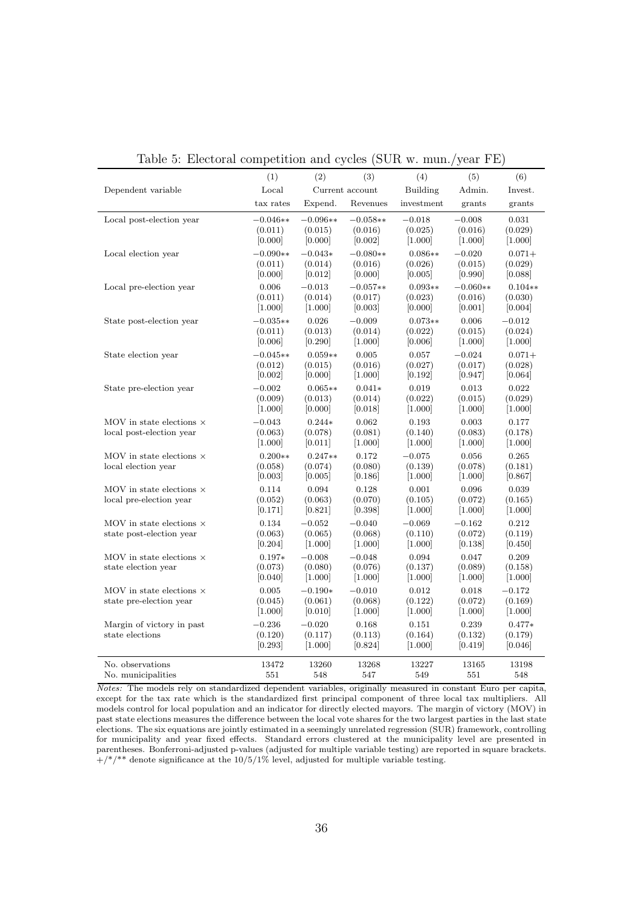|                                                             | (1)                              | (2)                              | (3)                               | (4)                              | (5)                              | (6)                             |
|-------------------------------------------------------------|----------------------------------|----------------------------------|-----------------------------------|----------------------------------|----------------------------------|---------------------------------|
| Dependent variable                                          | Local                            |                                  | Current account                   | Building                         | Admin.                           | Invest.                         |
|                                                             | tax rates                        | Expend.                          | Revenues                          | investment                       | grants                           | grants                          |
| Local post-election year                                    | $-0.046**$<br>(0.011)<br>[0.000] | $-0.096**$<br>(0.015)<br>[0.000] | $-0.058**$<br>(0.016)<br>[0.002]  | $-0.018$<br>(0.025)<br>$[1.000]$ | $-0.008$<br>(0.016)<br>[1.000]   | 0.031<br>(0.029)<br>[1.000]     |
| Local election year                                         | $-0.090**$<br>(0.011)<br>[0.000] | $-0.043*$<br>(0.014)<br>[0.012]  | $-0.080**$<br>(0.016)<br>[0.000]  | $0.086**$<br>(0.026)<br>[0.005]  | $-0.020$<br>(0.015)<br>[0.990]   | $0.071+$<br>(0.029)<br>[0.088]  |
| Local pre-election year                                     | 0.006<br>(0.011)<br>[1.000]      | $-0.013$<br>(0.014)<br> 1.000    | $-0.057**$<br>(0.017)<br>[0.003]  | $0.093**$<br>(0.023)<br>[0.000]  | $-0.060**$<br>(0.016)<br>[0.001] | $0.104**$<br>(0.030)<br>[0.004] |
| State post-election year                                    | $-0.035**$<br>(0.011)<br>[0.006] | 0.026<br>(0.013)<br>[0.290]      | $-0.009$<br>(0.014)<br>[1.000]    | $0.073**$<br>(0.022)<br>[0.006]  | 0.006<br>(0.015)<br>[1.000]      | $-0.012$<br>(0.024)<br>[1.000]  |
| State election year                                         | $-0.045**$<br>(0.012)<br>[0.002] | $0.059**$<br>(0.015)<br>[0.000]  | 0.005<br>(0.016)<br>[1.000]       | 0.057<br>(0.027)<br>[0.192]      | $-0.024$<br>(0.017)<br>[0.947]   | $0.071+$<br>(0.028)<br>[0.064]  |
| State pre-election year                                     | $-0.002$<br>(0.009)<br> 1.000    | $0.065**$<br>(0.013)<br>[0.000]  | $0.041*$<br>(0.014)<br>[0.018]    | 0.019<br>(0.022)<br>$[1.000]$    | 0.013<br>(0.015)<br>[1.000]      | 0.022<br>(0.029)<br>[1.000]     |
| MOV in state elections $\times$<br>local post-election year | $-0.043$<br>(0.063)<br>$[1.000]$ | $0.244*$<br>(0.078)<br>[0.011]   | $\,0.062\,$<br>(0.081)<br>[1.000] | 0.193<br>(0.140)<br>$[1.000]$    | 0.003<br>(0.083)<br>[1.000]      | 0.177<br>(0.178)<br>[1.000]     |
| MOV in state elections $\times$<br>local election year      | $0.200**$<br>(0.058)<br>[0.003]  | $0.247**$<br>(0.074)<br>[0.005]  | 0.172<br>(0.080)<br>[0.186]       | $-0.075$<br>(0.139)<br>[1.000]   | 0.056<br>(0.078)<br>[1.000]      | 0.265<br>(0.181)<br>[0.867]     |
| MOV in state elections $\times$<br>local pre-election year  | 0.114<br>(0.052)<br>[0.171]      | 0.094<br>(0.063)<br>[0.821]      | 0.128<br>(0.070)<br>[0.398]       | 0.001<br>(0.105)<br>$[1.000]$    | 0.096<br>(0.072)<br>[1.000]      | 0.039<br>(0.165)<br>[1.000]     |
| MOV in state elections $\times$<br>state post-election year | 0.134<br>(0.063)<br>[0.204]      | $-0.052$<br>(0.065)<br>[1.000]   | $-0.040$<br>(0.068)<br>[1.000]    | $-0.069$<br>(0.110)<br>[1.000]   | $-0.162$<br>(0.072)<br>[0.138]   | 0.212<br>(0.119)<br>[0.450]     |
| MOV in state elections $\times$<br>state election year      | $0.197*$<br>(0.073)<br>[0.040]   | $-0.008$<br>(0.080)<br>[1.000]   | $-0.048$<br>(0.076)<br>[1.000]    | 0.094<br>(0.137)<br>$[1.000]$    | 0.047<br>(0.089)<br>[1.000]      | 0.209<br>(0.158)<br>[1.000]     |
| MOV in state elections $\times$<br>state pre-election year  | 0.005<br>(0.045)<br>[1.000]      | $-0.190*$<br>(0.061)<br>[0.010]  | $-0.010$<br>(0.068)<br>[1.000]    | 0.012<br>(0.122)<br>[1.000]      | 0.018<br>(0.072)<br>[1.000]      | $-0.172$<br>(0.169)<br>[1.000]  |
| Margin of victory in past<br>state elections                | $-0.236$<br>(0.120)<br>[0.293]   | $-0.020$<br>(0.117)<br>[1.000]   | 0.168<br>(0.113)<br>[0.824]       | 0.151<br>(0.164)<br>$[1.000]$    | 0.239<br>(0.132)<br>[0.419]      | $0.477*$<br>(0.179)<br>[0.046]  |
| No. observations<br>No. municipalities                      | 13472<br>551                     | 13260<br>548                     | 13268<br>547                      | 13227<br>549                     | 13165<br>551                     | 13198<br>548                    |

<span id="page-37-0"></span>Table 5: Electoral competition and cycles (SUR w. mun./year FE)

Notes: The models rely on standardized dependent variables, originally measured in constant Euro per capita, except for the tax rate which is the standardized first principal component of three local tax multipliers. All models control for local population and an indicator for directly elected mayors. The margin of victory (MOV) in past state elections measures the difference between the local vote shares for the two largest parties in the last state elections. The six equations are jointly estimated in a seemingly unrelated regression (SUR) framework, controlling for municipality and year fixed effects. Standard errors clustered at the municipality level are presented in parentheses. Bonferroni-adjusted p-values (adjusted for multiple variable testing) are reported in square brackets.  $+$ /\*/\*\* denote significance at the 10/5/1% level, adjusted for multiple variable testing.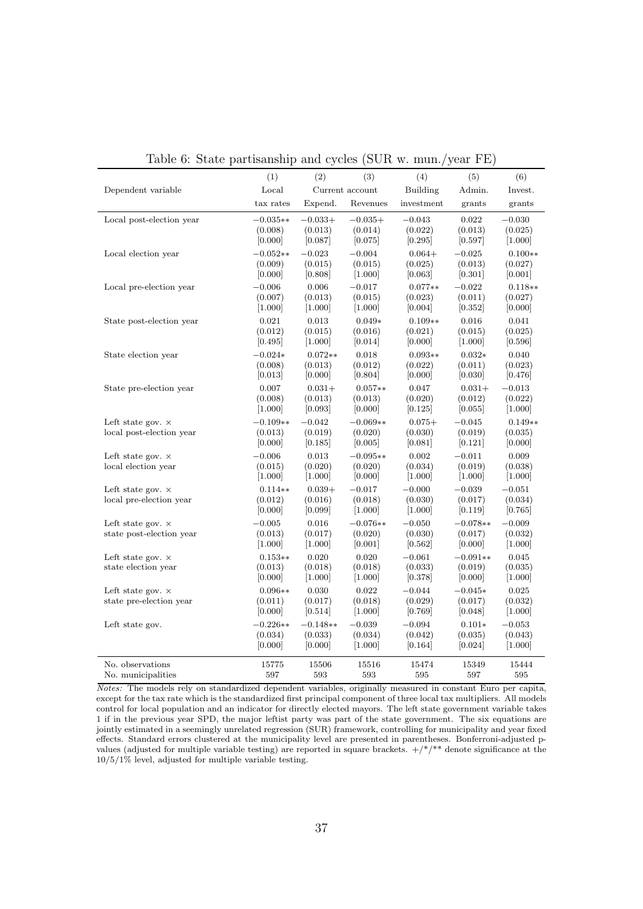|                                                      | (1)                              | (2)                              | (3)                              | (4)                              | (5)                              | (6)                              |
|------------------------------------------------------|----------------------------------|----------------------------------|----------------------------------|----------------------------------|----------------------------------|----------------------------------|
| Dependent variable                                   | Local                            |                                  | Current account                  | Building                         | Admin.                           | Invest.                          |
|                                                      | tax rates                        | Expend.                          | Revenues                         | investment                       | grants                           | grants                           |
| Local post-election year                             | $-0.035**$<br>(0.008)<br>[0.000] | $-0.033+$<br>(0.013)<br>[0.087]  | $-0.035+$<br>(0.014)<br>[0.075]  | $-0.043$<br>(0.022)<br>[0.295]   | 0.022<br>(0.013)<br>[0.597]      | $-0.030$<br>(0.025)<br>$[1.000]$ |
| Local election year                                  | $-0.052**$<br>(0.009)<br>[0.000] | $-0.023$<br>(0.015)<br>[0.808]   | $-0.004$<br>(0.015)<br>[1.000]   | $0.064+$<br>(0.025)<br>[0.063]   | $-0.025$<br>(0.013)<br>[0.301]   | $0.100**$<br>(0.027)<br>[0.001]  |
| Local pre-election year                              | $-0.006$<br>(0.007)<br>[1.000]   | 0.006<br>(0.013)<br>[1.000]      | $-0.017$<br>(0.015)<br>[1.000]   | $0.077**$<br>(0.023)<br>[0.004]  | $-0.022$<br>(0.011)<br>[0.352]   | $0.118**$<br>(0.027)<br>[0.000]  |
| State post-election year                             | 0.021<br>(0.012)<br>[0.495]      | 0.013<br>(0.015)<br>[1.000]      | $0.049*$<br>(0.016)<br>[0.014]   | $0.109**$<br>(0.021)<br>[0.000]  | 0.016<br>(0.015)<br>[1.000]      | 0.041<br>(0.025)<br>[0.596]      |
| State election year                                  | $-0.024*$<br>(0.008)<br>[0.013]  | $0.072**$<br>(0.013)<br>[0.000]  | 0.018<br>(0.012)<br>[0.804]      | $0.093**$<br>(0.022)<br>[0.000]  | $0.032*$<br>(0.011)<br>[0.030]   | 0.040<br>(0.023)<br>[0.476]      |
| State pre-election year                              | 0.007<br>(0.008)<br>$[1.000]$    | $0.031+$<br>(0.013)<br>[0.093]   | $0.057**$<br>(0.013)<br>[0.000]  | 0.047<br>(0.020)<br>[0.125]      | $0.031+$<br>(0.012)<br>[0.055]   | $-0.013$<br>(0.022)<br>[1.000]   |
| Left state gov. $\times$<br>local post-election year | $-0.109**$<br>(0.013)<br>[0.000] | $-0.042$<br>(0.019)<br>[0.185]   | $-0.069**$<br>(0.020)<br>[0.005] | $0.075+$<br>(0.030)<br>[0.081]   | $-0.045$<br>(0.019)<br>[0.121]   | $0.149**$<br>(0.035)<br>[0.000]  |
| Left state gov. $\times$<br>local election year      | $-0.006$<br>(0.015)<br>$[1.000]$ | 0.013<br>(0.020)<br>$[1.000]$    | $-0.095**$<br>(0.020)<br>[0.000] | 0.002<br>(0.034)<br>[1.000]      | $-0.011$<br>(0.019)<br>[1.000]   | 0.009<br>(0.038)<br>[1.000]      |
| Left state gov. $\times$<br>local pre-election year  | $0.114**$<br>(0.012)<br>[0.000]  | $0.039+$<br>(0.016)<br>[0.099]   | $-0.017$<br>(0.018)<br>[1.000]   | $-0.000$<br>(0.030)<br>$[1.000]$ | $-0.039$<br>(0.017)<br>[0.119]   | $-0.051$<br>(0.034)<br>[0.765]   |
| Left state gov. $\times$<br>state post-election year | $-0.005$<br>(0.013)<br>[1.000]   | 0.016<br>(0.017)<br>$[1.000]$    | $-0.076**$<br>(0.020)<br>[0.001] | $-0.050$<br>(0.030)<br>[0.562]   | $-0.078**$<br>(0.017)<br>[0.000] | $-0.009$<br>(0.032)<br>[1.000]   |
| Left state gov. $\times$<br>state election year      | $0.153**$<br>(0.013)<br>[0.000]  | 0.020<br>(0.018)<br>[1.000]      | 0.020<br>(0.018)<br>[1.000]      | $-0.061$<br>(0.033)<br>[0.378]   | $-0.091**$<br>(0.019)<br>[0.000] | 0.045<br>(0.035)<br>[1.000]      |
| Left state gov. $\times$<br>state pre-election year  | $0.096**$<br>(0.011)<br>[0.000]  | 0.030<br>(0.017)<br>[0.514]      | 0.022<br>(0.018)<br>[1.000]      | $-0.044$<br>(0.029)<br>[0.769]   | $-0.045*$<br>(0.017)<br>[0.048]  | 0.025<br>(0.032)<br>[1.000]      |
| Left state gov.                                      | $-0.226**$<br>(0.034)<br>[0.000] | $-0.148**$<br>(0.033)<br>[0.000] | $-0.039$<br>(0.034)<br>[1.000]   | $-0.094$<br>(0.042)<br>[0.164]   | $0.101*$<br>(0.035)<br>[0.024]   | $-0.053$<br>(0.043)<br>[1.000]   |
| No. observations<br>No. municipalities               | $15775\,$<br>597                 | 15506<br>593                     | 15516<br>593                     | 15474<br>595                     | 15349<br>597                     | 15444<br>595                     |

<span id="page-38-0"></span>Table 6: State partisanship and cycles (SUR w. mun./year FE)

Notes: The models rely on standardized dependent variables, originally measured in constant Euro per capita, except for the tax rate which is the standardized first principal component of three local tax multipliers. All models control for local population and an indicator for directly elected mayors. The left state government variable takes 1 if in the previous year SPD, the major leftist party was part of the state government. The six equations are jointly estimated in a seemingly unrelated regression (SUR) framework, controlling for municipality and year fixed effects. Standard errors clustered at the municipality level are presented in parentheses. Bonferroni-adjusted pvalues (adjusted for multiple variable testing) are reported in square brackets.  $+/*$  denote significance at the 10/5/1% level, adjusted for multiple variable testing.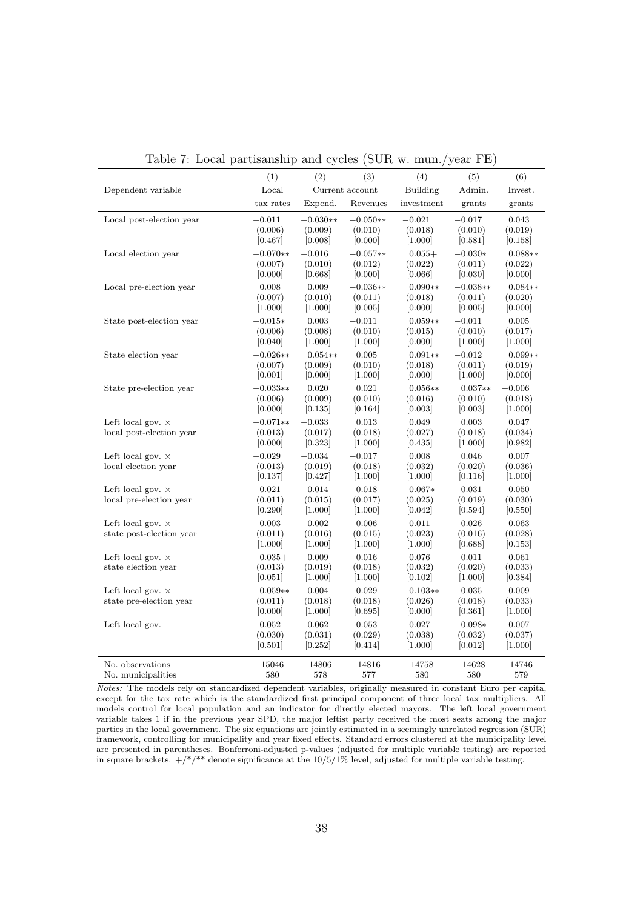|                                                     | (1)                   | (2)                    | (3)                   | (4)                   | (5)                   | (6)                  |
|-----------------------------------------------------|-----------------------|------------------------|-----------------------|-----------------------|-----------------------|----------------------|
| Dependent variable                                  | Local                 |                        | Current account       | Building              | Admin.                | Invest.              |
|                                                     | tax rates             | Expend.                | Revenues              | investment            | grants                | grants               |
| Local post-election year                            | $-0.011$              | $-0.030**$             | $-0.050**$            | $-0.021$              | $-0.017$              | 0.043                |
|                                                     | (0.006)<br>[0.467]    | (0.009)<br>[0.008]     | (0.010)<br>[0.000]    | (0.018)<br>[1.000]    | (0.010)<br>[0.581]    | (0.019)<br>[0.158]   |
| Local election year                                 | $-0.070**$            | $-0.016$               | $-0.057**$            | $0.055+$              | $-0.030*$             | $0.088**$            |
|                                                     | (0.007)               | (0.010)                | (0.012)               | (0.022)               | (0.011)               | (0.022)              |
|                                                     | [0.000]               | [0.668]                | [0.000]               | [0.066]               | [0.030]               | [0.000]              |
| Local pre-election year                             | 0.008<br>(0.007)      | 0.009<br>(0.010)       | $-0.036**$<br>(0.011) | $0.090**$<br>(0.018)  | $-0.038**$<br>(0.011) | $0.084**$<br>(0.020) |
|                                                     | [1.000]               | [1.000]                | [0.005]               | [0.000]               | [0.005]               | [0.000]              |
| State post-election year                            | $-0.015*$             | 0.003                  | $-0.011$              | $0.059**$             | $-0.011$              | 0.005                |
|                                                     | (0.006)               | (0.008)                | (0.010)               | (0.015)               | (0.010)               | (0.017)              |
| State election year                                 | [0.040]<br>$-0.026**$ | [1.000]<br>$0.054**$   | [1.000]<br>0.005      | [0.000]<br>$0.091**$  | [1.000]<br>$-0.012$   | [1.000]<br>$0.099**$ |
|                                                     | (0.007)               | (0.009)                | (0.010)               | (0.018)               | (0.011)               | (0.019)              |
|                                                     | [0.001]               | [0.000]                | $[1.000]$             | [0.000]               | $[1.000]$             | [0.000]              |
| State pre-election year                             | $-0.033**$            | 0.020                  | 0.021                 | $0.056**$             | $0.037**$             | $-0.006$             |
|                                                     | (0.006)<br>[0.000]    | (0.009)<br>[0.135]     | (0.010)<br>[0.164]    | (0.016)<br>[0.003]    | (0.010)<br>[0.003]    | (0.018)<br>[1.000]   |
| Left local gov. $\times$                            | $-0.071**$            | $-0.033$               | 0.013                 | 0.049                 | 0.003                 | 0.047                |
| local post-election year                            | (0.013)               | (0.017)                | (0.018)               | (0.027)               | (0.018)               | (0.034)              |
|                                                     | [0.000]               | [0.323]                | $[1.000]$             | [0.435]               | 1.000                 | [0.982]              |
| Left local gov. $\times$                            | $-0.029$              | $-0.034$               | $-0.017$              | 0.008                 | 0.046                 | 0.007                |
| local election year                                 | (0.013)<br>[0.137]    | (0.019)<br>[0.427]     | (0.018)<br>$[1.000]$  | (0.032)<br>[1.000]    | (0.020)<br>[0.116]    | (0.036)<br>[1.000]   |
| Left local gov. $\times$                            | 0.021                 | $-0.014$               | $-0.018$              | $-0.067*$             | 0.031                 | $-0.050$             |
| local pre-election year                             | (0.011)               | (0.015)                | (0.017)               | (0.025)               | (0.019)               | (0.030)              |
|                                                     | [0.290]               | [1.000]                | [1.000]               | [0.042]               | [0.594]               | [0.550]              |
| Left local gov. $\times$                            | $-0.003$<br>(0.011)   | $\,0.002\,$<br>(0.016) | 0.006                 | 0.011                 | $-0.026$              | 0.063                |
| state post-election year                            | $[1.000]$             | [1.000]                | (0.015)<br>[1.000]    | (0.023)<br>[1.000]    | (0.016)<br>[0.688]    | (0.028)<br>[0.153]   |
| Left local gov. $\times$                            | $0.035+$              | $-0.009$               | $-0.016$              | $-0.076$              | $-0.011$              | $-0.061$             |
| state election year                                 | (0.013)               | (0.019)                | (0.018)               | (0.032)               | (0.020)               | (0.033)              |
|                                                     | [0.051]               | [1.000]                | [1.000]               | [0.102]               | [1.000]               | [0.384]              |
| Left local gov. $\times$<br>state pre-election year | $0.059**$<br>(0.011)  | 0.004<br>(0.018)       | 0.029<br>(0.018)      | $-0.103**$<br>(0.026) | $-0.035$<br>(0.018)   | 0.009<br>(0.033)     |
|                                                     | [0.000]               | [1.000]                | [0.695]               | [0.000]               | [0.361]               | [1.000]              |
| Left local gov.                                     | $-0.052$              | $-0.062$               | 0.053                 | 0.027                 | $-0.098*$             | 0.007                |
|                                                     | (0.030)               | (0.031)                | (0.029)               | (0.038)               | (0.032)               | (0.037)              |
|                                                     | [0.501]               | [0.252]                | [0.414]               | [1.000]               | [0.012]               | [1.000]              |
| No. observations                                    | 15046                 | 14806                  | 14816                 | 14758                 | 14628                 | 14746                |
| No. municipalities                                  | 580                   | 578                    | 577                   | 580                   | 580                   | 579                  |

<span id="page-39-0"></span>Table 7: Local partisanship and cycles (SUR w. mun./year FE)

Notes: The models rely on standardized dependent variables, originally measured in constant Euro per capita, except for the tax rate which is the standardized first principal component of three local tax multipliers. All models control for local population and an indicator for directly elected mayors. The left local government variable takes 1 if in the previous year SPD, the major leftist party received the most seats among the major parties in the local government. The six equations are jointly estimated in a seemingly unrelated regression (SUR) framework, controlling for municipality and year fixed effects. Standard errors clustered at the municipality level are presented in parentheses. Bonferroni-adjusted p-values (adjusted for multiple variable testing) are reported in square brackets.  $+/*/**$  denote significance at the 10/5/1% level, adjusted for multiple variable testing.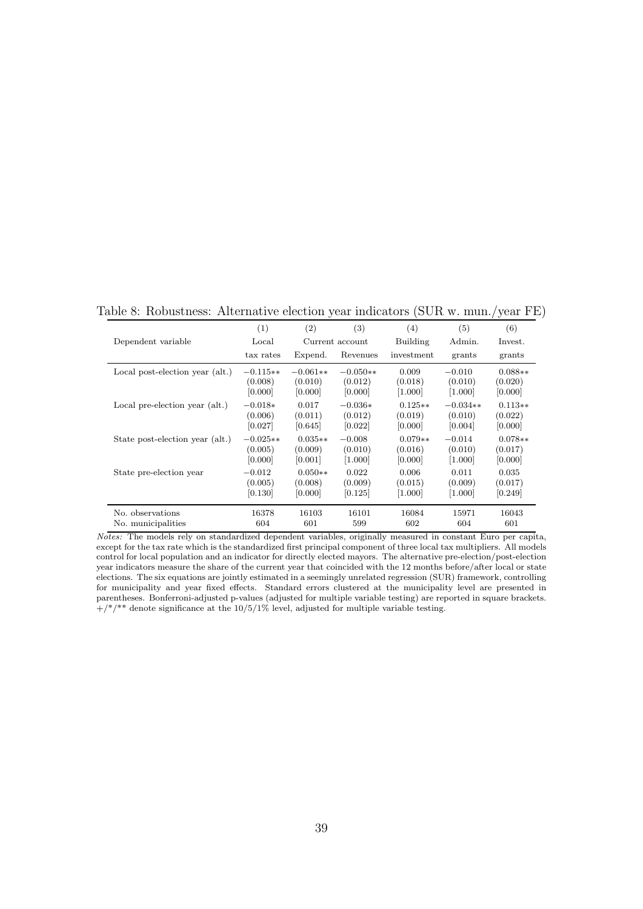Table 8: Robustness: Alternative election year indicators (SUR w. mun./year FE)

<span id="page-40-0"></span>

|                                 | (1)        | (2)        | $^{(3)}$        | (4)        | (5)        | (6)       |
|---------------------------------|------------|------------|-----------------|------------|------------|-----------|
| Dependent variable              | Local      |            | Current account | Building   | Admin.     | Invest.   |
|                                 | tax rates  | Expend.    | Revenues        | investment | grants     | grants    |
| Local post-election year (alt.) | $-0.115**$ | $-0.061**$ | $-0.050**$      | 0.009      | $-0.010$   | $0.088**$ |
|                                 | (0.008)    | (0.010)    | (0.012)         | (0.018)    | (0.010)    | (0.020)   |
|                                 | [0.000]    | [0.000]    | [0.000]         | [1.000]    | [1.000]    | 0.000     |
| Local pre-election year (alt.)  | $-0.018*$  | 0.017      | $-0.036*$       | $0.125**$  | $-0.034**$ | $0.113**$ |
|                                 | (0.006)    | (0.011)    | (0.012)         | (0.019)    | (0.010)    | (0.022)   |
|                                 | [0.027]    | 0.645      | [0.022]         | [0.000]    | [0.004]    | 0.000     |
| State post-election year (alt.) | $-0.025**$ | $0.035**$  | $-0.008$        | $0.079**$  | $-0.014$   | $0.078**$ |
|                                 | (0.005)    | (0.009)    | (0.010)         | (0.016)    | (0.010)    | (0.017)   |
|                                 | [0.000]    | 0.001      | 1.000           | 0.000      | 1.000      | 0.000     |
| State pre-election year         | $-0.012$   | $0.050**$  | 0.022           | 0.006      | 0.011      | 0.035     |
|                                 | (0.005)    | (0.008)    | (0.009)         | (0.015)    | (0.009)    | (0.017)   |
|                                 | [0.130]    | 0.000      | 0.125           | 1.000      | 1.000      | 0.249     |
| No. observations                | 16378      | 16103      | 16101           | 16084      | 15971      | 16043     |
| No. municipalities              | 604        | 601        | 599             | 602        | 604        | 601       |

Notes: The models rely on standardized dependent variables, originally measured in constant Euro per capita, except for the tax rate which is the standardized first principal component of three local tax multipliers. All models control for local population and an indicator for directly elected mayors. The alternative pre-election/post-election year indicators measure the share of the current year that coincided with the 12 months before/after local or state elections. The six equations are jointly estimated in a seemingly unrelated regression (SUR) framework, controlling for municipality and year fixed effects. Standard errors clustered at the municipality level are presented in parentheses. Bonferroni-adjusted p-values (adjusted for multiple variable testing) are reported in square brackets.  $+$ /\*/\*\* denote significance at the 10/5/1% level, adjusted for multiple variable testing.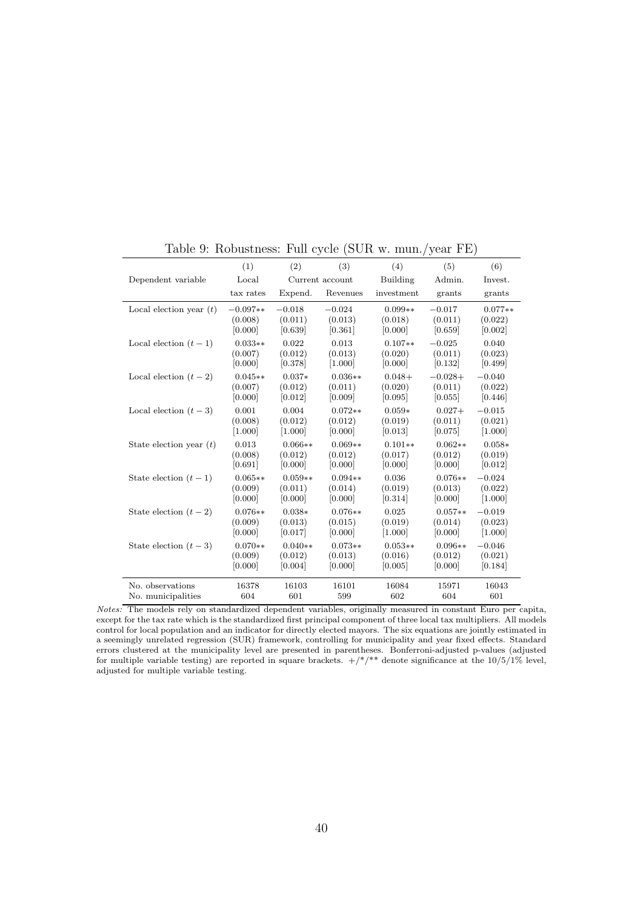|                           | (1)        | (2)       | (3)             | (4)        | (5)       | (6)                  |
|---------------------------|------------|-----------|-----------------|------------|-----------|----------------------|
| Dependent variable        | Local      |           | Current account | Building   | Admin.    | Invest.              |
|                           | tax rates  | Expend.   | Revenues        | investment | grants    | grants               |
| Local election year $(t)$ | $-0.097**$ | $-0.018$  | $-0.024$        | $0.099**$  | $-0.017$  | $0.077**$            |
|                           | (0.008)    | (0.011)   | (0.013)         | (0.018)    | (0.011)   | (0.022)              |
|                           | [0.000]    | [0.639]   | [0.361]         | [0.000]    | [0.659]   | [0.002]              |
| Local election $(t-1)$    | $0.033**$  | 0.022     | 0.013           | $0.107**$  | $-0.025$  | 0.040                |
|                           | (0.007)    | (0.012)   | (0.013)         | (0.020)    | (0.011)   | (0.023)              |
|                           | [0.000]    | [0.378]   | [1.000]         | [0.000]    | [0.132]   | [0.499]              |
| Local election $(t-2)$    | $0.045**$  | $0.037*$  | $0.036**$       | $0.048+$   | $-0.028+$ | $-0.040$             |
|                           | (0.007)    | (0.012)   | (0.011)         | (0.020)    | (0.011)   | (0.022)              |
|                           | [0.000]    | [0.012]   | [0.009]         | [0.095]    | [0.055]   | [0.446]              |
| Local election $(t-3)$    | 0.001      | 0.004     | $0.072**$       | $0.059*$   | $0.027+$  | $-0.015$             |
|                           | (0.008)    | (0.012)   | (0.012)         | (0.019)    | (0.011)   | (0.021)              |
|                           | [1.000]    | [1.000]   | [0.000]         | [0.013]    | [0.075]   | $[1.000]$            |
| State election year $(t)$ | 0.013      | $0.066**$ | $0.069**$       | $0.101**$  | $0.062**$ | $0.058*$             |
|                           | (0.008)    | (0.012)   | (0.012)         | (0.017)    | (0.012)   | (0.019)              |
|                           | [0.691]    | [0.000]   | [0.000]         | [0.000]    | [0.000]   | [0.012]              |
| State election $(t-1)$    | $0.065**$  | $0.059**$ | $0.094**$       | 0.036      | $0.076**$ | $-0.024$             |
|                           | (0.009)    | (0.011)   | (0.014)         | (0.019)    | (0.013)   | (0.022)              |
|                           | [0.000]    | [0.000]   | [0.000]         | [0.314]    | [0.000]   | $\left[1.000\right]$ |
| State election $(t-2)$    | $0.076**$  | $0.038*$  | $0.076**$       | 0.025      | $0.057**$ | $-0.019$             |
|                           | (0.009)    | (0.013)   | (0.015)         | (0.019)    | (0.014)   | (0.023)              |
|                           | [0.000]    | [0.017]   | [0.000]         | [1.000]    | [0.000]   | $[1.000]$            |
| State election $(t-3)$    | $0.070**$  | $0.040**$ | $0.073**$       | $0.053**$  | $0.096**$ | $-0.046$             |
|                           | (0.009)    | (0.012)   | (0.013)         | (0.016)    | (0.012)   | (0.021)              |
|                           | [0.000]    | [0.004]   | [0.000]         | [0.005]    | [0.000]   | [0.184]              |
| No. observations          | 16378      | 16103     | 16101           | 16084      | 15971     | 16043                |
| No. municipalities        | 604        | 601       | 599             | 602        | 604       | 601                  |

<span id="page-41-0"></span>Table 9: Robustness: Full cycle (SUR w. mun./year FE)

Notes: The models rely on standardized dependent variables, originally measured in constant Euro per capita, except for the tax rate which is the standardized first principal component of three local tax multipliers. All models control for local population and an indicator for directly elected mayors. The six equations are jointly estimated in a seemingly unrelated regression (SUR) framework, controlling for municipality and year fixed effects. Standard errors clustered at the municipality level are presented in parentheses. Bonferroni-adjusted p-values (adjusted for multiple variable testing) are reported in square brackets.  $+$ /\*/\*\* denote significance at the 10/5/1% level, adjusted for multiple variable testing.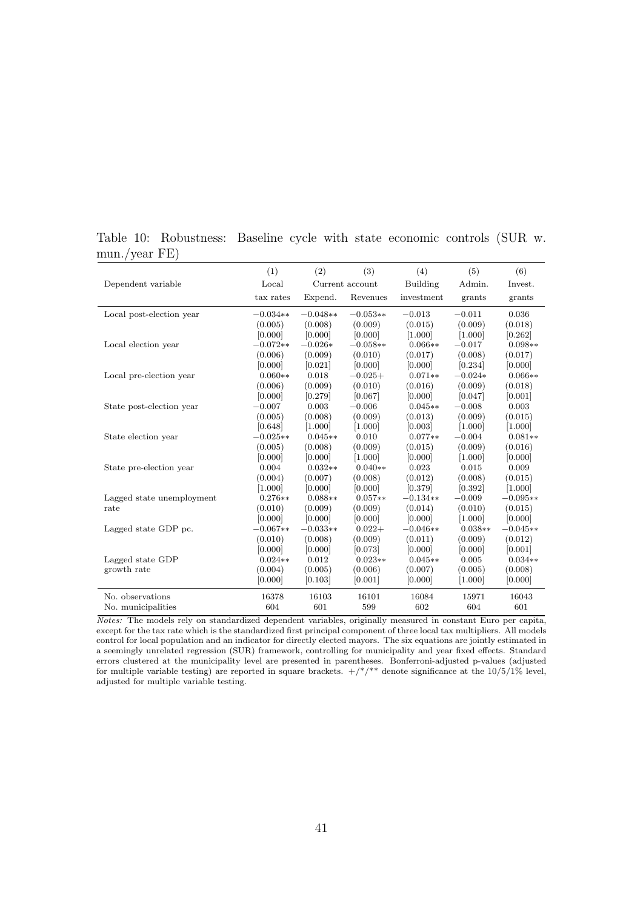|                           | (1)        | (2)        | (3)             | (4)        | (5)       | (6)        |
|---------------------------|------------|------------|-----------------|------------|-----------|------------|
| Dependent variable        | Local      |            | Current account | Building   | Admin.    | Invest.    |
|                           | tax rates  | Expend.    | Revenues        | investment | grants    | grants     |
| Local post-election year  | $-0.034**$ | $-0.048**$ | $-0.053**$      | $-0.013$   | $-0.011$  | 0.036      |
|                           | (0.005)    | (0.008)    | (0.009)         | (0.015)    | (0.009)   | (0.018)    |
|                           | [0.000]    | [0.000]    | [0.000]         | [1.000]    | [1.000]   | [0.262]    |
| Local election year       | $-0.072**$ | $-0.026*$  | $-0.058**$      | $0.066**$  | $-0.017$  | $0.098**$  |
|                           | (0.006)    | (0.009)    | (0.010)         | (0.017)    | (0.008)   | (0.017)    |
|                           | [0.000]    | [0.021]    | [0.000]         | [0.000]    | [0.234]   | [0.000]    |
| Local pre-election year   | $0.060**$  | 0.018      | $-0.025+$       | $0.071**$  | $-0.024*$ | $0.066**$  |
|                           | (0.006)    | (0.009)    | (0.010)         | (0.016)    | (0.009)   | (0.018)    |
|                           | [0.000]    | [0.279]    | [0.067]         | [0.000]    | [0.047]   | [0.001]    |
| State post-election year  | $-0.007$   | 0.003      | $-0.006$        | $0.045**$  | $-0.008$  | 0.003      |
|                           | (0.005)    | (0.008)    | (0.009)         | (0.013)    | (0.009)   | (0.015)    |
|                           | [0.648]    | [1.000]    | [1.000]         | [0.003]    | [1.000]   | [1.000]    |
| State election year       | $-0.025**$ | $0.045**$  | 0.010           | $0.077**$  | $-0.004$  | $0.081**$  |
|                           | (0.005)    | (0.008)    | (0.009)         | (0.015)    | (0.009)   | (0.016)    |
|                           | [0.000]    | [0.000]    | [1.000]         | [0.000]    | [1.000]   | [0.000]    |
| State pre-election year   | 0.004      | $0.032**$  | $0.040**$       | 0.023      | 0.015     | 0.009      |
|                           | (0.004)    | (0.007)    | (0.008)         | (0.012)    | (0.008)   | (0.015)    |
|                           | $[1.000]$  | [0.000]    | [0.000]         | [0.379]    | [0.392]   | [1.000]    |
| Lagged state unemployment | $0.276**$  | $0.088**$  | $0.057**$       | $-0.134**$ | $-0.009$  | $-0.095**$ |
| rate                      | (0.010)    | (0.009)    | (0.009)         | (0.014)    | (0.010)   | (0.015)    |
|                           | [0.000]    | [0.000]    | [0.000]         | [0.000]    | [1.000]   | [0.000]    |
| Lagged state GDP pc.      | $-0.067**$ | $-0.033**$ | $0.022+$        | $-0.046**$ | $0.038**$ | $-0.045**$ |
|                           | (0.010)    | (0.008)    | (0.009)         | (0.011)    | (0.009)   | (0.012)    |
|                           | [0.000]    | [0.000]    | [0.073]         | [0.000]    | [0.000]   | [0.001]    |
| Lagged state GDP          | $0.024**$  | 0.012      | $0.023**$       | $0.045**$  | 0.005     | $0.034**$  |
| growth rate               | (0.004)    | (0.005)    | (0.006)         | (0.007)    | (0.005)   | (0.008)    |
|                           | [0.000]    | [0.103]    | [0.001]         | [0.000]    | [1.000]   | [0.000]    |
| No. observations          | 16378      | 16103      | 16101           | 16084      | 15971     | 16043      |
| No. municipalities        | 604        | 601        | 599             | 602        | 604       | 601        |

<span id="page-42-0"></span>Table 10: Robustness: Baseline cycle with state economic controls (SUR w. mun./year FE)  $\overline{a}$ 

Notes: The models rely on standardized dependent variables, originally measured in constant Euro per capita, except for the tax rate which is the standardized first principal component of three local tax multipliers. All models control for local population and an indicator for directly elected mayors. The six equations are jointly estimated in a seemingly unrelated regression (SUR) framework, controlling for municipality and year fixed effects. Standard errors clustered at the municipality level are presented in parentheses. Bonferroni-adjusted p-values (adjusted for multiple variable testing) are reported in square brackets.  $+$ /\*/\*\* denote significance at the 10/5/1% level, adjusted for multiple variable testing.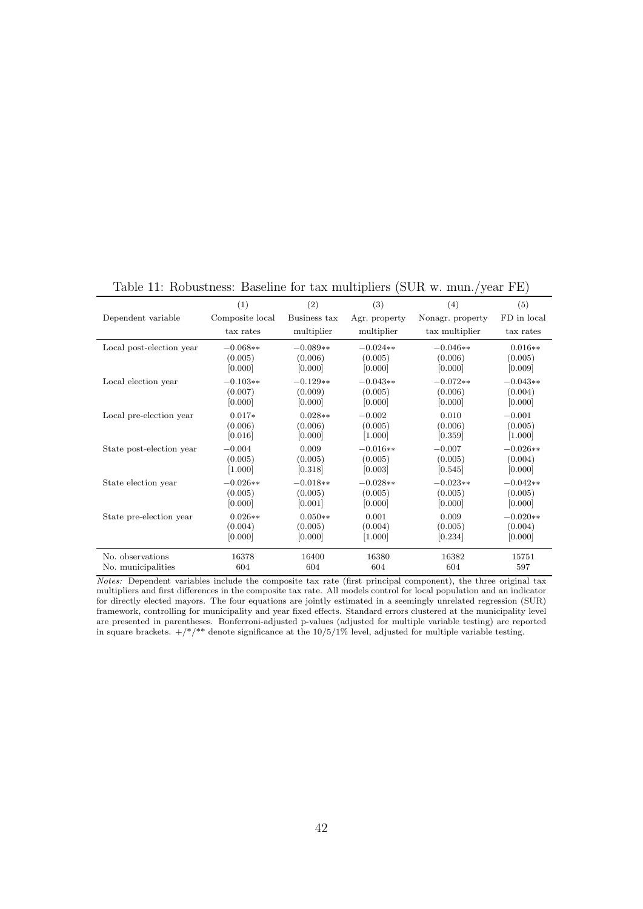|                          | (1)                  | (2)          | (3)           | (4)              | (5)         |
|--------------------------|----------------------|--------------|---------------|------------------|-------------|
| Dependent variable       | Composite local      | Business tax | Agr. property | Nonagr. property | FD in local |
|                          | tax rates            | multiplier   | multiplier    | tax multiplier   | tax rates   |
| Local post-election year | $-0.068**$           | $-0.089**$   | $-0.024**$    | $-0.046**$       | $0.016**$   |
|                          | (0.005)              | (0.006)      | (0.005)       | (0.006)          | (0.005)     |
|                          | [0.000]              | [0.000]      | [0.000]       | [0.000]          | [0.009]     |
| Local election year      | $-0.103**$           | $-0.129**$   | $-0.043**$    | $-0.072**$       | $-0.043**$  |
|                          | (0.007)              | (0.009)      | (0.005)       | (0.006)          | (0.004)     |
|                          | [0.000]              | [0.000]      | [0.000]       | [0.000]          | [0.000]     |
| Local pre-election year  | $0.017*$             | $0.028**$    | $-0.002$      | 0.010            | $-0.001$    |
|                          | (0.006)              | (0.006)      | (0.005)       | (0.006)          | (0.005)     |
|                          | 0.016                | 0.000        | 1.000         | 0.359            | 1.000       |
| State post-election year | $-0.004$             | 0.009        | $-0.016**$    | $-0.007$         | $-0.026**$  |
|                          | (0.005)              | (0.005)      | (0.005)       | (0.005)          | (0.004)     |
|                          | $\left[1.000\right]$ | 0.318        | 0.003         | [0.545]          | 0.000       |
| State election year      | $-0.026**$           | $-0.018**$   | $-0.028**$    | $-0.023**$       | $-0.042**$  |
|                          | (0.005)              | (0.005)      | (0.005)       | (0.005)          | (0.005)     |
|                          | [0.000]              | [0.001]      | [0.000]       | [0.000]          | [0.000]     |
| State pre-election year  | $0.026**$            | $0.050**$    | 0.001         | 0.009            | $-0.020**$  |
|                          | (0.004)              | (0.005)      | (0.004)       | (0.005)          | (0.004)     |
|                          | 0.000                | 0.000        | 1.000         | [0.234]          | 0.000       |
| No. observations         | 16378                | 16400        | 16380         | 16382            | 15751       |
| No. municipalities       | 604                  | 604          | 604           | 604              | 597         |

<span id="page-43-0"></span>Table 11: Robustness: Baseline for tax multipliers (SUR w. mun./year FE)

Notes: Dependent variables include the composite tax rate (first principal component), the three original tax multipliers and first differences in the composite tax rate. All models control for local population and an indicator for directly elected mayors. The four equations are jointly estimated in a seemingly unrelated regression (SUR) framework, controlling for municipality and year fixed effects. Standard errors clustered at the municipality level are presented in parentheses. Bonferroni-adjusted p-values (adjusted for multiple variable testing) are reported in square brackets.  $+$ /\*/\*\* denote significance at the  $10/5/1\%$  level, adjusted for multiple variable testing.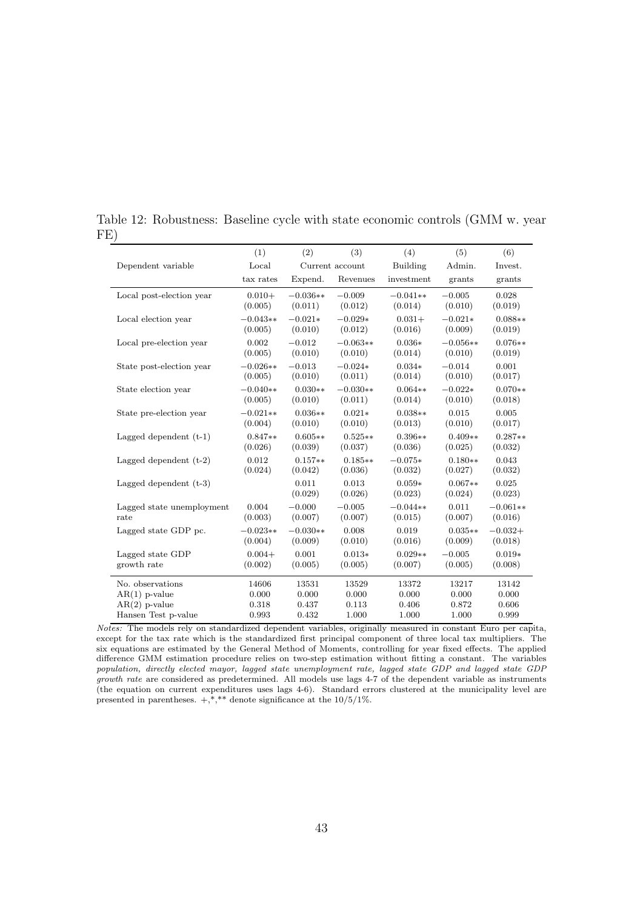|                           | (1)        | (2)              | (3)              | (4)                 | (5)                  | (6)              |
|---------------------------|------------|------------------|------------------|---------------------|----------------------|------------------|
| Dependent variable        | Local      |                  | Current account  | Building            | Admin.               | Invest.          |
|                           | tax rates  | Expend.          | Revenues         | investment          | grants               | grants           |
| Local post-election year  | $0.010+$   | $-0.036**$       | $-0.009$         | $-0.041**$          | $-0.005$             | 0.028            |
|                           | (0.005)    | (0.011)          | (0.012)          | (0.014)             | (0.010)              | (0.019)          |
| Local election year       | $-0.043**$ | $-0.021*$        | $-0.029*$        | $0.031+$            | $-0.021*$            | $0.088**$        |
|                           | (0.005)    | (0.010)          | (0.012)          | (0.016)             | (0.009)              | (0.019)          |
| Local pre-election year   | 0.002      | $-0.012$         | $-0.063**$       | $0.036*$            | $-0.056**$           | $0.076**$        |
|                           | (0.005)    | (0.010)          | (0.010)          | (0.014)             | (0.010)              | (0.019)          |
| State post-election year  | $-0.026**$ | $-0.013$         | $-0.024*$        | $0.034*$            | $-0.014$             | 0.001            |
|                           | (0.005)    | (0.010)          | (0.011)          | (0.014)             | (0.010)              | (0.017)          |
| State election year       | $-0.040**$ | $0.030**$        | $-0.030**$       | $0.064**$           | $-0.022*$            | $0.070**$        |
|                           | (0.005)    | (0.010)          | (0.011)          | (0.014)             | (0.010)              | (0.018)          |
| State pre-election year   | $-0.021**$ | $0.036**$        | $0.021*$         | $0.038**$           | 0.015                | 0.005            |
|                           | (0.004)    | (0.010)          | (0.010)          | (0.013)             | (0.010)              | (0.017)          |
| Lagged dependent $(t-1)$  | $0.847**$  | $0.605**$        | $0.525**$        | $0.396**$           | $0.409**$            | $0.287**$        |
|                           | (0.026)    | (0.039)          | (0.037)          | (0.036)             | (0.025)              | (0.032)          |
| Lagged dependent $(t-2)$  | 0.012      | $0.157**$        | $0.185**$        | $-0.075*$           | $0.180**$            | 0.043            |
|                           | (0.024)    | (0.042)          | (0.036)          | (0.032)             | (0.027)              | (0.032)          |
| Lagged dependent $(t-3)$  |            | 0.011<br>(0.029) | 0.013<br>(0.026) | $0.059*$<br>(0.023) | $0.067**$<br>(0.024) | 0.025<br>(0.023) |
| Lagged state unemployment | 0.004      | $-0.000$         | $-0.005$         | $-0.044**$          | 0.011                | $-0.061**$       |
| rate                      | (0.003)    | (0.007)          | (0.007)          | (0.015)             | (0.007)              | (0.016)          |
| Lagged state GDP pc.      | $-0.023**$ | $-0.030**$       | 0.008            | 0.019               | $0.035**$            | $-0.032+$        |
|                           | (0.004)    | (0.009)          | (0.010)          | (0.016)             | (0.009)              | (0.018)          |
| Lagged state GDP          | $0.004+$   | 0.001            | $0.013*$         | $0.029**$           | $-0.005$             | $0.019*$         |
| growth rate               | (0.002)    | (0.005)          | (0.005)          | (0.007)             | (0.005)              | (0.008)          |
| No. observations          | 14606      | 13531            | 13529            | 13372               | 13217                | 13142            |
| $AR(1)$ p-value           | 0.000      | 0.000            | 0.000            | 0.000               | 0.000                | 0.000            |
| $AR(2)$ p-value           | 0.318      | 0.437            | 0.113            | 0.406               | 0.872                | 0.606            |
| Hansen Test p-value       | 0.993      | 0.432            | 1.000            | 1.000               | 1.000                | 0.999            |

<span id="page-44-0"></span>Table 12: Robustness: Baseline cycle with state economic controls (GMM w. year FE)

Notes: The models rely on standardized dependent variables, originally measured in constant Euro per capita, except for the tax rate which is the standardized first principal component of three local tax multipliers. The six equations are estimated by the General Method of Moments, controlling for year fixed effects. The applied difference GMM estimation procedure relies on two-step estimation without fitting a constant. The variables population, directly elected mayor, lagged state unemployment rate, lagged state GDP and lagged state GDP growth rate are considered as predetermined. All models use lags 4-7 of the dependent variable as instruments (the equation on current expenditures uses lags 4-6). Standard errors clustered at the municipality level are presented in parentheses.  $+$ , \*, \*\* denote significance at the  $10/5/1\%$ .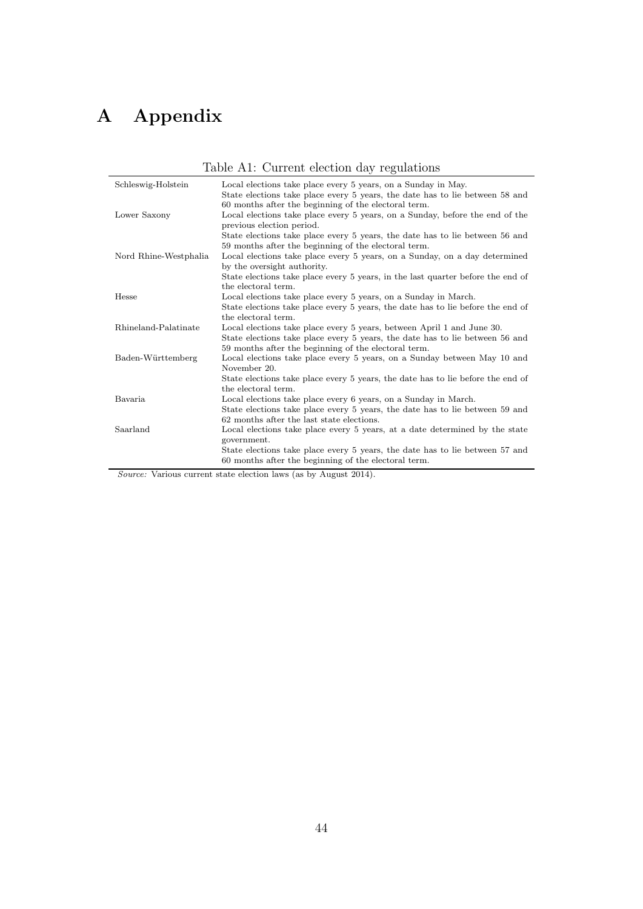# A Appendix

|                       | Table AT: Current election day regulations                                      |
|-----------------------|---------------------------------------------------------------------------------|
| Schleswig-Holstein    | Local elections take place every 5 years, on a Sunday in May.                   |
|                       | State elections take place every 5 years, the date has to lie between 58 and    |
|                       | 60 months after the beginning of the electoral term.                            |
| Lower Saxony          | Local elections take place every 5 years, on a Sunday, before the end of the    |
|                       | previous election period.                                                       |
|                       | State elections take place every 5 years, the date has to lie between 56 and    |
|                       | 59 months after the beginning of the electoral term.                            |
| Nord Rhine-Westphalia | Local elections take place every 5 years, on a Sunday, on a day determined      |
|                       | by the oversight authority.                                                     |
|                       | State elections take place every 5 years, in the last quarter before the end of |
|                       | the electoral term.                                                             |
| Hesse                 | Local elections take place every 5 years, on a Sunday in March.                 |
|                       | State elections take place every 5 years, the date has to lie before the end of |
|                       | the electoral term.                                                             |
| Rhineland-Palatinate  | Local elections take place every 5 years, between April 1 and June 30.          |
|                       | State elections take place every 5 years, the date has to lie between 56 and    |
|                       | 59 months after the beginning of the electoral term.                            |
| Baden-Württemberg     | Local elections take place every 5 years, on a Sunday between May 10 and        |
|                       | November 20.                                                                    |
|                       | State elections take place every 5 years, the date has to lie before the end of |
|                       | the electoral term.                                                             |
| Bavaria               | Local elections take place every 6 years, on a Sunday in March.                 |
|                       | State elections take place every 5 years, the date has to lie between 59 and    |
|                       | 62 months after the last state elections.                                       |
| Saarland              | Local elections take place every 5 years, at a date determined by the state     |
|                       | government.                                                                     |
|                       | State elections take place every 5 years, the date has to lie between 57 and    |
|                       | 60 months after the beginning of the electoral term.                            |

Table A1: Current election day regulations

Source: Various current state election laws (as by August 2014).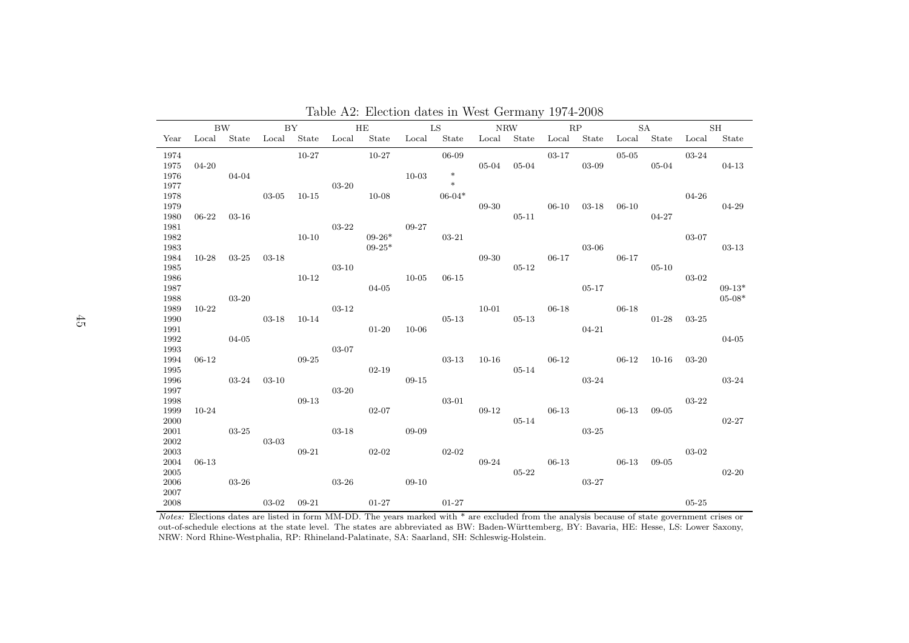|                              | <b>BW</b>   |           | <b>BY</b>   |           |           | HE                       |           | LS                        | <b>NRW</b> |           | RP        |           | <b>SA</b> |           |           | <b>SH</b>              |
|------------------------------|-------------|-----------|-------------|-----------|-----------|--------------------------|-----------|---------------------------|------------|-----------|-----------|-----------|-----------|-----------|-----------|------------------------|
| Year                         | Local State |           | Local State |           | Local     | State                    | Local     | State                     | Local      | State     | Local     | State     | Local     | State     | Local     | State                  |
| 1974<br>1975<br>1976<br>1977 | 04-20       | $04 - 04$ |             | $10 - 27$ | $03 - 20$ | $10 - 27$                | $10 - 03$ | 06-09<br>$\ast$<br>$\ast$ | 05-04      | $05 - 04$ | 03-17     | 03-09     | $05 - 05$ | $05 - 04$ | 03-24     | $04 - 13$              |
| 1978<br>1979<br>1980         | 06-22       | $03 - 16$ | $03-05$     | $10 - 15$ |           | $10 - 08$                |           | $06 - 04*$                | $09 - 30$  | $05 - 11$ | $06 - 10$ | $03-18$   | $06-10$   | 04-27     | $04 - 26$ | 04-29                  |
| 1981<br>1982<br>1983<br>1984 | 10-28       | 03-25     | $03 - 18$   | $10 - 10$ | $03-22$   | $09 - 26*$<br>$09 - 25*$ | 09-27     | $03 - 21$                 | 09-30      |           | $06 - 17$ | $03-06$   | 06-17     |           | 03-07     | $03 - 13$              |
| 1985<br>1986<br>1987<br>1988 |             | 03-20     |             | $10 - 12$ | $03 - 10$ | 04-05                    | $10 - 05$ | $06 - 15$                 |            | $05 - 12$ |           | $05 - 17$ |           | $05 - 10$ | $03-02$   | $09-13*$<br>$05 - 08*$ |
| 1989<br>1990<br>1991         | $10 - 22$   |           | $03-18$     | $10 - 14$ | $03 - 12$ | $01 - 20$                | $10 - 06$ | $05 - 13$                 | $10 - 01$  | $05 - 13$ | $06 - 18$ | $04 - 21$ | $06 - 18$ | 01-28     | 03-25     |                        |
| 1992<br>1993<br>1994<br>1995 | $06 - 12$   | $04 - 05$ |             | 09-25     | 03-07     | $02 - 19$                |           | $03 - 13$                 | $10 - 16$  | $05 - 14$ | 06-12     |           | 06-12     | $10 - 16$ | 03-20     | $04 - 05$              |
| 1996<br>1997<br>1998<br>1999 | 10-24       | 03-24     | $03-10$     | $09-13$   | 03-20     | $02 - 07$                | $09 - 15$ | 03-01                     | $09-12$    |           | $06-13$   | 03-24     | $06-13$   | $09-05$   | $03-22$   | 03-24                  |
| 2000<br>2001<br>2002         |             | 03-25     | 03-03       |           | $03 - 18$ |                          | 09-09     |                           |            | $05 - 14$ |           | $03 - 25$ |           |           |           | $02 - 27$              |
| 2003<br>2004<br>2005<br>2006 | $06 - 13$   | 03-26     |             | 09-21     | 03-26     | $02 - 02$                | $09 - 10$ | $02 - 02$                 | 09-24      | $05 - 22$ | $06-13$   | 03-27     | $06-13$   | $09-05$   | 03-02     | $02 - 20$              |
| 2007<br>2008                 |             |           | 03-02       | 09-21     |           | $01 - 27$                |           | 01-27                     |            |           |           |           |           |           | $05 - 25$ |                        |

Table A2: Election dates in West Germany 1974-2008

Notes: Elections dates are listed in form MM-DD. The years marked with \* are excluded from the analysis because of state government crises or out-of-schedule elections at the state level. The states are abbreviated as BW: Baden-W¨urttemberg, BY: Bavaria, HE: Hesse, LS: Lower Saxony,NRW: Nord Rhine-Westphalia, RP: Rhineland-Palatinate, SA: Saarland, SH: Schleswig-Holstein.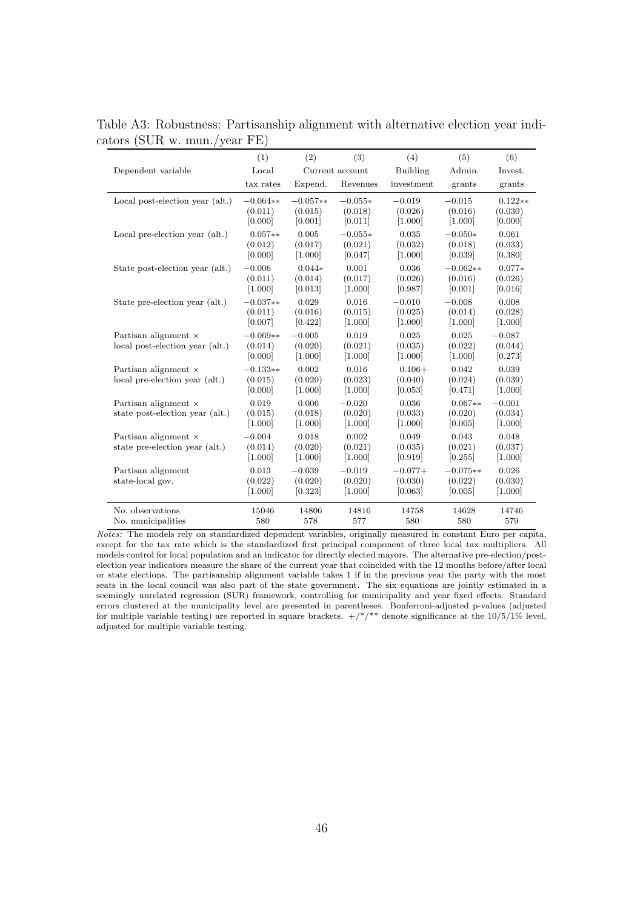Table A3: Robustness: Partisanship alignment with alternative election year indicators (SUR w. mun./year FE)

|                                                               | (1)                              | (2)                              | (3)                             | (4)                             | (5)                              | (6)                             |
|---------------------------------------------------------------|----------------------------------|----------------------------------|---------------------------------|---------------------------------|----------------------------------|---------------------------------|
| Dependent variable                                            | Local                            |                                  | Current account                 | Building                        | Admin.                           | Invest.                         |
|                                                               | tax rates                        | Expend.                          | Revenues                        | investment                      | grants                           | grants                          |
| Local post-election year (alt.)                               | $-0.064**$<br>(0.011)<br>[0.000] | $-0.057**$<br>(0.015)<br>[0.001] | $-0.055*$<br>(0.018)<br>[0.011] | $-0.019$<br>(0.026)<br>[1.000]  | $-0.015$<br>(0.016)<br>[1.000]   | $0.122**$<br>(0.030)<br>[0.000] |
| Local pre-election year (alt.)                                | $0.057**$<br>(0.012)<br>[0.000]  | 0.005<br>(0.017)<br>[1.000]      | $-0.055*$<br>(0.021)<br>[0.047] | 0.035<br>(0.032)<br>[1.000]     | $-0.050*$<br>(0.018)<br>[0.039]  | 0.061<br>(0.033)<br>[0.380]     |
| State post-election year (alt.)                               | $-0.006$<br>(0.011)<br>[1.000]   | $0.044*$<br>(0.014)<br>[0.013]   | 0.001<br>(0.017)<br>[1.000]     | 0.036<br>(0.026)<br>[0.987]     | $-0.062**$<br>(0.016)<br>[0.001] | $0.077*$<br>(0.026)<br>[0.016]  |
| State pre-election year (alt.)                                | $-0.037**$<br>(0.011)<br>[0.007] | 0.029<br>(0.016)<br>[0.422]      | 0.016<br>(0.015)<br>$[1.000]$   | $-0.010$<br>(0.025)<br>[1.000]  | $-0.008$<br>(0.014)<br>[1.000]   | 0.008<br>(0.028)<br>[1.000]     |
| Partisan alignment ×<br>local post-election year (alt.)       | $-0.069**$<br>(0.014)<br>[0.000] | $-0.005$<br>(0.020)<br>[1.000]   | 0.019<br>(0.021)<br>[1.000]     | 0.025<br>(0.035)<br>[1.000]     | 0.025<br>(0.022)<br>[1.000]      | $-0.087$<br>(0.044)<br>[0.273]  |
| Partisan alignment $\times$<br>local pre-election year (alt.) | $-0.133**$<br>(0.015)<br>[0.000] | 0.002<br>(0.020)<br>[1.000]      | 0.016<br>(0.023)<br>[1.000]     | $0.106+$<br>(0.040)<br>[0.053]  | 0.042<br>(0.024)<br>[0.471]      | 0.039<br>(0.039)<br>$[1.000]$   |
| Partisan alignment ×<br>state post-election year (alt.)       | 0.019<br>(0.015)<br>[1.000]      | 0.006<br>(0.018)<br>$[1.000]$    | $-0.020$<br>(0.020)<br>[1.000]  | 0.036<br>(0.033)<br>[1.000]     | $0.067**$<br>(0.020)<br>[0.005]  | $-0.001$<br>(0.034)<br>[1.000]  |
| Partisan alignment ×<br>state pre-election year (alt.)        | $-0.004$<br>(0.014)<br>[1.000]   | 0.018<br>(0.020)<br>[1.000]      | 0.002<br>(0.021)<br>[1.000]     | 0.049<br>(0.035)<br>[0.919]     | 0.043<br>(0.021)<br>[0.255]      | 0.048<br>(0.037)<br>$[1.000]$   |
| Partisan alignment<br>state-local gov.                        | 0.013<br>(0.022)<br>[1.000]      | $-0.039$<br>(0.020)<br>[0.323]   | $-0.019$<br>(0.020)<br>[1.000]  | $-0.077+$<br>(0.030)<br>[0.063] | $-0.075**$<br>(0.022)<br>[0.005] | 0.026<br>(0.030)<br>[1.000]     |
| No. observations<br>No. municipalities                        | 15046<br>580                     | 14806<br>578                     | 14816<br>577                    | 14758<br>580                    | 14628<br>580                     | 14746<br>579                    |

Notes: The models rely on standardized dependent variables, originally measured in constant Euro per capita, except for the tax rate which is the standardized first principal component of three local tax multipliers. All models control for local population and an indicator for directly elected mayors. The alternative pre-election/postelection year indicators measure the share of the current year that coincided with the 12 months before/after local or state elections. The partisanship alignment variable takes 1 if in the previous year the party with the most seats in the local council was also part of the state government. The six equations are jointly estimated in a seemingly unrelated regression (SUR) framework, controlling for municipality and year fixed effects. Standard errors clustered at the municipality level are presented in parentheses. Bonferroni-adjusted p-values (adjusted for multiple variable testing) are reported in square brackets.  $+/*$  denote significance at the  $10/5/1\%$  level, adjusted for multiple variable testing.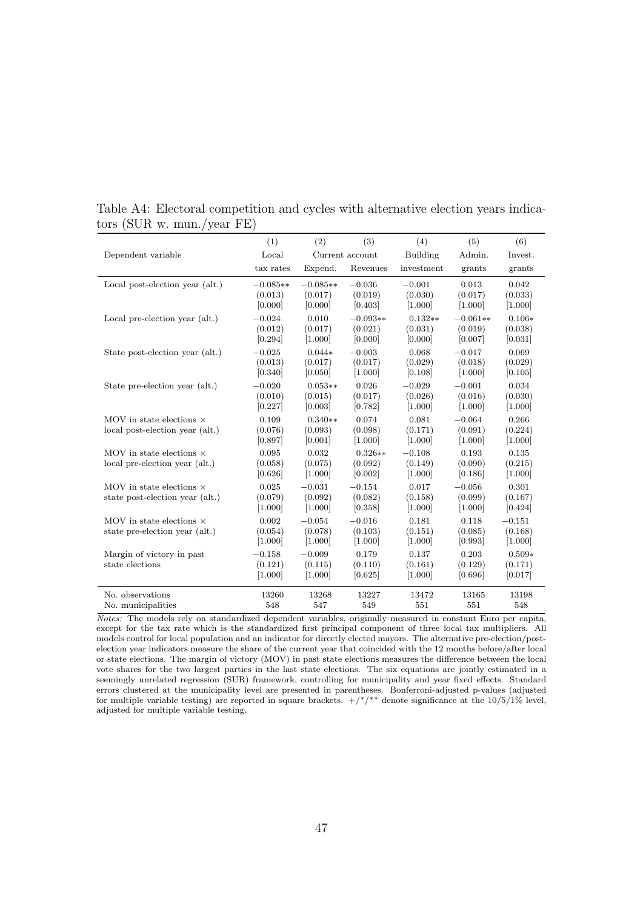|                                                                    | (1)                              | (2)                              | (3)                              | (4)                              | (5)                              | (6)                            |
|--------------------------------------------------------------------|----------------------------------|----------------------------------|----------------------------------|----------------------------------|----------------------------------|--------------------------------|
| Dependent variable                                                 | Local                            |                                  | Current account                  | Building                         | Admin.                           | Invest.                        |
|                                                                    | tax rates                        | Expend.                          | Revenues                         | investment                       | grants                           | grants                         |
| Local post-election year (alt.)                                    | $-0.085**$<br>(0.013)<br>[0.000] | $-0.085**$<br>(0.017)<br>[0.000] | $-0.036$<br>(0.019)<br>[0.403]   | $-0.001$<br>(0.030)<br>$[1.000]$ | 0.013<br>(0.017)<br>[1.000]      | 0.042<br>(0.033)<br>[1.000]    |
| Local pre-election year (alt.)                                     | $-0.024$<br>(0.012)<br>[0.294]   | 0.010<br>(0.017)<br>[1.000]      | $-0.093**$<br>(0.021)<br>[0.000] | $0.132**$<br>(0.031)<br>[0.000]  | $-0.061**$<br>(0.019)<br>[0.007] | $0.106*$<br>(0.038)<br>[0.031] |
| State post-election year (alt.)                                    | $-0.025$<br>(0.013)<br>[0.340]   | $0.044*$<br>(0.017)<br>[0.050]   | $-0.003$<br>(0.017)<br>[1.000]   | 0.068<br>(0.029)<br>[0.108]      | $-0.017$<br>(0.018)<br>[1.000]   | 0.069<br>(0.029)<br>[0.105]    |
| State pre-election year (alt.)                                     | $-0.020$<br>(0.010)<br>[0.227]   | $0.053**$<br>(0.015)<br>[0.003]  | 0.026<br>(0.017)<br>[0.782]      | $-0.029$<br>(0.026)<br>[1.000]   | $-0.001$<br>(0.016)<br>[1.000]   | 0.034<br>(0.030)<br>[1.000]    |
| MOV in state elections $\times$<br>local post-election year (alt.) | 0.109<br>(0.076)<br>[0.897]      | $0.340**$<br>(0.093)<br>[0.001]  | 0.074<br>(0.098)<br>[1.000]      | 0.081<br>(0.171)<br>[1.000]      | $-0.064$<br>(0.091)<br>[1.000]   | 0.266<br>(0.224)<br>[1.000]    |
| MOV in state elections $\times$<br>local pre-election year (alt.)  | 0.095<br>(0.058)<br>[0.626]      | 0.032<br>(0.075)<br>[1.000]      | $0.326**$<br>(0.092)<br>[0.002]  | $-0.108$<br>(0.149)<br>[1.000]   | 0.193<br>(0.090)<br>[0.186]      | 0.135<br>(0.215)<br>$[1.000]$  |
| MOV in state elections $\times$<br>state post-election year (alt.) | 0.025<br>(0.079)<br>$[1.000]$    | $-0.031$<br>(0.092)<br>[1.000]   | $-0.154$<br>(0.082)<br>[0.358]   | 0.017<br>(0.158)<br> 1.000       | $-0.056$<br>(0.099)<br> 1.000    | 0.301<br>(0.167)<br>[0.424]    |
| MOV in state elections $\times$<br>state pre-election year (alt.)  | 0.002<br>(0.054)<br>[1.000]      | $-0.054$<br>(0.078)<br>[1.000]   | $-0.016$<br>(0.103)<br>[1.000]   | 0.181<br>(0.151)<br>[1.000]      | 0.118<br>(0.085)<br>[0.993]      | $-0.151$<br>(0.168)<br>[1.000] |
| Margin of victory in past<br>state elections                       | $-0.158$<br>(0.121)<br>[1.000]   | $-0.009$<br>(0.115)<br>[1.000]   | 0.179<br>(0.110)<br>[0.625]      | 0.137<br>(0.161)<br>[1.000]      | 0.203<br>(0.129)<br>[0.696]      | $0.509*$<br>(0.171)<br>[0.017] |
| No. observations<br>No. municipalities                             | 13260<br>548                     | 13268<br>547                     | 13227<br>549                     | 13472<br>551                     | 13165<br>551                     | 13198<br>548                   |

Table A4: Electoral competition and cycles with alternative election years indicators (SUR w. mun./year FE)

Notes: The models rely on standardized dependent variables, originally measured in constant Euro per capita, except for the tax rate which is the standardized first principal component of three local tax multipliers. All models control for local population and an indicator for directly elected mayors. The alternative pre-election/postelection year indicators measure the share of the current year that coincided with the 12 months before/after local or state elections. The margin of victory (MOV) in past state elections measures the difference between the local vote shares for the two largest parties in the last state elections. The six equations are jointly estimated in a seemingly unrelated regression (SUR) framework, controlling for municipality and year fixed effects. Standard errors clustered at the municipality level are presented in parentheses. Bonferroni-adjusted p-values (adjusted for multiple variable testing) are reported in square brackets.  $+/***$  denote significance at the  $10/5/1\%$  level, adjusted for multiple variable testing.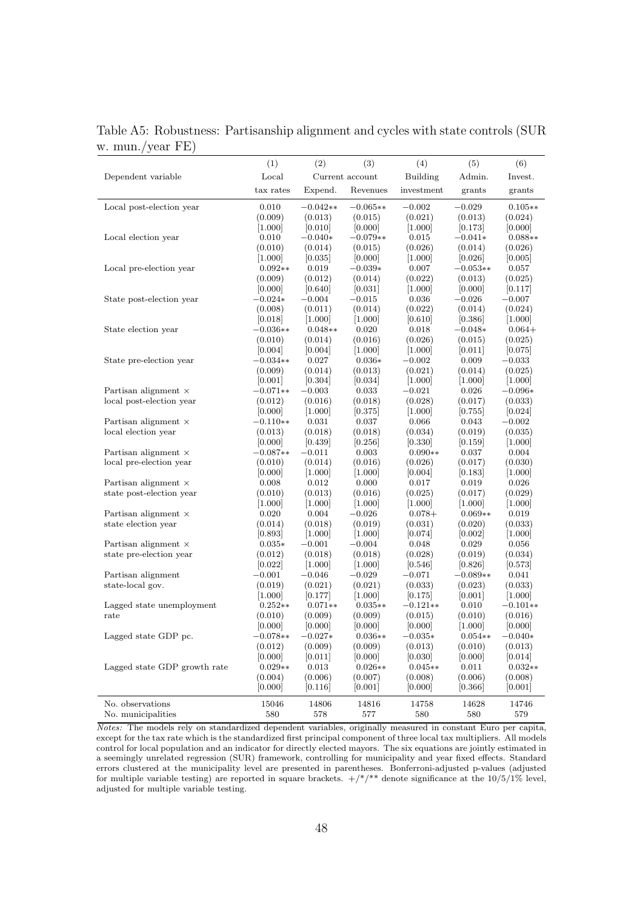Table A5: Robustness: Partisanship alignment and cycles with state controls (SUR w. mun./year FE)

|                              | (1)        | (2)        | (3)             | (4)        | (5)        | (6)        |
|------------------------------|------------|------------|-----------------|------------|------------|------------|
| Dependent variable           | Local      |            | Current account | Building   | Admin.     | Invest.    |
|                              | tax rates  | Expend.    | Revenues        | investment | grants     | grants     |
|                              |            |            |                 |            |            |            |
| Local post-election year     | 0.010      | $-0.042**$ | $-0.065**$      | $-0.002$   | $-0.029$   | $0.105**$  |
|                              | (0.009)    | (0.013)    | (0.015)         | (0.021)    | (0.013)    | (0.024)    |
|                              | [1.000]    | [0.010]    | [0.000]         | [1.000]    | [0.173]    | [0.000]    |
| Local election year          | 0.010      | $-0.040*$  | $-0.079**$      | 0.015      | $-0.041*$  | $0.088**$  |
|                              | (0.010)    | (0.014)    | (0.015)         | (0.026)    | (0.014)    | (0.026)    |
|                              | [1.000]    | [0.035]    | [0.000]         | [1.000]    | [0.026]    | [0.005]    |
| Local pre-election year      | $0.092**$  | 0.019      | $-0.039*$       | 0.007      | $-0.053**$ | 0.057      |
|                              | (0.009)    | (0.012)    | (0.014)         | (0.022)    | (0.013)    | (0.025)    |
|                              | 0.000      | [0.640]    | [0.031]         | [1.000]    | [0.000]    | [0.117]    |
| State post-election year     | $-0.024*$  | $-0.004$   | $-0.015$        | 0.036      | $-0.026$   | $-0.007$   |
|                              | (0.008)    | (0.011)    | (0.014)         | (0.022)    | (0.014)    | (0.024)    |
|                              | [0.018]    | [1.000]    | $[1.000]$       | [0.610]    | [0.386]    | [1.000]    |
| State election year          | $-0.036**$ | $0.048**$  | 0.020           | 0.018      | $-0.048*$  | $0.064+$   |
|                              | (0.010)    | (0.014)    | (0.016)         | (0.026)    | (0.015)    | (0.025)    |
|                              | [0.004]    | [0.004]    | $[1.000]$       | [1.000]    | [0.011]    | [0.075]    |
| State pre-election year      | $-0.034**$ | 0.027      | $0.036*$        | $-0.002$   | 0.009      | $-0.033$   |
|                              | (0.009)    | (0.014)    | (0.013)         | (0.021)    | (0.014)    | (0.025)    |
|                              | [0.001]    | [0.304]    | [0.034]         | [1.000]    | [1.000]    | [1.000]    |
| Partisan alignment $\times$  | $-0.071**$ | $-0.003$   | 0.033           | $-0.021$   | 0.026      | $-0.096*$  |
| local post-election year     | (0.012)    | (0.016)    | (0.018)         | (0.028)    | (0.017)    | (0.033)    |
|                              | [0.000]    | [1.000]    | [0.375]         | $[1.000]$  | [0.755]    | [0.024]    |
| Partisan alignment $\times$  | $-0.110**$ | 0.031      | 0.037           | 0.066      | 0.043      | $-0.002$   |
| local election year          | (0.013)    | (0.018)    | (0.018)         | (0.034)    | (0.019)    | (0.035)    |
|                              | [0.000]    | [0.439]    | [0.256]         | [0.330]    | [0.159]    | [1.000]    |
| Partisan alignment $\times$  | $-0.087**$ | $-0.011$   | 0.003           | $0.090**$  | 0.037      | 0.004      |
| local pre-election year      | (0.010)    | (0.014)    | (0.016)         | (0.026)    | (0.017)    | (0.030)    |
|                              | [0.000]    | [1.000]    | $[1.000]$       | [0.004]    | [0.183]    | [1.000]    |
| Partisan alignment $\times$  | 0.008      | 0.012      | 0.000           | 0.017      | 0.019      | 0.026      |
| state post-election year     | (0.010)    | (0.013)    | (0.016)         | (0.025)    | (0.017)    | (0.029)    |
|                              | 1.000      | $[1.000]$  | $[1.000]$       | $[1.000]$  | [1.000]    | $[1.000]$  |
| Partisan alignment $\times$  | 0.020      | 0.004      | $-0.026$        | $0.078+$   | $0.069**$  | 0.019      |
| state election year          | (0.014)    | (0.018)    | (0.019)         | (0.031)    | (0.020)    | (0.033)    |
|                              | [0.893]    | [1.000]    | [1.000]         | [0.074]    | [0.002]    | [1.000]    |
| Partisan alignment $\times$  | $0.035*$   | $-0.001$   | $-0.004$        | 0.048      | 0.029      | 0.056      |
| state pre-election year      | (0.012)    | (0.018)    | (0.018)         | (0.028)    | (0.019)    | (0.034)    |
|                              | [0.022]    | $[1.000]$  | $[1.000]$       | 0.546      | [0.826]    | [0.573]    |
| Partisan alignment           | $-0.001$   | $-0.046$   | $-0.029$        | $-0.071$   | $-0.089**$ | 0.041      |
| state-local gov.             | (0.019)    | (0.021)    | (0.021)         | (0.033)    | (0.023)    | (0.033)    |
|                              | [1.000]    | [0.177]    | [1.000]         | [0.175]    | [0.001]    | [1.000]    |
| Lagged state unemployment    | $0.252**$  | $0.071**$  | $0.035**$       | $-0.121**$ | 0.010      | $-0.101**$ |
| rate                         | (0.010)    | (0.009)    | (0.009)         | (0.015)    | (0.010)    | (0.016)    |
|                              | [0.000]    | [0.000]    | [0.000]         | [0.000]    | [1.000]    | [0.000]    |
| Lagged state GDP pc.         | $-0.078**$ | $-0.027*$  | $0.036**$       | $-0.035*$  | $0.054**$  | $-0.040*$  |
|                              | (0.012)    | (0.009)    | (0.009)         | (0.013)    | (0.010)    | (0.013)    |
|                              | [0.000]    | [0.011]    | [0.000]         | [0.030]    | [0.000]    | [0.014]    |
| Lagged state GDP growth rate | $0.029**$  | 0.013      | $0.026**$       | $0.045**$  | 0.011      | $0.032**$  |
|                              | (0.004)    | (0.006)    | (0.007)         | (0.008)    | (0.006)    | (0.008)    |
|                              | [0.000]    | [0.116]    | [0.001]         | [0.000]    | [0.366]    | [0.001]    |
| No. observations             | 15046      | 14806      | 14816           | 14758      | 14628      | 14746      |
| No. municipalities           | 580        | 578        | 577             | 580        | 580        | 579        |

Notes: The models rely on standardized dependent variables, originally measured in constant Euro per capita, except for the tax rate which is the standardized first principal component of three local tax multipliers. All models control for local population and an indicator for directly elected mayors. The six equations are jointly estimated in a seemingly unrelated regression (SUR) framework, controlling for municipality and year fixed effects. Standard errors clustered at the municipality level are presented in parentheses. Bonferroni-adjusted p-values (adjusted for multiple variable testing) are reported in square brackets.  $+/*$  denote significance at the  $10/5/1\%$  level, adjusted for multiple variable testing.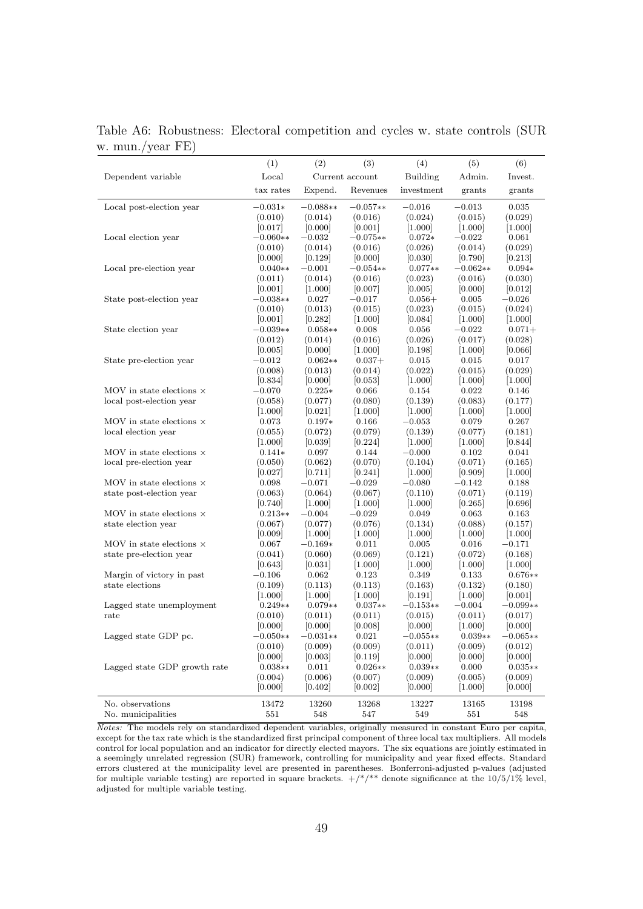Table A6: Robustness: Electoral competition and cycles w. state controls (SUR w. mun./year FE)

|                                 | (1)                  | (2)                 | (3)                   | (4)                  | (5)                 | (6)              |
|---------------------------------|----------------------|---------------------|-----------------------|----------------------|---------------------|------------------|
| Dependent variable              | Local                |                     | Current account       | Building             | Admin.              | Invest.          |
|                                 | tax rates            | Expend.             | Revenues              | investment           | grants              | grants           |
|                                 |                      |                     |                       |                      |                     |                  |
| Local post-election year        | $-0.031*$            | $-0.088**$          | $-0.057**$            | $-0.016$             | $-0.013$            | 0.035            |
|                                 | (0.010)              | (0.014)             | (0.016)               | (0.024)              | (0.015)             | (0.029)          |
|                                 | [0.017]              | [0.000]<br>$-0.032$ | [0.001]<br>$-0.075**$ | [1.000]<br>$0.072*$  | [1.000]<br>$-0.022$ | [1.000]<br>0.061 |
| Local election year             | $-0.060**$           |                     |                       |                      |                     |                  |
|                                 | (0.010)              | (0.014)<br>[0.129]  | (0.016)<br>[0.000]    | (0.026)              | (0.014)             | (0.029)          |
|                                 | [0.000]<br>$0.040**$ | $-0.001$            | $-0.054**$            | [0.030]<br>$0.077**$ | [0.790]             | [0.213]          |
| Local pre-election year         |                      |                     |                       |                      | $-0.062**$          | $0.094*$         |
|                                 | (0.011)              | (0.014)             | (0.016)               | (0.023)              | (0.016)             | (0.030)          |
|                                 | [0.001]              | [1.000]             | [0.007]               | [0.005]              | [0.000]             | [0.012]          |
| State post-election year        | $-0.038**$           | 0.027               | $-0.017$              | $0.056+$             | 0.005               | $-0.026$         |
|                                 | (0.010)              | (0.013)             | (0.015)               | (0.023)              | (0.015)             | (0.024)          |
|                                 | [0.001]              | [0.282]             | [1.000]               | [0.084]              | [1.000]             | [1.000]          |
| State election year             | $-0.039**$           | $0.058**$           | 0.008                 | 0.056                | $-0.022$            | $0.071+$         |
|                                 | (0.012)              | (0.014)             | (0.016)               | (0.026)              | (0.017)             | (0.028)          |
|                                 | [0.005]              | [0.000]             | $\left[1.000\right]$  | [0.198]              | [1.000]             | [0.066]          |
| State pre-election year         | $-0.012$             | $0.062**$           | $0.037+$              | 0.015                | 0.015               | 0.017            |
|                                 | (0.008)              | (0.013)             | (0.014)               | (0.022)              | (0.015)             | (0.029)          |
|                                 | [0.834]              | [0.000]             | [0.053]               | [1.000]              | [1.000]             | [1.000]          |
| MOV in state elections $\times$ | $-0.070$             | $0.225*$            | 0.066                 | 0.154                | 0.022               | 0.146            |
| local post-election year        | (0.058)              | (0.077)             | (0.080)               | (0.139)              | (0.083)             | (0.177)          |
|                                 | [1.000]              | [0.021]             | [1.000]               | [1.000]              | [1.000]             | [1.000]          |
| MOV in state elections $\times$ | 0.073                | $0.197*$            | 0.166                 | $-0.053$             | 0.079               | 0.267            |
| local election year             | (0.055)              | (0.072)             | (0.079)               | (0.139)              | (0.077)             | (0.181)          |
|                                 | $[1.000]$            | [0.039]             | [0.224]               | [1.000]              | [1.000]             | [0.844]          |
| MOV in state elections $\times$ | $0.141*$             | 0.097               | 0.144                 | $-0.000$             | 0.102               | 0.041            |
| local pre-election year         | (0.050)<br>[0.027]   | (0.062)<br>[0.711]  | (0.070)<br>[0.241]    | (0.104)<br>[1.000]   | (0.071)<br>[0.909]  | (0.165)          |
| MOV in state elections $\times$ | 0.098                | $-0.071$            | $-0.029$              | $-0.080$             | $-0.142$            | [1.000]<br>0.188 |
|                                 |                      |                     |                       |                      |                     |                  |
| state post-election year        | (0.063)              | (0.064)             | (0.067)               | (0.110)              | (0.071)             | (0.119)          |
| MOV in state elections $\times$ | [0.740]<br>$0.213**$ | [1.000]<br>$-0.004$ | [1.000]<br>$-0.029$   | [1.000]<br>0.049     | [0.265]<br>0.063    | [0.696]<br>0.163 |
| state election year             | (0.067)              | (0.077)             | (0.076)               | (0.134)              | (0.088)             | (0.157)          |
|                                 | [0.009]              | [1.000]             | [1.000]               | [1.000]              | [1.000]             | [1.000]          |
| MOV in state elections $\times$ | 0.067                | $-0.169*$           | 0.011                 | 0.005                | 0.016               | $-0.171$         |
| state pre-election year         | (0.041)              | (0.060)             | (0.069)               | (0.121)              | (0.072)             | (0.168)          |
|                                 | [0.643]              | [0.031]             | $[1.000]$             | [1.000]              | [1.000]             | [1.000]          |
| Margin of victory in past       | $-0.106$             | 0.062               | 0.123                 | 0.349                | 0.133               | $0.676**$        |
| state elections                 | (0.109)              | (0.113)             | (0.113)               | (0.163)              | (0.132)             | (0.180)          |
|                                 | [1.000]              | [1.000]             | [1.000]               | [0.191]              | [1.000]             | [0.001]          |
| Lagged state unemployment       | $0.249**$            | $0.079**$           | $0.037**$             | $-0.153**$           | $-0.004$            | $-0.099**$       |
| rate                            | (0.010)              | (0.011)             | (0.011)               | (0.015)              | (0.011)             | (0.017)          |
|                                 | [0.000]              | [0.000]             | [0.008]               | [0.000]              | [1.000]             | [0.000]          |
| Lagged state GDP pc.            | $-0.050**$           | $-0.031**$          | 0.021                 | $-0.055**$           | $0.039**$           | $-0.065**$       |
|                                 | (0.010)              | (0.009)             | (0.009)               | (0.011)              | (0.009)             | (0.012)          |
|                                 | [0.000]              | [0.003]             | [0.119]               | [0.000]              | [0.000]             | [0.000]          |
| Lagged state GDP growth rate    | $0.038**$            | 0.011               | $0.026**$             | $0.039**$            | 0.000               | $0.035**$        |
|                                 | (0.004)              | (0.006)             | (0.007)               | (0.009)              | (0.005)             | (0.009)          |
|                                 | [0.000]              | [0.402]             | [0.002]               | [0.000]              | [1.000]             | [0.000]          |
|                                 |                      |                     |                       |                      |                     |                  |
| No. observations                | 13472                | 13260               | 13268                 | 13227                | 13165               | 13198            |
| No. municipalities              | 551                  | 548                 | 547                   | 549                  | 551                 | 548              |

Notes: The models rely on standardized dependent variables, originally measured in constant Euro per capita, except for the tax rate which is the standardized first principal component of three local tax multipliers. All models control for local population and an indicator for directly elected mayors. The six equations are jointly estimated in a seemingly unrelated regression (SUR) framework, controlling for municipality and year fixed effects. Standard errors clustered at the municipality level are presented in parentheses. Bonferroni-adjusted p-values (adjusted for multiple variable testing) are reported in square brackets.  $+/*$  denote significance at the  $10/5/1\%$  level, adjusted for multiple variable testing.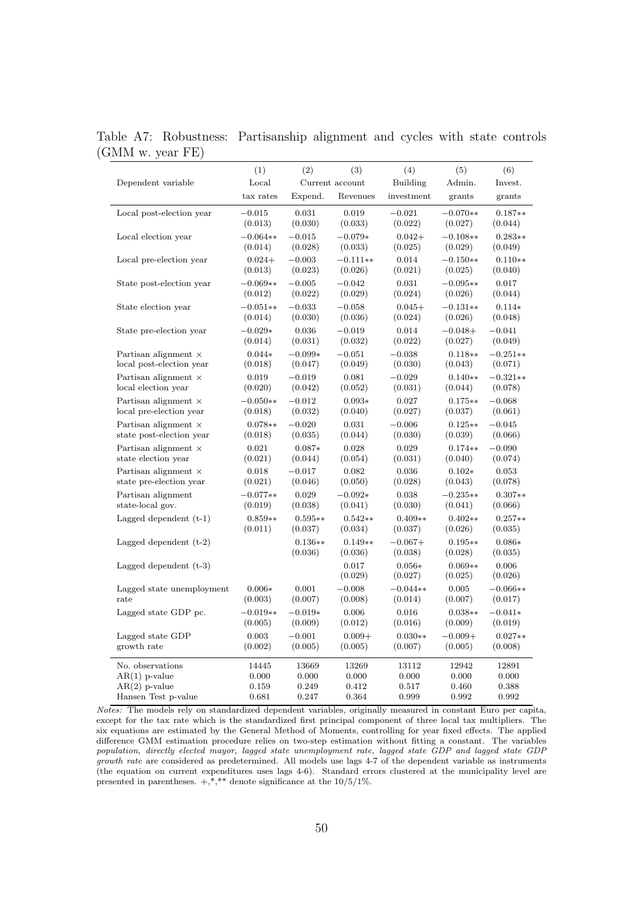|                             | (1)        | (2)                  | (3)                  | (4)                  | (5)                  | (6)                 |
|-----------------------------|------------|----------------------|----------------------|----------------------|----------------------|---------------------|
| Dependent variable          | Local      |                      | Current account      | Building             | Admin.               | Invest.             |
|                             | tax rates  | Expend.              | Revenues             | investment           | grants               | grants              |
| Local post-election year    | $-0.015$   | 0.031                | 0.019                | $-0.021$             | $-0.070**$           | $0.187**$           |
|                             | (0.013)    | (0.030)              | (0.033)              | (0.022)              | (0.027)              | (0.044)             |
| Local election year         | $-0.064**$ | $-0.015$             | $-0.079*$            | $0.042 +$            | $-0.108**$           | $0.283**$           |
|                             | (0.014)    | (0.028)              | (0.033)              | (0.025)              | (0.029)              | (0.049)             |
| Local pre-election year     | $0.024+$   | $-0.003$             | $-0.111**$           | 0.014                | $-0.150**$           | $0.110**$           |
|                             | (0.013)    | (0.023)              | (0.026)              | (0.021)              | (0.025)              | (0.040)             |
| State post-election year    | $-0.069**$ | $-0.005$             | $-0.042$             | 0.031                | $-0.095**$           | 0.017               |
|                             | (0.012)    | (0.022)              | (0.029)              | (0.024)              | (0.026)              | (0.044)             |
| State election year         | $-0.051**$ | $-0.033$             | $-0.058$             | $0.045+$             | $-0.131**$           | $0.114*$            |
|                             | (0.014)    | (0.030)              | (0.036)              | (0.024)              | (0.026)              | (0.048)             |
| State pre-election year     | $-0.029*$  | 0.036                | $-0.019$             | 0.014                | $-0.048+$            | $-0.041$            |
|                             | (0.014)    | (0.031)              | (0.032)              | (0.022)              | (0.027)              | (0.049)             |
| Partisan alignment $\times$ | $0.044*$   | $-0.099*$            | $-0.051$             | $-0.038$             | $0.118**$            | $-0.251**$          |
| local post-election year    | (0.018)    | (0.047)              | (0.049)              | (0.030)              | (0.043)              | (0.071)             |
| Partisan alignment $\times$ | 0.019      | $-0.019$             | 0.081                | $-0.029$             | $0.140**$            | $-0.321**$          |
| local election year         | (0.020)    | (0.042)              | (0.052)              | (0.031)              | (0.044)              | (0.078)             |
| Partisan alignment $\times$ | $-0.050**$ | $-0.012$             | $0.093*$             | 0.027                | $0.175**$            | $-0.068$            |
| local pre-election year     | (0.018)    | (0.032)              | (0.040)              | (0.027)              | (0.037)              | (0.061)             |
| Partisan alignment $\times$ | $0.078**$  | $-0.020$             | 0.031                | $-0.006$             | $0.125**$            | $-0.045$            |
| state post-election year    | (0.018)    | (0.035)              | (0.044)              | (0.030)              | (0.039)              | (0.066)             |
| Partisan alignment $\times$ | 0.021      | $0.087*$             | 0.028                | 0.029                | $0.174**$            | $-0.090$            |
| state election year         | (0.021)    | (0.044)              | (0.054)              | (0.031)              | (0.040)              | (0.074)             |
| Partisan alignment $\times$ | 0.018      | $-0.017$             | 0.082                | 0.036                | $0.102*$             | 0.053               |
| state pre-election year     | (0.021)    | (0.046)              | (0.050)              | (0.028)              | (0.043)              | (0.078)             |
| Partisan alignment          | $-0.077**$ | 0.029                | $-0.092*$            | 0.038                | $-0.235**$           | $0.307**$           |
| state-local gov.            | (0.019)    | (0.038)              | (0.041)              | (0.030)              | (0.041)              | (0.066)             |
| Lagged dependent $(t-1)$    | $0.859**$  | $0.595**$            | $0.542**$            | $0.409**$            | $0.402**$            | $0.257**$           |
|                             | (0.011)    | (0.037)              | (0.034)              | (0.037)              | (0.026)              | (0.035)             |
| Lagged dependent $(t-2)$    |            | $0.136**$<br>(0.036) | $0.149**$<br>(0.036) | $-0.067+$<br>(0.038) | $0.195**$<br>(0.028) | $0.086*$<br>(0.035) |
| Lagged dependent $(t-3)$    |            |                      | 0.017<br>(0.029)     | $0.056*$<br>(0.027)  | $0.069**$<br>(0.025) | 0.006<br>(0.026)    |
| Lagged state unemployment   | $0.006*$   | 0.001                | $-0.008$             | $-0.044**$           | 0.005                | $-0.066**$          |
| rate                        | (0.003)    | (0.007)              | (0.008)              | (0.014)              | (0.007)              | (0.017)             |
| Lagged state GDP pc.        | $-0.019**$ | $-0.019*$            | 0.006                | 0.016                | $0.038**$            | $-0.041*$           |
|                             | (0.005)    | (0.009)              | (0.012)              | (0.016)              | (0.009)              | (0.019)             |
| Lagged state GDP            | 0.003      | $-0.001$             | $0.009+$             | $0.030**$            | $-0.009+$            | $0.027**$           |
| growth rate                 | (0.002)    | (0.005)              | (0.005)              | (0.007)              | (0.005)              | (0.008)             |
| No. observations            | 14445      | 13669                | 13269                | 13112                | 12942                | 12891               |
| $AR(1)$ p-value             | 0.000      | 0.000                | 0.000                | 0.000                | 0.000                | 0.000               |
| $AR(2)$ p-value             | 0.159      | 0.249                | 0.412                | 0.517                | 0.460                | 0.388               |
| Hansen Test p-value         | 0.681      | 0.247                | 0.364                | 0.999                | 0.992                | 0.992               |

Table A7: Robustness: Partisanship alignment and cycles with state controls (GMM w. year FE)

Notes: The models rely on standardized dependent variables, originally measured in constant Euro per capita, except for the tax rate which is the standardized first principal component of three local tax multipliers. The six equations are estimated by the General Method of Moments, controlling for year fixed effects. The applied difference GMM estimation procedure relies on two-step estimation without fitting a constant. The variables population, directly elected mayor, lagged state unemployment rate, lagged state GDP and lagged state GDP growth rate are considered as predetermined. All models use lags 4-7 of the dependent variable as instruments (the equation on current expenditures uses lags 4-6). Standard errors clustered at the municipality level are presented in parentheses.  $+$ , \*,\*\* denote significance at the  $10/5/1\%$ .